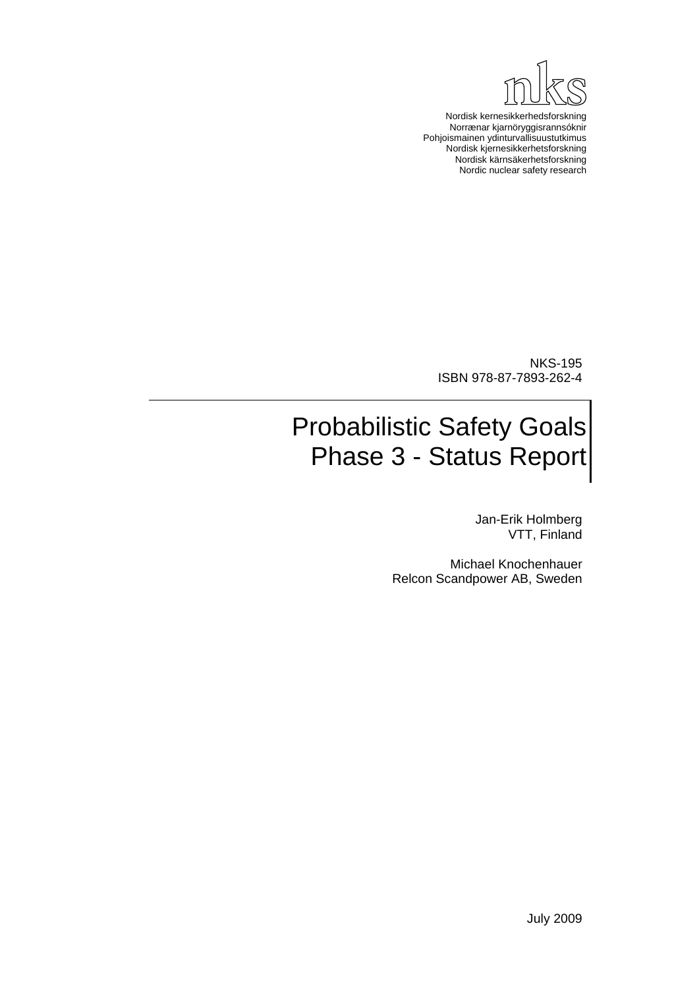

Nordisk kernesikkerhedsforskning Norrænar kjarnöryggisrannsóknir Pohjoismainen ydinturvallisuustutkimus Nordisk kjernesikkerhetsforskning Nordisk kärnsäkerhetsforskning Nordic nuclear safety research

NKS-195 ISBN 978-87-7893-262-4

# Probabilistic Safety Goals Phase 3 - Status Report

Jan-Erik Holmberg VTT, Finland

Michael Knochenhauer Relcon Scandpower AB, Sweden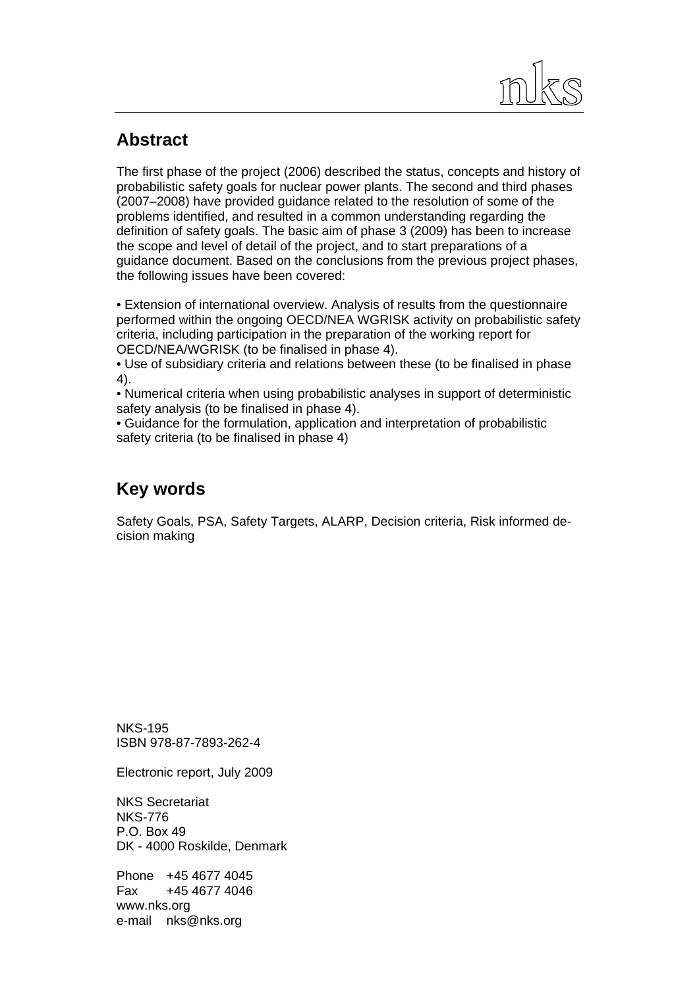

### **Abstract**

The first phase of the project (2006) described the status, concepts and history of probabilistic safety goals for nuclear power plants. The second and third phases (2007–2008) have provided guidance related to the resolution of some of the problems identified, and resulted in a common understanding regarding the definition of safety goals. The basic aim of phase 3 (2009) has been to increase the scope and level of detail of the project, and to start preparations of a guidance document. Based on the conclusions from the previous project phases, the following issues have been covered:

• Extension of international overview. Analysis of results from the questionnaire performed within the ongoing OECD/NEA WGRISK activity on probabilistic safety criteria, including participation in the preparation of the working report for OECD/NEA/WGRISK (to be finalised in phase 4).

• Use of subsidiary criteria and relations between these (to be finalised in phase 4).

• Numerical criteria when using probabilistic analyses in support of deterministic safety analysis (to be finalised in phase 4).

• Guidance for the formulation, application and interpretation of probabilistic safety criteria (to be finalised in phase 4)

### **Key words**

Safety Goals, PSA, Safety Targets, ALARP, Decision criteria, Risk informed decision making

NKS-195 ISBN 978-87-7893-262-4

Electronic report, July 2009

NKS Secretariat NKS-776 P.O. Box 49 DK - 4000 Roskilde, Denmark

Phone +45 4677 4045 Fax +45 4677 4046 www.nks.org e-mail nks@nks.org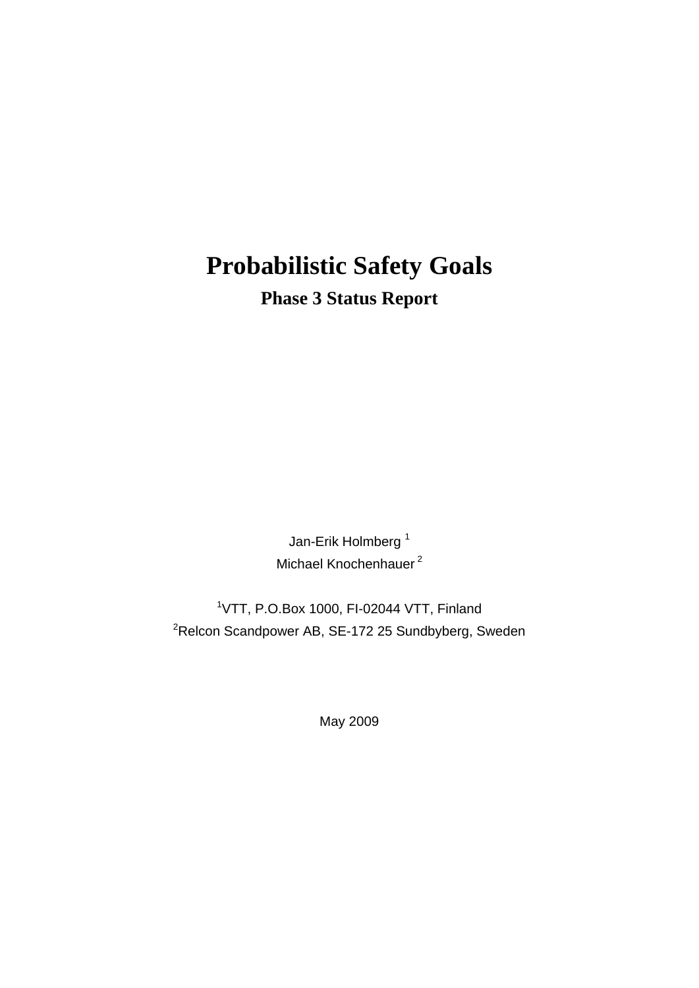## **Probabilistic Safety Goals Phase 3 Status Report**

Jan-Erik Holmberg<sup>1</sup> Michael Knochenhauer<sup>2</sup>

1 VTT, P.O.Box 1000, FI-02044 VTT, Finland  ${}^{2}$ Relcon Scandpower AB, SE-172 25 Sundbyberg, Sweden

May 2009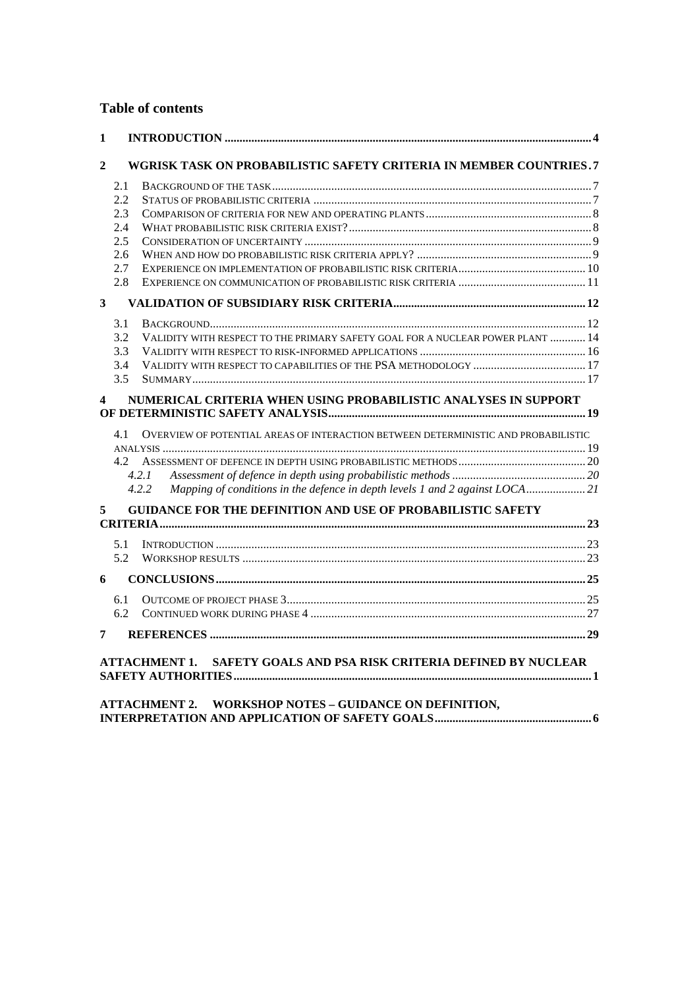#### **Table of contents**

| 1                |                                                                                           |  |
|------------------|-------------------------------------------------------------------------------------------|--|
| $\mathbf{2}$     | WGRISK TASK ON PROBABILISTIC SAFETY CRITERIA IN MEMBER COUNTRIES.7                        |  |
|                  | 2.1                                                                                       |  |
|                  | 2.2                                                                                       |  |
|                  | 2.3                                                                                       |  |
|                  | 2.4                                                                                       |  |
|                  | 2.5                                                                                       |  |
|                  | 2.6                                                                                       |  |
|                  | 2.7                                                                                       |  |
|                  | 2.8                                                                                       |  |
| $\mathbf{3}$     |                                                                                           |  |
|                  | 3.1                                                                                       |  |
|                  | VALIDITY WITH RESPECT TO THE PRIMARY SAFETY GOAL FOR A NUCLEAR POWER PLANT  14<br>3.2     |  |
|                  | 3.3                                                                                       |  |
|                  | 3.4                                                                                       |  |
|                  | 3.5                                                                                       |  |
| $\blacktriangle$ | NUMERICAL CRITERIA WHEN USING PROBABILISTIC ANALYSES IN SUPPORT                           |  |
|                  |                                                                                           |  |
|                  | OVERVIEW OF POTENTIAL AREAS OF INTERACTION BETWEEN DETERMINISTIC AND PROBABILISTIC<br>4.1 |  |
|                  |                                                                                           |  |
|                  | 4.2                                                                                       |  |
|                  | 4.2.1                                                                                     |  |
|                  | Mapping of conditions in the defence in depth levels 1 and 2 against LOCA21<br>4.2.2      |  |
| 5                | <b>GUIDANCE FOR THE DEFINITION AND USE OF PROBABILISTIC SAFETY</b>                        |  |
|                  |                                                                                           |  |
|                  | 5.1                                                                                       |  |
|                  | 5.2                                                                                       |  |
| 6                |                                                                                           |  |
|                  | 6.1                                                                                       |  |
|                  | 6.2                                                                                       |  |
| 7                |                                                                                           |  |
|                  | SAFETY GOALS AND PSA RISK CRITERIA DEFINED BY NUCLEAR<br><b>ATTACHMENT 1.</b>             |  |
|                  |                                                                                           |  |
|                  |                                                                                           |  |
|                  | <b>WORKSHOP NOTES - GUIDANCE ON DEFINITION,</b><br><b>ATTACHMENT 2.</b>                   |  |
|                  |                                                                                           |  |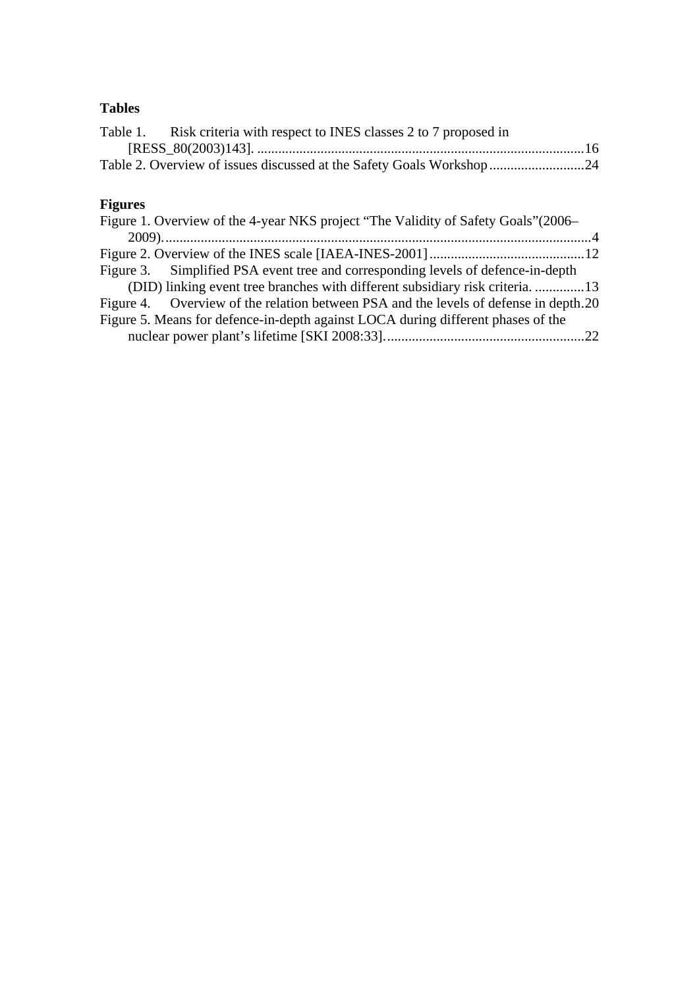### **Tables**

| Table 1. Risk criteria with respect to INES classes 2 to 7 proposed in |  |
|------------------------------------------------------------------------|--|
|                                                                        |  |
|                                                                        |  |

### **Figures**

| Figure 1. Overview of the 4-year NKS project "The Validity of Safety Goals"(2006–    |  |
|--------------------------------------------------------------------------------------|--|
|                                                                                      |  |
|                                                                                      |  |
| Figure 3. Simplified PSA event tree and corresponding levels of defence-in-depth     |  |
| (DID) linking event tree branches with different subsidiary risk criteria13          |  |
| Figure 4. Overview of the relation between PSA and the levels of defense in depth.20 |  |
| Figure 5. Means for defence-in-depth against LOCA during different phases of the     |  |
|                                                                                      |  |
|                                                                                      |  |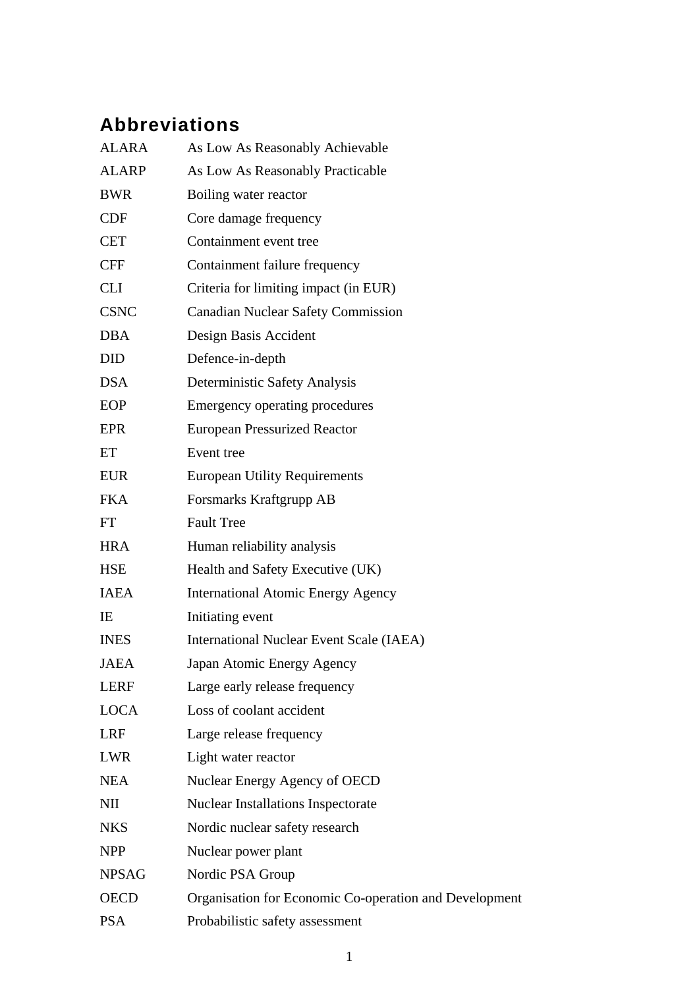## **Abbreviations**

| <b>ALARA</b> | As Low As Reasonably Achievable                        |
|--------------|--------------------------------------------------------|
| <b>ALARP</b> | As Low As Reasonably Practicable                       |
| <b>BWR</b>   | Boiling water reactor                                  |
| <b>CDF</b>   | Core damage frequency                                  |
| <b>CET</b>   | Containment event tree                                 |
| <b>CFF</b>   | Containment failure frequency                          |
| <b>CLI</b>   | Criteria for limiting impact (in EUR)                  |
| <b>CSNC</b>  | <b>Canadian Nuclear Safety Commission</b>              |
| <b>DBA</b>   | Design Basis Accident                                  |
| <b>DID</b>   | Defence-in-depth                                       |
| <b>DSA</b>   | Deterministic Safety Analysis                          |
| <b>EOP</b>   | Emergency operating procedures                         |
| EPR          | <b>European Pressurized Reactor</b>                    |
| ET           | Event tree                                             |
| <b>EUR</b>   | <b>European Utility Requirements</b>                   |
| <b>FKA</b>   | Forsmarks Kraftgrupp AB                                |
| FT           | <b>Fault Tree</b>                                      |
| <b>HRA</b>   | Human reliability analysis                             |
| <b>HSE</b>   | Health and Safety Executive (UK)                       |
| <b>IAEA</b>  | <b>International Atomic Energy Agency</b>              |
| IE           | Initiating event                                       |
| <b>INES</b>  | <b>International Nuclear Event Scale (IAEA)</b>        |
| <b>JAEA</b>  | Japan Atomic Energy Agency                             |
| <b>LERF</b>  | Large early release frequency                          |
| <b>LOCA</b>  | Loss of coolant accident                               |
| <b>LRF</b>   | Large release frequency                                |
| <b>LWR</b>   | Light water reactor                                    |
| <b>NEA</b>   | Nuclear Energy Agency of OECD                          |
| NII          | <b>Nuclear Installations Inspectorate</b>              |
| <b>NKS</b>   | Nordic nuclear safety research                         |
| <b>NPP</b>   | Nuclear power plant                                    |
| <b>NPSAG</b> | Nordic PSA Group                                       |
| <b>OECD</b>  | Organisation for Economic Co-operation and Development |
| <b>PSA</b>   | Probabilistic safety assessment                        |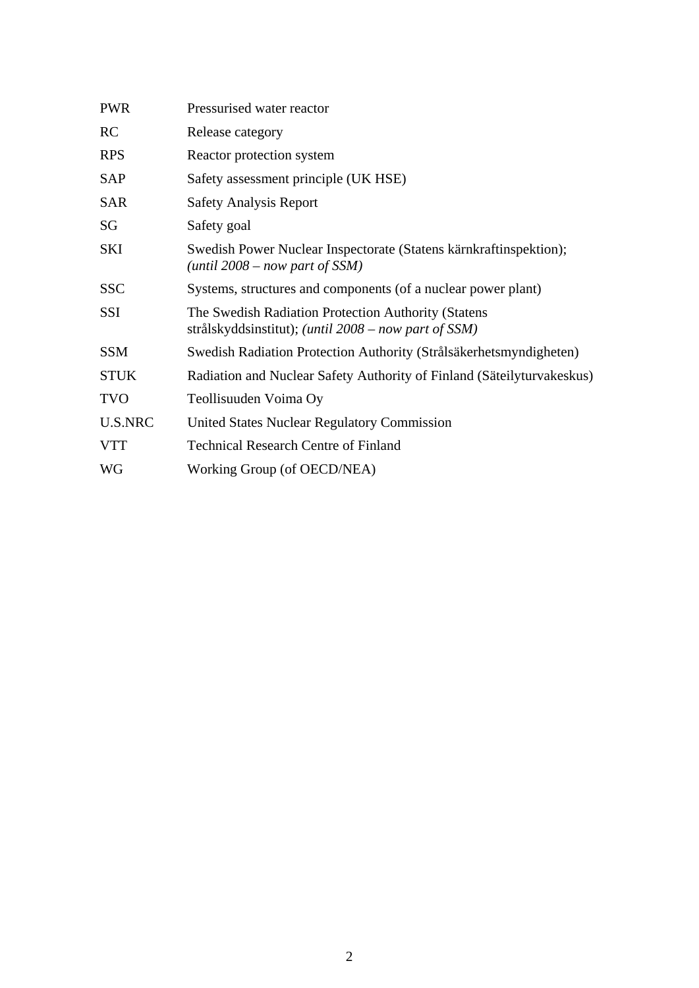| <b>PWR</b>     | Pressurised water reactor                                                                                            |
|----------------|----------------------------------------------------------------------------------------------------------------------|
| <b>RC</b>      | Release category                                                                                                     |
| <b>RPS</b>     | Reactor protection system                                                                                            |
| <b>SAP</b>     | Safety assessment principle (UK HSE)                                                                                 |
| <b>SAR</b>     | <b>Safety Analysis Report</b>                                                                                        |
| SG             | Safety goal                                                                                                          |
| SKI            | Swedish Power Nuclear Inspectorate (Statens kärnkraftinspektion);<br>(until $2008 - now$ part of SSM)                |
| <b>SSC</b>     | Systems, structures and components (of a nuclear power plant)                                                        |
| SSI            | The Swedish Radiation Protection Authority (Statens<br>strålskyddsinstitut); ( <i>until 2008 – now part of SSM</i> ) |
| <b>SSM</b>     | Swedish Radiation Protection Authority (Strålsäkerhetsmyndigheten)                                                   |
| <b>STUK</b>    | Radiation and Nuclear Safety Authority of Finland (Säteilyturvakeskus)                                               |
| <b>TVO</b>     | Teollisuuden Voima Oy                                                                                                |
| <b>U.S.NRC</b> | <b>United States Nuclear Regulatory Commission</b>                                                                   |
| <b>VTT</b>     | <b>Technical Research Centre of Finland</b>                                                                          |
| WG             | Working Group (of OECD/NEA)                                                                                          |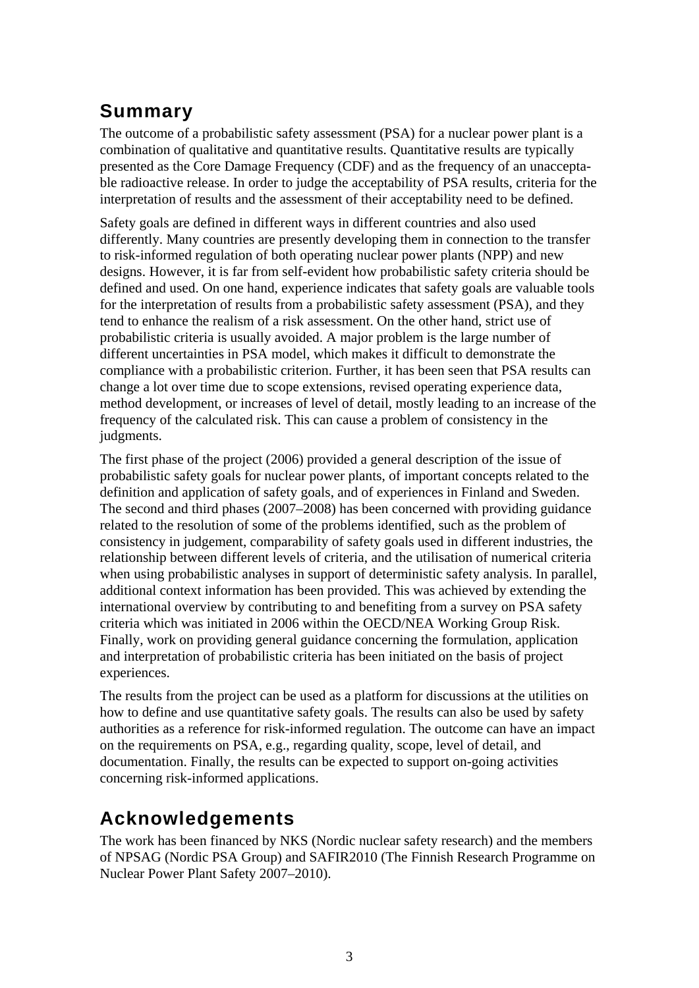### **Summary**

The outcome of a probabilistic safety assessment (PSA) for a nuclear power plant is a combination of qualitative and quantitative results. Quantitative results are typically presented as the Core Damage Frequency (CDF) and as the frequency of an unacceptable radioactive release. In order to judge the acceptability of PSA results, criteria for the interpretation of results and the assessment of their acceptability need to be defined.

Safety goals are defined in different ways in different countries and also used differently. Many countries are presently developing them in connection to the transfer to risk-informed regulation of both operating nuclear power plants (NPP) and new designs. However, it is far from self-evident how probabilistic safety criteria should be defined and used. On one hand, experience indicates that safety goals are valuable tools for the interpretation of results from a probabilistic safety assessment (PSA), and they tend to enhance the realism of a risk assessment. On the other hand, strict use of probabilistic criteria is usually avoided. A major problem is the large number of different uncertainties in PSA model, which makes it difficult to demonstrate the compliance with a probabilistic criterion. Further, it has been seen that PSA results can change a lot over time due to scope extensions, revised operating experience data, method development, or increases of level of detail, mostly leading to an increase of the frequency of the calculated risk. This can cause a problem of consistency in the judgments.

The first phase of the project (2006) provided a general description of the issue of probabilistic safety goals for nuclear power plants, of important concepts related to the definition and application of safety goals, and of experiences in Finland and Sweden. The second and third phases (2007–2008) has been concerned with providing guidance related to the resolution of some of the problems identified, such as the problem of consistency in judgement, comparability of safety goals used in different industries, the relationship between different levels of criteria, and the utilisation of numerical criteria when using probabilistic analyses in support of deterministic safety analysis. In parallel, additional context information has been provided. This was achieved by extending the international overview by contributing to and benefiting from a survey on PSA safety criteria which was initiated in 2006 within the OECD/NEA Working Group Risk. Finally, work on providing general guidance concerning the formulation, application and interpretation of probabilistic criteria has been initiated on the basis of project experiences.

The results from the project can be used as a platform for discussions at the utilities on how to define and use quantitative safety goals. The results can also be used by safety authorities as a reference for risk-informed regulation. The outcome can have an impact on the requirements on PSA, e.g., regarding quality, scope, level of detail, and documentation. Finally, the results can be expected to support on-going activities concerning risk-informed applications.

### **Acknowledgements**

The work has been financed by NKS (Nordic nuclear safety research) and the members of NPSAG (Nordic PSA Group) and SAFIR2010 (The Finnish Research Programme on Nuclear Power Plant Safety 2007–2010).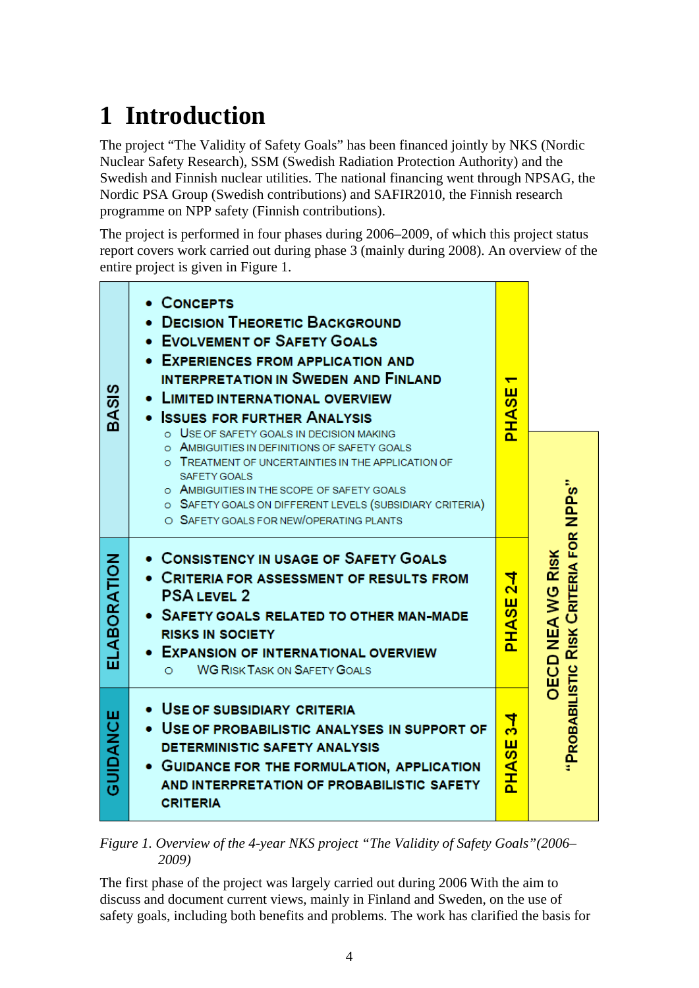# <span id="page-8-0"></span>**1 Introduction**

The project "The Validity of Safety Goals" has been financed jointly by NKS (Nordic Nuclear Safety Research), SSM (Swedish Radiation Protection Authority) and the Swedish and Finnish nuclear utilities. The national financing went through NPSAG, the Nordic PSA Group (Swedish contributions) and SAFIR2010, the Finnish research programme on NPP safety (Finnish contributions).

The project is performed in four phases during 2006–2009, of which this project status report covers work carried out during phase 3 (mainly during 2008). An overview of the entire project is given in [Figure 1](#page-8-1).

| BASIS        | • CONCEPTS<br><b>DECISION THEORETIC BACKGROUND</b><br>• EVOLVEMENT OF SAFETY GOALS<br>• EXPERIENCES FROM APPLICATION AND<br><b>INTERPRETATION IN SWEDEN AND FINLAND</b><br><b>LIMITED INTERNATIONAL OVERVIEW</b><br>• ISSUES FOR FURTHER ANALYSIS<br>O USE OF SAFETY GOALS IN DECISION MAKING<br>AMBIGUITIES IN DEFINITIONS OF SAFETY GOALS<br>TREATMENT OF UNCERTAINTIES IN THE APPLICATION OF<br><b>SAFETY GOALS</b><br>O AMBIGUITIES IN THE SCOPE OF SAFETY GOALS<br>O SAFETY GOALS ON DIFFERENT LEVELS (SUBSIDIARY CRITERIA)<br>O SAFETY GOALS FOR NEW/OPERATING PLANTS | ш<br>$\overline{\boldsymbol{\mathit{v}}}$<br>й<br>На    |                                                    |
|--------------|-----------------------------------------------------------------------------------------------------------------------------------------------------------------------------------------------------------------------------------------------------------------------------------------------------------------------------------------------------------------------------------------------------------------------------------------------------------------------------------------------------------------------------------------------------------------------------|---------------------------------------------------------|----------------------------------------------------|
| ELABORATION  | • CONSISTENCY IN USAGE OF SAFETY GOALS<br>• CRITERIA FOR ASSESSMENT OF RESULTS FROM<br><b>PSALEVEL 2</b><br>• SAFETY GOALS RELATED TO OTHER MAN-MADE<br><b>RISKS IN SOCIETY</b><br><b>EXPANSION OF INTERNATIONAL OVERVIEW</b><br><b>WG RISK TASK ON SAFETY GOALS</b><br>$\circ$                                                                                                                                                                                                                                                                                             | 4<br>$\sim$<br>ш<br>$\boldsymbol{\omega}$<br><b>AHA</b> | <b>RISK CRITERIA FOR</b><br><b>DECD NEAWG RISK</b> |
| щ<br>GUIDANC | • USE OF SUBSIDIARY CRITERIA<br>• USE OF PROBABILISTIC ANALYSES IN SUPPORT OF<br><b>DETERMINISTIC SAFETY ANALYSIS</b><br><b>GUIDANCE FOR THE FORMULATION, APPLICATION</b><br>AND INTERPRETATION OF PROBABILISTIC SAFETY<br><b>CRITERIA</b>                                                                                                                                                                                                                                                                                                                                  | $\frac{4}{3}$<br>ш<br>$\overline{\bm{\omega}}$<br>ŘНД   | PROBABILISTIC                                      |

<span id="page-8-1"></span>*Figure 1. Overview of the 4-year NKS project "The Validity of Safety Goals"(2006– 2009)* 

The first phase of the project was largely carried out during 2006 With the aim to discuss and document current views, mainly in Finland and Sweden, on the use of safety goals, including both benefits and problems. The work has clarified the basis for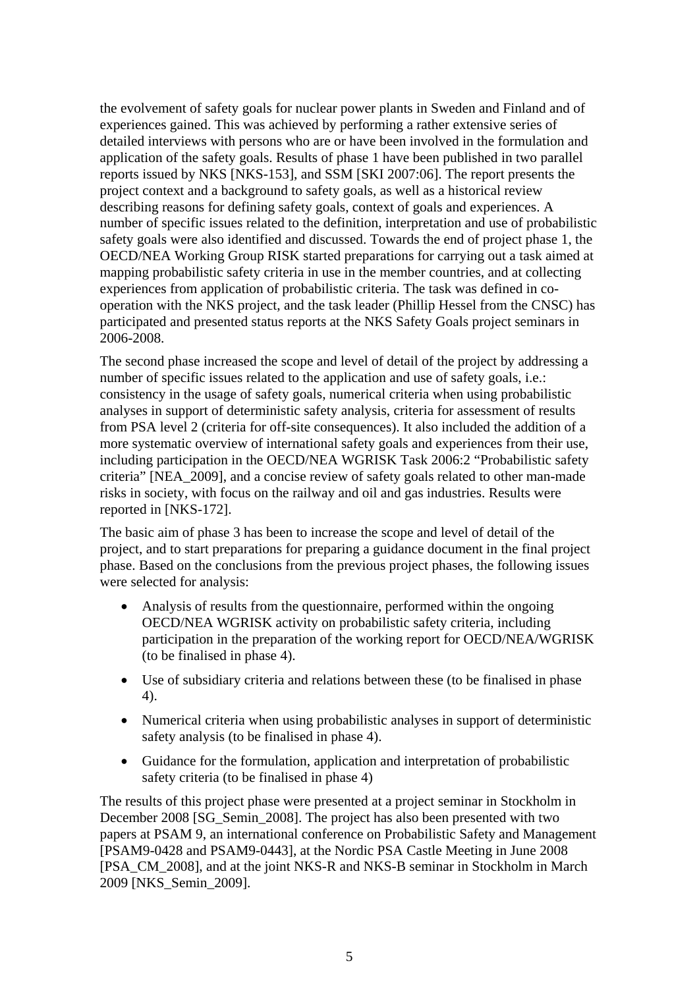the evolvement of safety goals for nuclear power plants in Sweden and Finland and of experiences gained. This was achieved by performing a rather extensive series of detailed interviews with persons who are or have been involved in the formulation and application of the safety goals. Results of phase 1 have been published in two parallel reports issued by NKS [NKS-153], and SSM [SKI 2007:06]. The report presents the project context and a background to safety goals, as well as a historical review describing reasons for defining safety goals, context of goals and experiences. A number of specific issues related to the definition, interpretation and use of probabilistic safety goals were also identified and discussed. Towards the end of project phase 1, the OECD/NEA Working Group RISK started preparations for carrying out a task aimed at mapping probabilistic safety criteria in use in the member countries, and at collecting experiences from application of probabilistic criteria. The task was defined in cooperation with the NKS project, and the task leader (Phillip Hessel from the CNSC) has participated and presented status reports at the NKS Safety Goals project seminars in 2006-2008.

The second phase increased the scope and level of detail of the project by addressing a number of specific issues related to the application and use of safety goals, i.e.: consistency in the usage of safety goals, numerical criteria when using probabilistic analyses in support of deterministic safety analysis, criteria for assessment of results from PSA level 2 (criteria for off-site consequences). It also included the addition of a more systematic overview of international safety goals and experiences from their use, including participation in the OECD/NEA WGRISK Task 2006:2 "Probabilistic safety criteria" [NEA\_2009], and a concise review of safety goals related to other man-made risks in society, with focus on the railway and oil and gas industries. Results were reported in [NKS-172].

The basic aim of phase 3 has been to increase the scope and level of detail of the project, and to start preparations for preparing a guidance document in the final project phase. Based on the conclusions from the previous project phases, the following issues were selected for analysis:

- Analysis of results from the questionnaire, performed within the ongoing OECD/NEA WGRISK activity on probabilistic safety criteria, including participation in the preparation of the working report for OECD/NEA/WGRISK (to be finalised in phase 4).
- Use of subsidiary criteria and relations between these (to be finalised in phase 4).
- Numerical criteria when using probabilistic analyses in support of deterministic safety analysis (to be finalised in phase 4).
- Guidance for the formulation, application and interpretation of probabilistic safety criteria (to be finalised in phase 4)

The results of this project phase were presented at a project seminar in Stockholm in December 2008 [SG\_Semin\_2008]. The project has also been presented with two papers at PSAM 9, an international conference on Probabilistic Safety and Management [PSAM9-0428 and PSAM9-0443], at the Nordic PSA Castle Meeting in June 2008 [PSA\_CM\_2008], and at the joint NKS-R and NKS-B seminar in Stockholm in March 2009 [NKS\_Semin\_2009].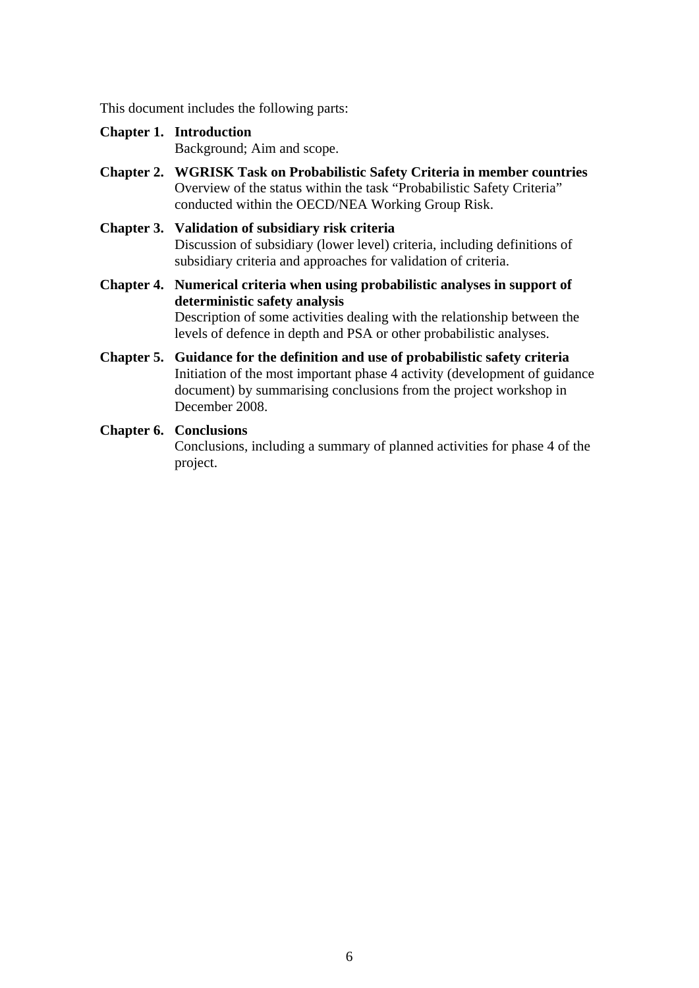This document includes the following parts:

**Chapter 1. Introduction** 

Background; Aim and scope.

- **Chapter 2. WGRISK Task on Probabilistic Safety Criteria in member countries**  Overview of the status within the task "Probabilistic Safety Criteria" conducted within the OECD/NEA Working Group Risk.
- **Chapter 3. Validation of subsidiary risk criteria** Discussion of subsidiary (lower level) criteria, including definitions of subsidiary criteria and approaches for validation of criteria.
- **Chapter 4. Numerical criteria when using probabilistic analyses in support of deterministic safety analysis** Description of some activities dealing with the relationship between the levels of defence in depth and PSA or other probabilistic analyses.
- **Chapter 5. Guidance for the definition and use of probabilistic safety criteria**  Initiation of the most important phase 4 activity (development of guidance document) by summarising conclusions from the project workshop in December 2008.

#### **Chapter 6. Conclusions**

Conclusions, including a summary of planned activities for phase 4 of the project.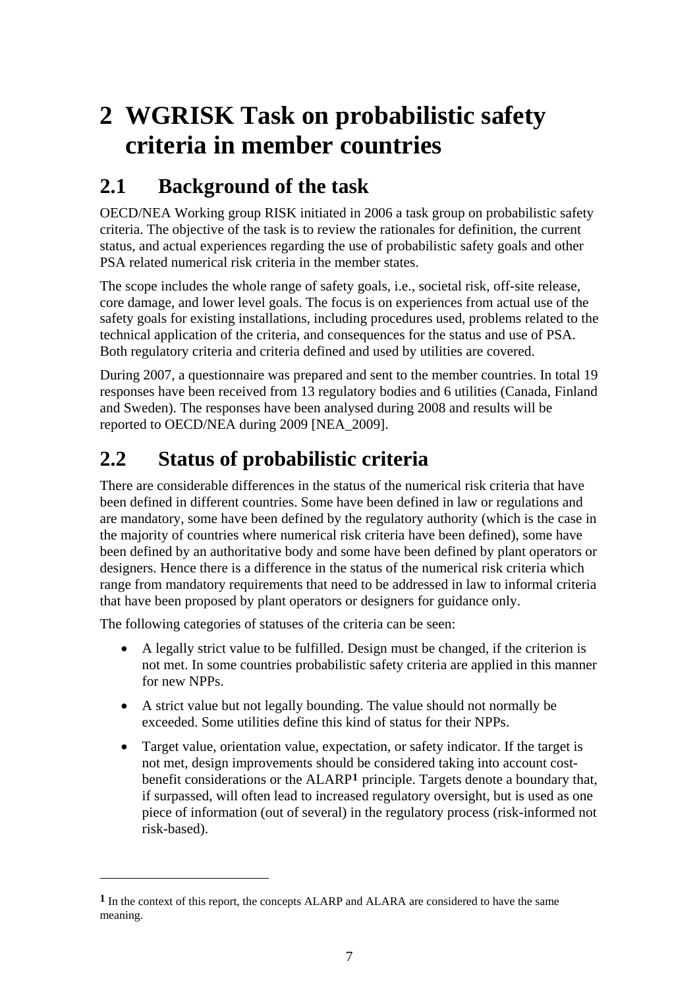## <span id="page-11-0"></span>**2 WGRISK Task on probabilistic safety criteria in member countries**

## **2.1 Background of the task**

OECD/NEA Working group RISK initiated in 2006 a task group on probabilistic safety criteria. The objective of the task is to review the rationales for definition, the current status, and actual experiences regarding the use of probabilistic safety goals and other PSA related numerical risk criteria in the member states.

The scope includes the whole range of safety goals, i.e., societal risk, off-site release, core damage, and lower level goals. The focus is on experiences from actual use of the safety goals for existing installations, including procedures used, problems related to the technical application of the criteria, and consequences for the status and use of PSA. Both regulatory criteria and criteria defined and used by utilities are covered.

During 2007, a questionnaire was prepared and sent to the member countries. In total 19 responses have been received from 13 regulatory bodies and 6 utilities (Canada, Finland and Sweden). The responses have been analysed during 2008 and results will be reported to OECD/NEA during 2009 [NEA\_2009].

## **2.2 Status of probabilistic criteria**

There are considerable differences in the status of the numerical risk criteria that have been defined in different countries. Some have been defined in law or regulations and are mandatory, some have been defined by the regulatory authority (which is the case in the majority of countries where numerical risk criteria have been defined), some have been defined by an authoritative body and some have been defined by plant operators or designers. Hence there is a difference in the status of the numerical risk criteria which range from mandatory requirements that need to be addressed in law to informal criteria that have been proposed by plant operators or designers for guidance only.

The following categories of statuses of the criteria can be seen:

<u>.</u>

- A legally strict value to be fulfilled. Design must be changed, if the criterion is not met. In some countries probabilistic safety criteria are applied in this manner for new NPPs.
- A strict value but not legally bounding. The value should not normally be exceeded. Some utilities define this kind of status for their NPPs.
- Target value, orientation value, expectation, or safety indicator. If the target is not met, design improvements should be considered taking into account costbenefit considerations or the ALARP**[1](#page-11-0)** principle. Targets denote a boundary that, if surpassed, will often lead to increased regulatory oversight, but is used as one piece of information (out of several) in the regulatory process (risk-informed not risk-based).

**<sup>1</sup>** In the context of this report, the concepts ALARP and ALARA are considered to have the same meaning.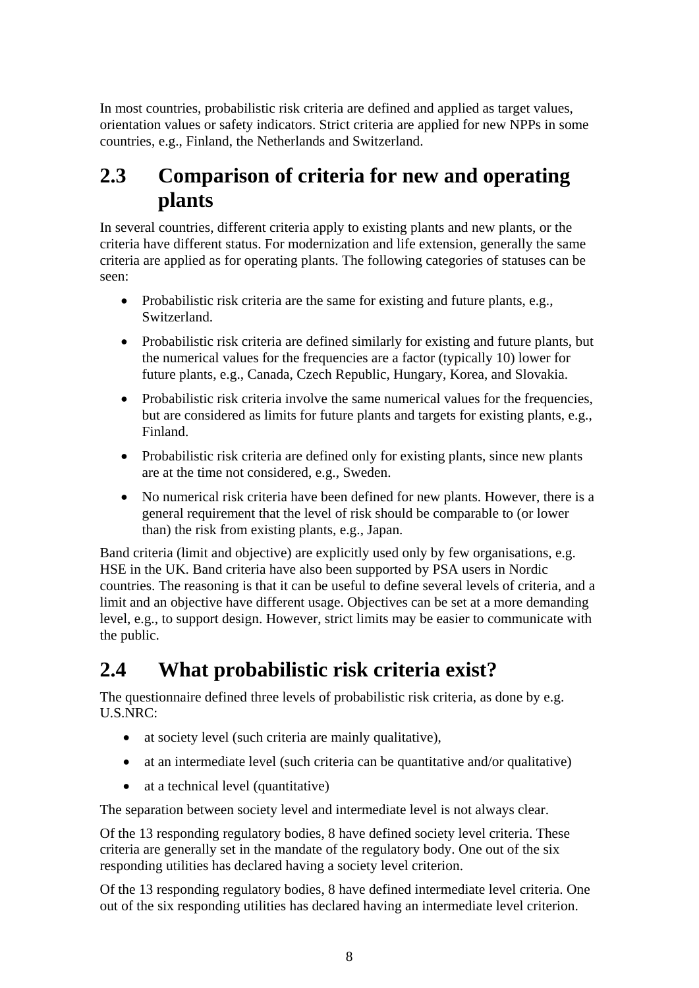<span id="page-12-0"></span>In most countries, probabilistic risk criteria are defined and applied as target values, orientation values or safety indicators. Strict criteria are applied for new NPPs in some countries, e.g., Finland, the Netherlands and Switzerland.

### **2.3 Comparison of criteria for new and operating plants**

In several countries, different criteria apply to existing plants and new plants, or the criteria have different status. For modernization and life extension, generally the same criteria are applied as for operating plants. The following categories of statuses can be seen:

- Probabilistic risk criteria are the same for existing and future plants, e.g., Switzerland.
- Probabilistic risk criteria are defined similarly for existing and future plants, but the numerical values for the frequencies are a factor (typically 10) lower for future plants, e.g., Canada, Czech Republic, Hungary, Korea, and Slovakia.
- Probabilistic risk criteria involve the same numerical values for the frequencies, but are considered as limits for future plants and targets for existing plants, e.g., Finland.
- Probabilistic risk criteria are defined only for existing plants, since new plants are at the time not considered, e.g., Sweden.
- No numerical risk criteria have been defined for new plants. However, there is a general requirement that the level of risk should be comparable to (or lower than) the risk from existing plants, e.g., Japan.

Band criteria (limit and objective) are explicitly used only by few organisations, e.g. HSE in the UK. Band criteria have also been supported by PSA users in Nordic countries. The reasoning is that it can be useful to define several levels of criteria, and a limit and an objective have different usage. Objectives can be set at a more demanding level, e.g., to support design. However, strict limits may be easier to communicate with the public.

## **2.4 What probabilistic risk criteria exist?**

The questionnaire defined three levels of probabilistic risk criteria, as done by e.g. U.S.NRC:

- at society level (such criteria are mainly qualitative),
- at an intermediate level (such criteria can be quantitative and/or qualitative)
- at a technical level (quantitative)

The separation between society level and intermediate level is not always clear.

Of the 13 responding regulatory bodies, 8 have defined society level criteria. These criteria are generally set in the mandate of the regulatory body. One out of the six responding utilities has declared having a society level criterion.

Of the 13 responding regulatory bodies, 8 have defined intermediate level criteria. One out of the six responding utilities has declared having an intermediate level criterion.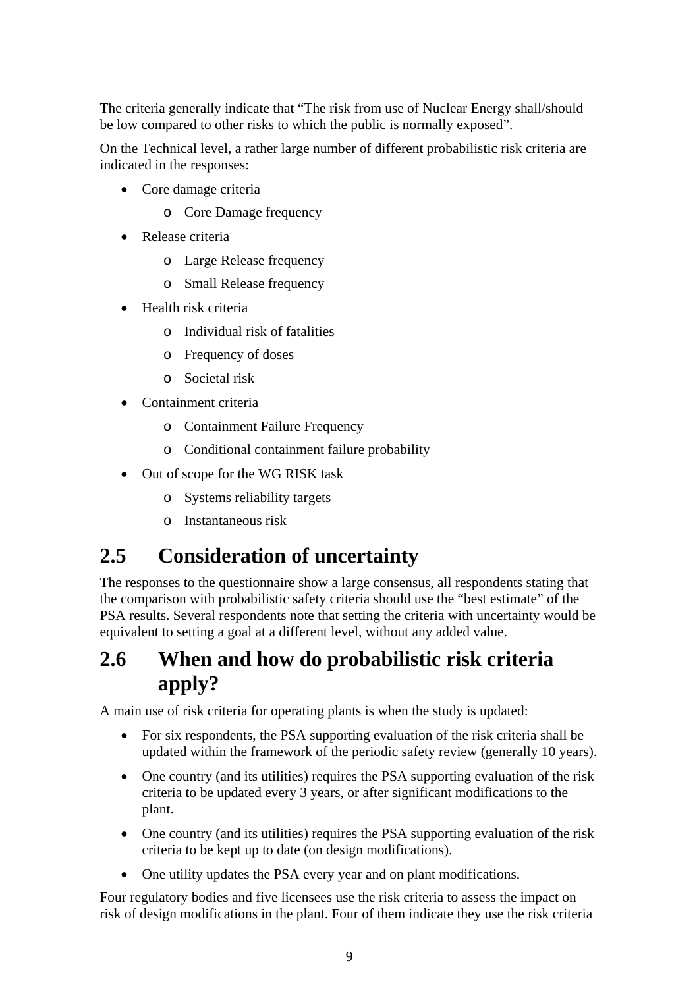<span id="page-13-0"></span>The criteria generally indicate that "The risk from use of Nuclear Energy shall/should be low compared to other risks to which the public is normally exposed".

On the Technical level, a rather large number of different probabilistic risk criteria are indicated in the responses:

- Core damage criteria
	- o Core Damage frequency
- Release criteria
	- o Large Release frequency
	- o Small Release frequency
- Health risk criteria
	- o Individual risk of fatalities
	- o Frequency of doses
	- o Societal risk
- Containment criteria
	- o Containment Failure Frequency
	- o Conditional containment failure probability
- Out of scope for the WG RISK task
	- o Systems reliability targets
	- o Instantaneous risk

### **2.5 Consideration of uncertainty**

The responses to the questionnaire show a large consensus, all respondents stating that the comparison with probabilistic safety criteria should use the "best estimate" of the PSA results. Several respondents note that setting the criteria with uncertainty would be equivalent to setting a goal at a different level, without any added value.

### **2.6 When and how do probabilistic risk criteria apply?**

A main use of risk criteria for operating plants is when the study is updated:

- For six respondents, the PSA supporting evaluation of the risk criteria shall be updated within the framework of the periodic safety review (generally 10 years).
- One country (and its utilities) requires the PSA supporting evaluation of the risk criteria to be updated every 3 years, or after significant modifications to the plant.
- One country (and its utilities) requires the PSA supporting evaluation of the risk criteria to be kept up to date (on design modifications).
- One utility updates the PSA every year and on plant modifications.

Four regulatory bodies and five licensees use the risk criteria to assess the impact on risk of design modifications in the plant. Four of them indicate they use the risk criteria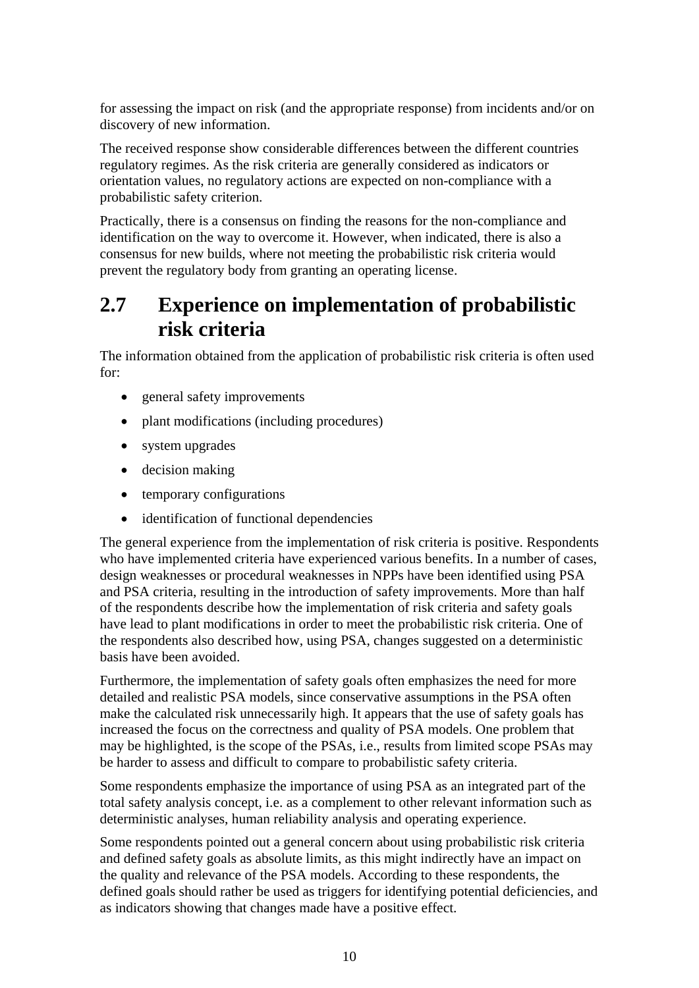<span id="page-14-0"></span>for assessing the impact on risk (and the appropriate response) from incidents and/or on discovery of new information.

The received response show considerable differences between the different countries regulatory regimes. As the risk criteria are generally considered as indicators or orientation values, no regulatory actions are expected on non-compliance with a probabilistic safety criterion.

Practically, there is a consensus on finding the reasons for the non-compliance and identification on the way to overcome it. However, when indicated, there is also a consensus for new builds, where not meeting the probabilistic risk criteria would prevent the regulatory body from granting an operating license.

### **2.7 Experience on implementation of probabilistic risk criteria**

The information obtained from the application of probabilistic risk criteria is often used for:

- general safety improvements
- plant modifications (including procedures)
- system upgrades
- decision making
- temporary configurations
- identification of functional dependencies

The general experience from the implementation of risk criteria is positive. Respondents who have implemented criteria have experienced various benefits. In a number of cases, design weaknesses or procedural weaknesses in NPPs have been identified using PSA and PSA criteria, resulting in the introduction of safety improvements. More than half of the respondents describe how the implementation of risk criteria and safety goals have lead to plant modifications in order to meet the probabilistic risk criteria. One of the respondents also described how, using PSA, changes suggested on a deterministic basis have been avoided.

Furthermore, the implementation of safety goals often emphasizes the need for more detailed and realistic PSA models, since conservative assumptions in the PSA often make the calculated risk unnecessarily high. It appears that the use of safety goals has increased the focus on the correctness and quality of PSA models. One problem that may be highlighted, is the scope of the PSAs, i.e., results from limited scope PSAs may be harder to assess and difficult to compare to probabilistic safety criteria.

Some respondents emphasize the importance of using PSA as an integrated part of the total safety analysis concept, i.e. as a complement to other relevant information such as deterministic analyses, human reliability analysis and operating experience.

Some respondents pointed out a general concern about using probabilistic risk criteria and defined safety goals as absolute limits, as this might indirectly have an impact on the quality and relevance of the PSA models. According to these respondents, the defined goals should rather be used as triggers for identifying potential deficiencies, and as indicators showing that changes made have a positive effect.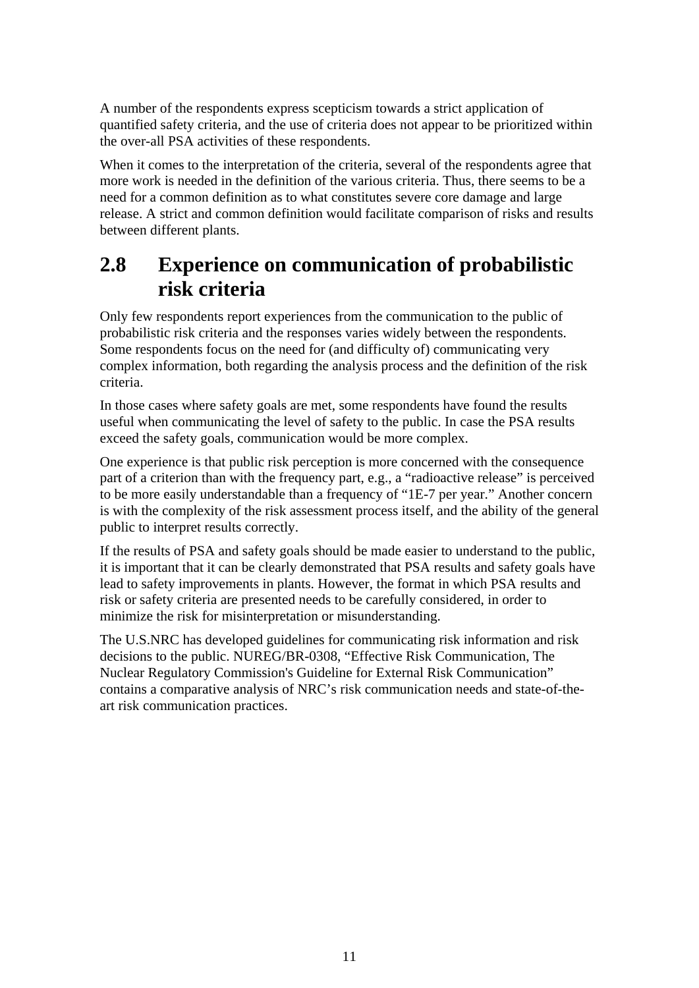<span id="page-15-0"></span>A number of the respondents express scepticism towards a strict application of quantified safety criteria, and the use of criteria does not appear to be prioritized within the over-all PSA activities of these respondents.

When it comes to the interpretation of the criteria, several of the respondents agree that more work is needed in the definition of the various criteria. Thus, there seems to be a need for a common definition as to what constitutes severe core damage and large release. A strict and common definition would facilitate comparison of risks and results between different plants.

### **2.8 Experience on communication of probabilistic risk criteria**

Only few respondents report experiences from the communication to the public of probabilistic risk criteria and the responses varies widely between the respondents. Some respondents focus on the need for (and difficulty of) communicating very complex information, both regarding the analysis process and the definition of the risk criteria.

In those cases where safety goals are met, some respondents have found the results useful when communicating the level of safety to the public. In case the PSA results exceed the safety goals, communication would be more complex.

One experience is that public risk perception is more concerned with the consequence part of a criterion than with the frequency part, e.g., a "radioactive release" is perceived to be more easily understandable than a frequency of "1E-7 per year." Another concern is with the complexity of the risk assessment process itself, and the ability of the general public to interpret results correctly.

If the results of PSA and safety goals should be made easier to understand to the public, it is important that it can be clearly demonstrated that PSA results and safety goals have lead to safety improvements in plants. However, the format in which PSA results and risk or safety criteria are presented needs to be carefully considered, in order to minimize the risk for misinterpretation or misunderstanding.

The U.S.NRC has developed guidelines for communicating risk information and risk decisions to the public. NUREG/BR-0308, "Effective Risk Communication, The Nuclear Regulatory Commission's Guideline for External Risk Communication" contains a comparative analysis of NRC's risk communication needs and state-of-theart risk communication practices.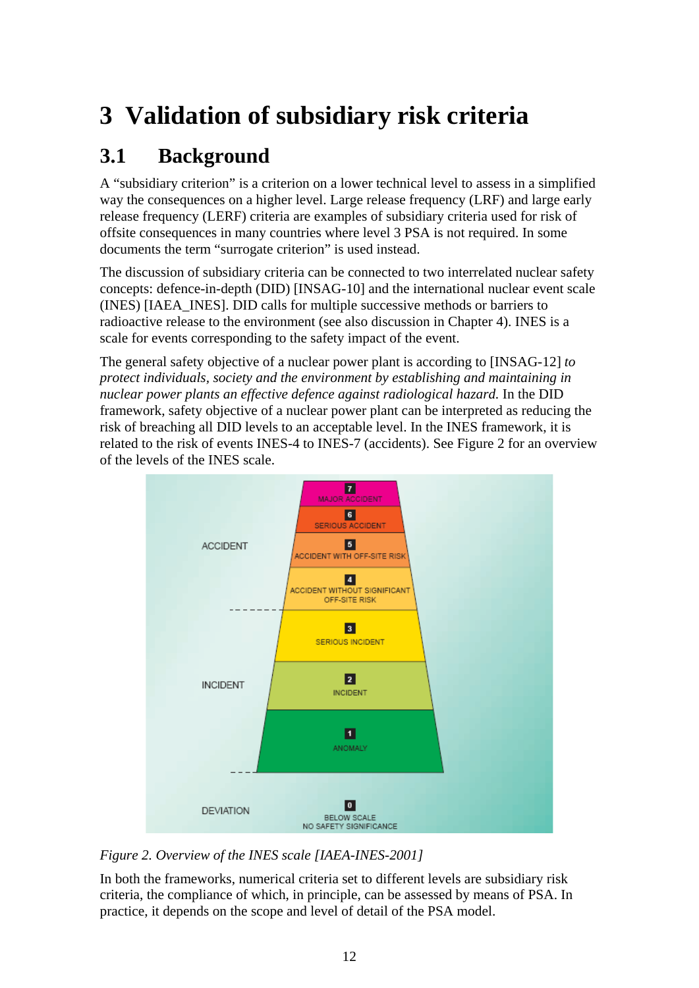# <span id="page-16-0"></span>**3 Validation of subsidiary risk criteria**

## **3.1 Background**

A "subsidiary criterion" is a criterion on a lower technical level to assess in a simplified way the consequences on a higher level. Large release frequency (LRF) and large early release frequency (LERF) criteria are examples of subsidiary criteria used for risk of offsite consequences in many countries where level 3 PSA is not required. In some documents the term "surrogate criterion" is used instead.

The discussion of subsidiary criteria can be connected to two interrelated nuclear safety concepts: defence-in-depth (DID) [INSAG-10] and the international nuclear event scale (INES) [IAEA\_INES]. DID calls for multiple successive methods or barriers to radioactive release to the environment (see also discussion in Chapter 4). INES is a scale for events corresponding to the safety impact of the event.

The general safety objective of a nuclear power plant is according to [INSAG-12] *to protect individuals, society and the environment by establishing and maintaining in nuclear power plants an effective defence against radiological hazard.* In the DID framework, safety objective of a nuclear power plant can be interpreted as reducing the risk of breaching all DID levels to an acceptable level. In the INES framework, it is related to the risk of events INES-4 to INES-7 (accidents). See [Figure 2](#page-16-1) for an overview of the levels of the INES scale.



<span id="page-16-1"></span>*Figure 2. Overview of the INES scale [IAEA-INES-2001]* 

In both the frameworks, numerical criteria set to different levels are subsidiary risk criteria, the compliance of which, in principle, can be assessed by means of PSA. In practice, it depends on the scope and level of detail of the PSA model.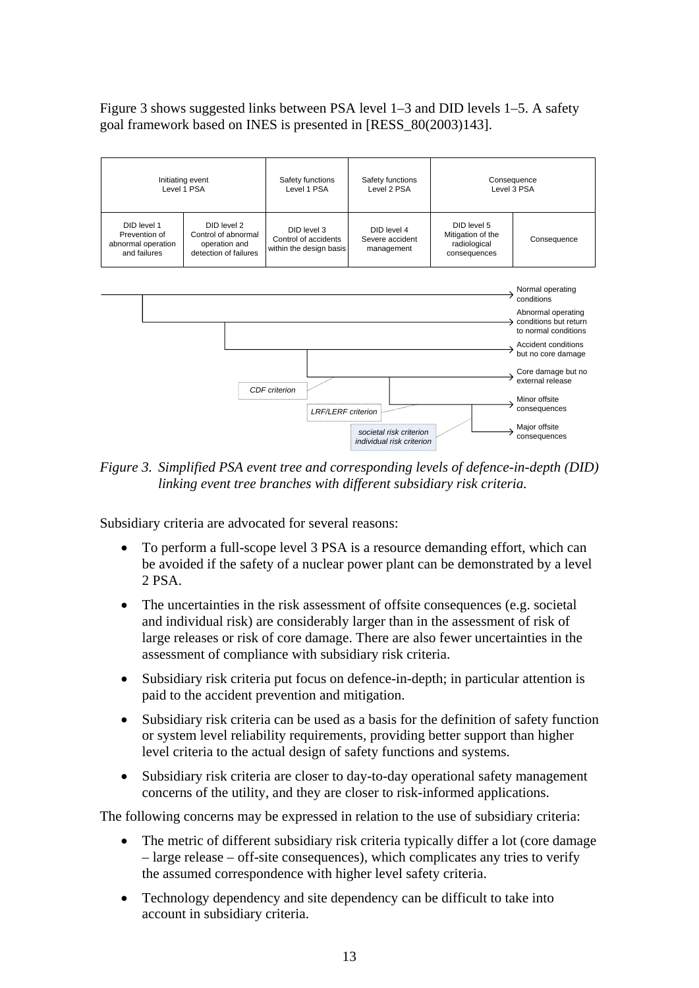<span id="page-17-0"></span>[Figure 3](#page-17-1) shows suggested links between PSA level 1–3 and DID levels 1–5. A safety goal framework based on INES is presented in [RESS\_80(2003)143].



<span id="page-17-1"></span>*Figure 3. Simplified PSA event tree and corresponding levels of defence-in-depth (DID) linking event tree branches with different subsidiary risk criteria.* 

Subsidiary criteria are advocated for several reasons:

- To perform a full-scope level 3 PSA is a resource demanding effort, which can be avoided if the safety of a nuclear power plant can be demonstrated by a level 2 PSA.
- The uncertainties in the risk assessment of offsite consequences (e.g. societal and individual risk) are considerably larger than in the assessment of risk of large releases or risk of core damage. There are also fewer uncertainties in the assessment of compliance with subsidiary risk criteria.
- Subsidiary risk criteria put focus on defence-in-depth: in particular attention is paid to the accident prevention and mitigation.
- Subsidiary risk criteria can be used as a basis for the definition of safety function or system level reliability requirements, providing better support than higher level criteria to the actual design of safety functions and systems.
- Subsidiary risk criteria are closer to day-to-day operational safety management concerns of the utility, and they are closer to risk-informed applications.

The following concerns may be expressed in relation to the use of subsidiary criteria:

- The metric of different subsidiary risk criteria typically differ a lot (core damage – large release – off-site consequences), which complicates any tries to verify the assumed correspondence with higher level safety criteria.
- Technology dependency and site dependency can be difficult to take into account in subsidiary criteria.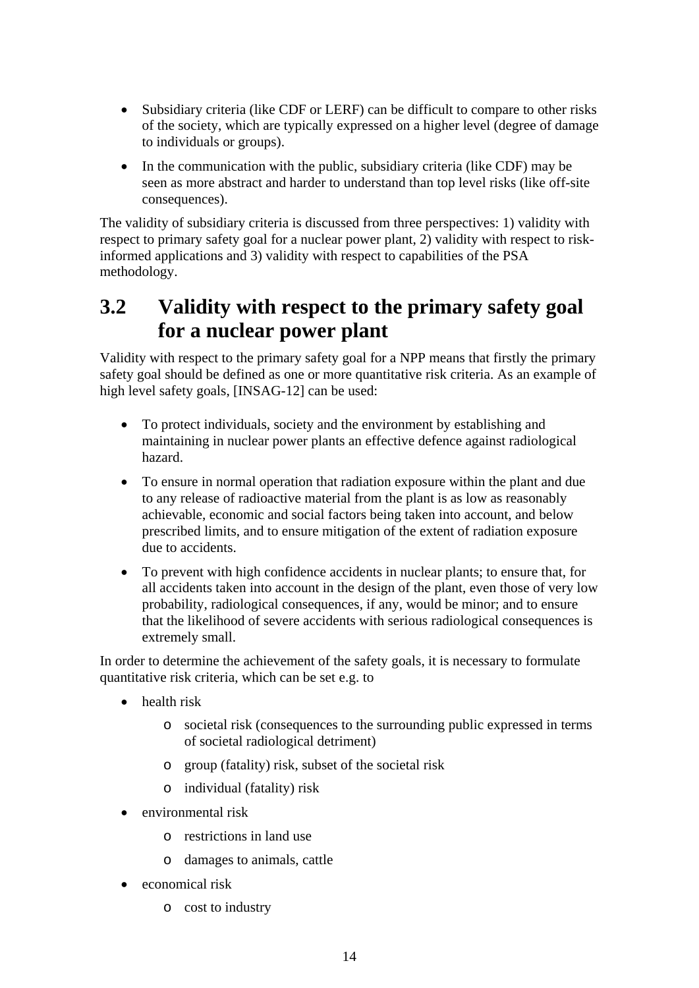- <span id="page-18-0"></span>• Subsidiary criteria (like CDF or LERF) can be difficult to compare to other risks of the society, which are typically expressed on a higher level (degree of damage to individuals or groups).
- In the communication with the public, subsidiary criteria (like CDF) may be seen as more abstract and harder to understand than top level risks (like off-site consequences).

The validity of subsidiary criteria is discussed from three perspectives: 1) validity with respect to primary safety goal for a nuclear power plant, 2) validity with respect to riskinformed applications and 3) validity with respect to capabilities of the PSA methodology.

## **3.2 Validity with respect to the primary safety goal for a nuclear power plant**

Validity with respect to the primary safety goal for a NPP means that firstly the primary safety goal should be defined as one or more quantitative risk criteria. As an example of high level safety goals, [INSAG-12] can be used:

- To protect individuals, society and the environment by establishing and maintaining in nuclear power plants an effective defence against radiological hazard.
- To ensure in normal operation that radiation exposure within the plant and due to any release of radioactive material from the plant is as low as reasonably achievable, economic and social factors being taken into account, and below prescribed limits, and to ensure mitigation of the extent of radiation exposure due to accidents.
- To prevent with high confidence accidents in nuclear plants; to ensure that, for all accidents taken into account in the design of the plant, even those of very low probability, radiological consequences, if any, would be minor; and to ensure that the likelihood of severe accidents with serious radiological consequences is extremely small.

In order to determine the achievement of the safety goals, it is necessary to formulate quantitative risk criteria, which can be set e.g. to

- health risk
	- o societal risk (consequences to the surrounding public expressed in terms of societal radiological detriment)
	- o group (fatality) risk, subset of the societal risk
	- o individual (fatality) risk
- environmental risk
	- o restrictions in land use
	- o damages to animals, cattle
- economical risk
	- o cost to industry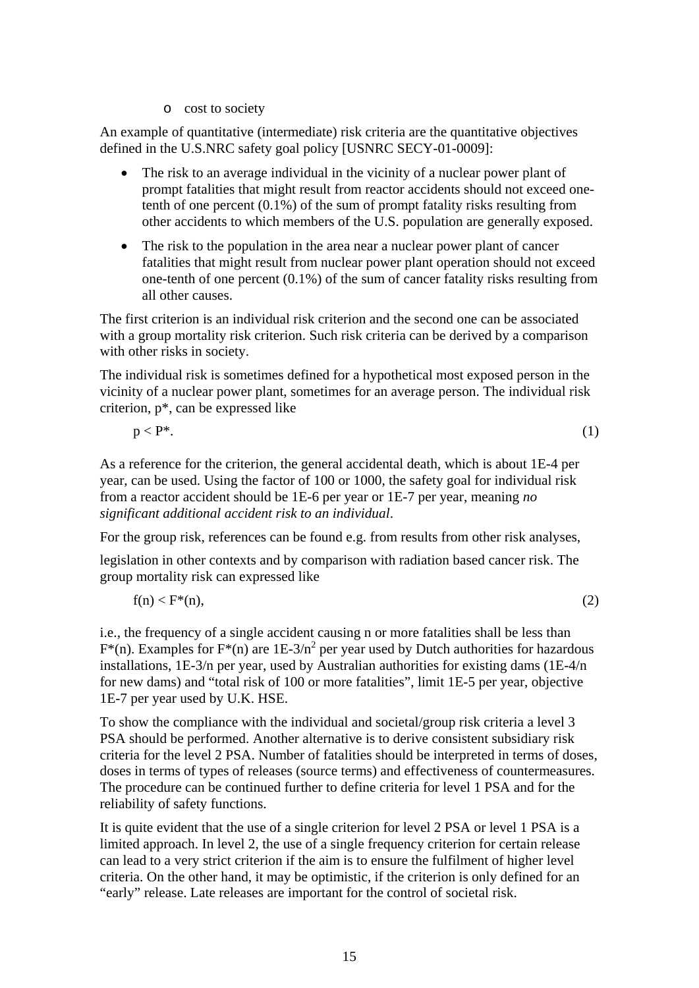o cost to society

An example of quantitative (intermediate) risk criteria are the quantitative objectives defined in the U.S.NRC safety goal policy [USNRC SECY-01-0009]:

- The risk to an average individual in the vicinity of a nuclear power plant of prompt fatalities that might result from reactor accidents should not exceed onetenth of one percent (0.1%) of the sum of prompt fatality risks resulting from other accidents to which members of the U.S. population are generally exposed.
- The risk to the population in the area near a nuclear power plant of cancer fatalities that might result from nuclear power plant operation should not exceed one-tenth of one percent (0.1%) of the sum of cancer fatality risks resulting from all other causes.

The first criterion is an individual risk criterion and the second one can be associated with a group mortality risk criterion. Such risk criteria can be derived by a comparison with other risks in society.

The individual risk is sometimes defined for a hypothetical most exposed person in the vicinity of a nuclear power plant, sometimes for an average person. The individual risk criterion, p\*, can be expressed like

$$
p < P^*.\tag{1}
$$

As a reference for the criterion, the general accidental death, which is about 1E-4 per year, can be used. Using the factor of 100 or 1000, the safety goal for individual risk from a reactor accident should be 1E-6 per year or 1E-7 per year, meaning *no significant additional accident risk to an individual*.

For the group risk, references can be found e.g. from results from other risk analyses,

legislation in other contexts and by comparison with radiation based cancer risk. The group mortality risk can expressed like

$$
f(n) < F^*(n),\tag{2}
$$

i.e., the frequency of a single accident causing n or more fatalities shall be less than  $F^*(n)$ . Examples for  $F^*(n)$  are 1E-3/n<sup>2</sup> per year used by Dutch authorities for hazardous installations, 1E-3/n per year, used by Australian authorities for existing dams (1E-4/n for new dams) and "total risk of 100 or more fatalities", limit 1E-5 per year, objective 1E-7 per year used by U.K. HSE.

To show the compliance with the individual and societal/group risk criteria a level 3 PSA should be performed. Another alternative is to derive consistent subsidiary risk criteria for the level 2 PSA. Number of fatalities should be interpreted in terms of doses, doses in terms of types of releases (source terms) and effectiveness of countermeasures. The procedure can be continued further to define criteria for level 1 PSA and for the reliability of safety functions.

It is quite evident that the use of a single criterion for level 2 PSA or level 1 PSA is a limited approach. In level 2, the use of a single frequency criterion for certain release can lead to a very strict criterion if the aim is to ensure the fulfilment of higher level criteria. On the other hand, it may be optimistic, if the criterion is only defined for an "early" release. Late releases are important for the control of societal risk.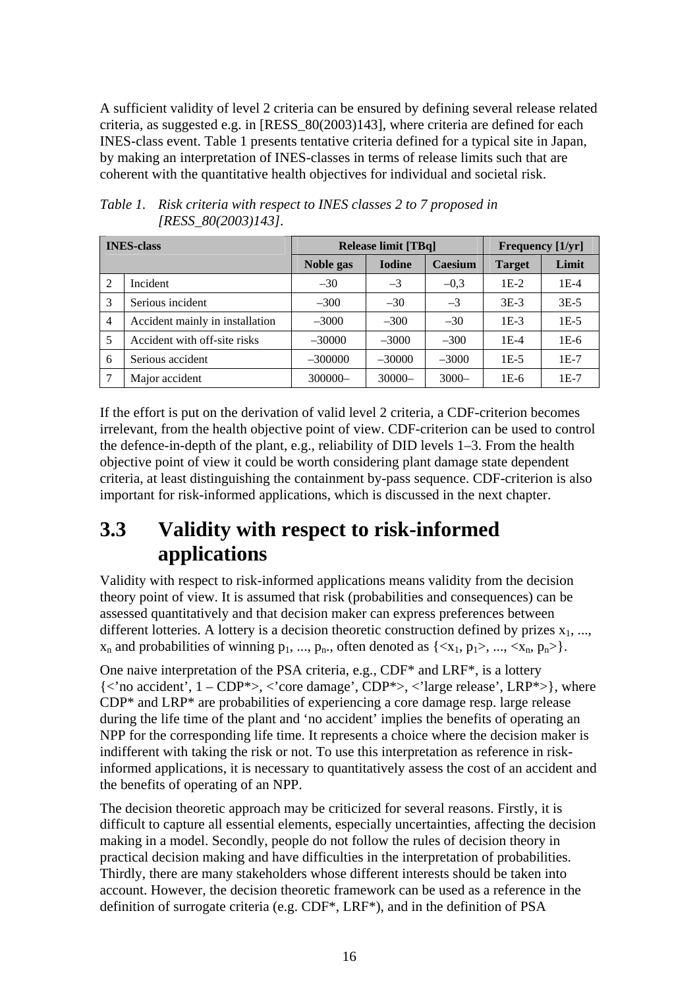<span id="page-20-0"></span>A sufficient validity of level 2 criteria can be ensured by defining several release related criteria, as suggested e.g. in [RESS\_80(2003)143], where criteria are defined for each INES-class event. [Table 1](#page-20-1) presents tentative criteria defined for a typical site in Japan, by making an interpretation of INES-classes in terms of release limits such that are coherent with the quantitative health objectives for individual and societal risk.

| <b>INES-class</b> |                                 | <b>Release limit [TBq]</b> |               |          | <b>Frequency</b> [1/yr] |        |
|-------------------|---------------------------------|----------------------------|---------------|----------|-------------------------|--------|
|                   |                                 | Noble gas                  | <b>Iodine</b> | Caesium  | <b>Target</b>           | Limit  |
| 2                 | Incident                        | $-30$                      | $-3$          | $-0.3$   | $1E-2$                  | $1E-4$ |
| 3                 | Serious incident                | $-300$                     | $-30$         | $-3$     | $3E-3$                  | $3E-5$ |
| $\overline{4}$    | Accident mainly in installation | $-3000$                    | $-300$        | $-30$    | $1E-3$                  | $1E-5$ |
| 5                 | Accident with off-site risks    | $-30000$                   | $-3000$       | $-300$   | 1E-4                    | $1E-6$ |
| 6                 | Serious accident                | $-300000$                  | $-30000$      | $-3000$  | $1E-5$                  | $1E-7$ |
| 7                 | Major accident                  | 300000-                    | $30000 -$     | $3000 -$ | 1E-6                    | $1E-7$ |

<span id="page-20-1"></span>*Table 1. Risk criteria with respect to INES classes 2 to 7 proposed in [RESS\_80(2003)143].* 

If the effort is put on the derivation of valid level 2 criteria, a CDF-criterion becomes irrelevant, from the health objective point of view. CDF-criterion can be used to control the defence-in-depth of the plant, e.g., reliability of DID levels 1–3. From the health objective point of view it could be worth considering plant damage state dependent criteria, at least distinguishing the containment by-pass sequence. CDF-criterion is also important for risk-informed applications, which is discussed in the next chapter.

## **3.3 Validity with respect to risk-informed applications**

Validity with respect to risk-informed applications means validity from the decision theory point of view. It is assumed that risk (probabilities and consequences) can be assessed quantitatively and that decision maker can express preferences between different lotteries. A lottery is a decision theoretic construction defined by prizes  $x_1$ , ...,  $x_n$  and probabilities of winning  $p_1, ..., p_n$ , often denoted as  $\{ \langle x_1, p_1 \rangle, ..., \langle x_n, p_n \rangle \}$ .

One naive interpretation of the PSA criteria, e.g., CDF\* and LRF\*, is a lottery  $\{\langle \rangle$  accident',  $1 - \text{CDP}^* > \langle \rangle$  core damage', CDP $\rangle$ ,  $\langle \rangle$  large release', LRP $\rangle$ , where CDP\* and LRP\* are probabilities of experiencing a core damage resp. large release during the life time of the plant and 'no accident' implies the benefits of operating an NPP for the corresponding life time. It represents a choice where the decision maker is indifferent with taking the risk or not. To use this interpretation as reference in riskinformed applications, it is necessary to quantitatively assess the cost of an accident and the benefits of operating of an NPP.

The decision theoretic approach may be criticized for several reasons. Firstly, it is difficult to capture all essential elements, especially uncertainties, affecting the decision making in a model. Secondly, people do not follow the rules of decision theory in practical decision making and have difficulties in the interpretation of probabilities. Thirdly, there are many stakeholders whose different interests should be taken into account. However, the decision theoretic framework can be used as a reference in the definition of surrogate criteria (e.g. CDF\*, LRF\*), and in the definition of PSA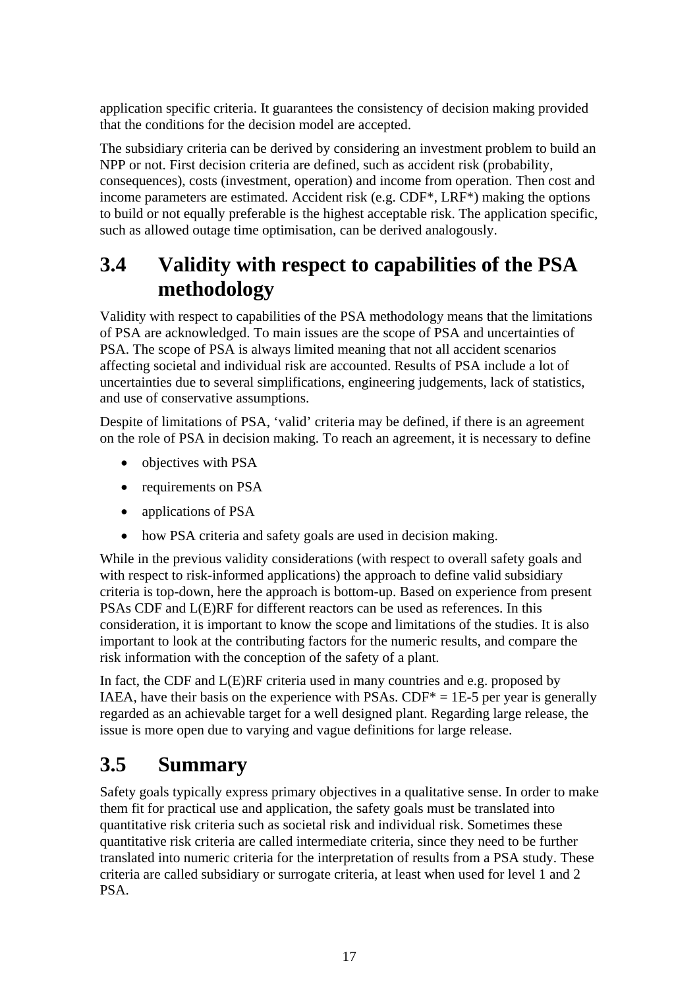<span id="page-21-0"></span>application specific criteria. It guarantees the consistency of decision making provided that the conditions for the decision model are accepted.

The subsidiary criteria can be derived by considering an investment problem to build an NPP or not. First decision criteria are defined, such as accident risk (probability, consequences), costs (investment, operation) and income from operation. Then cost and income parameters are estimated. Accident risk (e.g. CDF\*, LRF\*) making the options to build or not equally preferable is the highest acceptable risk. The application specific, such as allowed outage time optimisation, can be derived analogously.

## **3.4 Validity with respect to capabilities of the PSA methodology**

Validity with respect to capabilities of the PSA methodology means that the limitations of PSA are acknowledged. To main issues are the scope of PSA and uncertainties of PSA. The scope of PSA is always limited meaning that not all accident scenarios affecting societal and individual risk are accounted. Results of PSA include a lot of uncertainties due to several simplifications, engineering judgements, lack of statistics, and use of conservative assumptions.

Despite of limitations of PSA, 'valid' criteria may be defined, if there is an agreement on the role of PSA in decision making. To reach an agreement, it is necessary to define

- objectives with PSA
- requirements on PSA
- applications of PSA
- how PSA criteria and safety goals are used in decision making.

While in the previous validity considerations (with respect to overall safety goals and with respect to risk-informed applications) the approach to define valid subsidiary criteria is top-down, here the approach is bottom-up. Based on experience from present PSAs CDF and L(E)RF for different reactors can be used as references. In this consideration, it is important to know the scope and limitations of the studies. It is also important to look at the contributing factors for the numeric results, and compare the risk information with the conception of the safety of a plant.

In fact, the CDF and L(E)RF criteria used in many countries and e.g. proposed by IAEA, have their basis on the experience with PSAs.  $CDF^* = 1E-5$  per year is generally regarded as an achievable target for a well designed plant. Regarding large release, the issue is more open due to varying and vague definitions for large release.

## **3.5 Summary**

Safety goals typically express primary objectives in a qualitative sense. In order to make them fit for practical use and application, the safety goals must be translated into quantitative risk criteria such as societal risk and individual risk. Sometimes these quantitative risk criteria are called intermediate criteria, since they need to be further translated into numeric criteria for the interpretation of results from a PSA study. These criteria are called subsidiary or surrogate criteria, at least when used for level 1 and 2 PSA.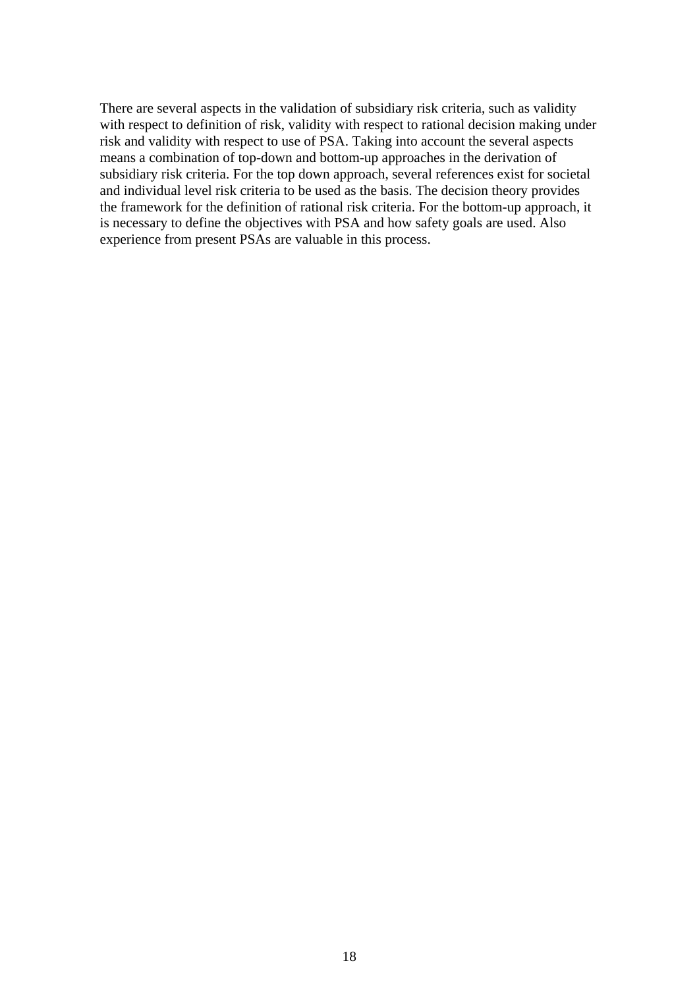There are several aspects in the validation of subsidiary risk criteria, such as validity with respect to definition of risk, validity with respect to rational decision making under risk and validity with respect to use of PSA. Taking into account the several aspects means a combination of top-down and bottom-up approaches in the derivation of subsidiary risk criteria. For the top down approach, several references exist for societal and individual level risk criteria to be used as the basis. The decision theory provides the framework for the definition of rational risk criteria. For the bottom-up approach, it is necessary to define the objectives with PSA and how safety goals are used. Also experience from present PSAs are valuable in this process.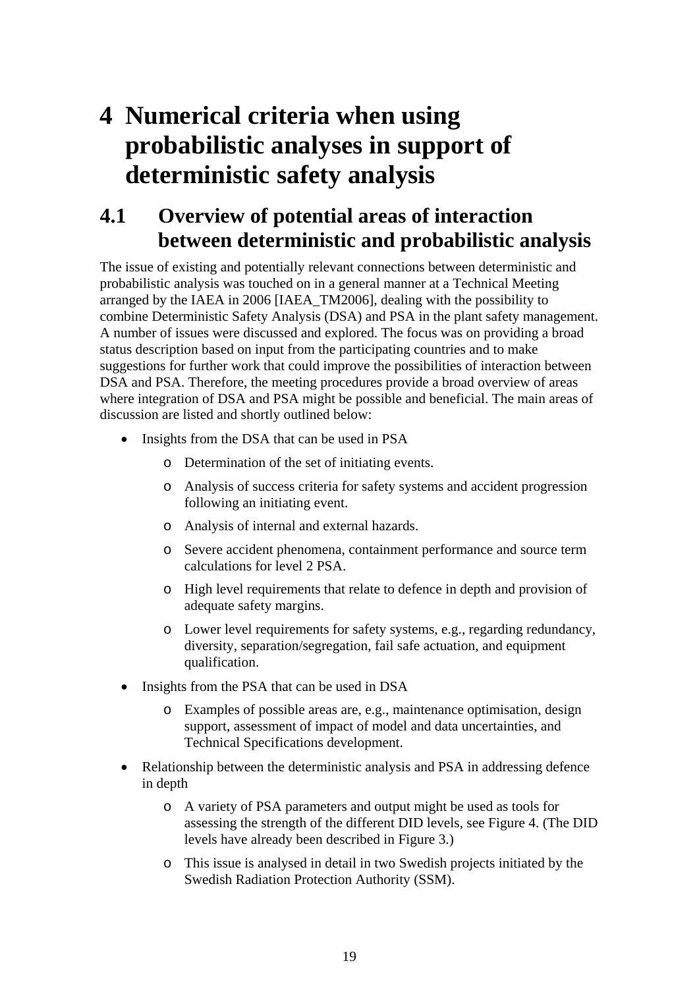## <span id="page-23-0"></span>**4 Numerical criteria when using probabilistic analyses in support of deterministic safety analysis**

## **4.1 Overview of potential areas of interaction between deterministic and probabilistic analysis**

The issue of existing and potentially relevant connections between deterministic and probabilistic analysis was touched on in a general manner at a Technical Meeting arranged by the IAEA in 2006 [IAEA\_TM2006], dealing with the possibility to combine Deterministic Safety Analysis (DSA) and PSA in the plant safety management. A number of issues were discussed and explored. The focus was on providing a broad status description based on input from the participating countries and to make suggestions for further work that could improve the possibilities of interaction between DSA and PSA. Therefore, the meeting procedures provide a broad overview of areas where integration of DSA and PSA might be possible and beneficial. The main areas of discussion are listed and shortly outlined below:

- Insights from the DSA that can be used in PSA
	- o Determination of the set of initiating events.
	- o Analysis of success criteria for safety systems and accident progression following an initiating event.
	- o Analysis of internal and external hazards.
	- o Severe accident phenomena, containment performance and source term calculations for level 2 PSA.
	- o High level requirements that relate to defence in depth and provision of adequate safety margins.
	- o Lower level requirements for safety systems, e.g., regarding redundancy, diversity, separation/segregation, fail safe actuation, and equipment qualification.
- Insights from the PSA that can be used in DSA
	- o Examples of possible areas are, e.g., maintenance optimisation, design support, assessment of impact of model and data uncertainties, and Technical Specifications development.
- Relationship between the deterministic analysis and PSA in addressing defence in depth
	- o A variety of PSA parameters and output might be used as tools for assessing the strength of the different DID levels, see [Figure 4](#page-24-1). (The DID levels have already been described in [Figure 3.](#page-17-1))
	- o This issue is analysed in detail in two Swedish projects initiated by the Swedish Radiation Protection Authority (SSM).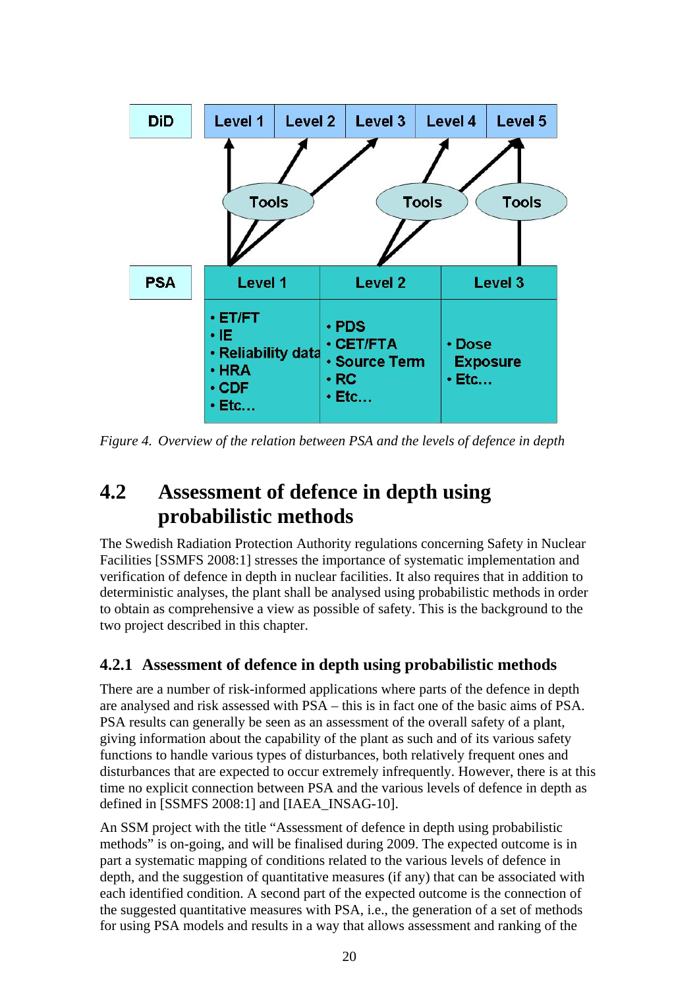<span id="page-24-0"></span>

<span id="page-24-1"></span>*Figure 4. Overview of the relation between PSA and the levels of defence in depth* 

## **4.2 Assessment of defence in depth using probabilistic methods**

The Swedish Radiation Protection Authority regulations concerning Safety in Nuclear Facilities [SSMFS 2008:1] stresses the importance of systematic implementation and verification of defence in depth in nuclear facilities. It also requires that in addition to deterministic analyses, the plant shall be analysed using probabilistic methods in order to obtain as comprehensive a view as possible of safety. This is the background to the two project described in this chapter.

### **4.2.1 Assessment of defence in depth using probabilistic methods**

There are a number of risk-informed applications where parts of the defence in depth are analysed and risk assessed with PSA – this is in fact one of the basic aims of PSA. PSA results can generally be seen as an assessment of the overall safety of a plant, giving information about the capability of the plant as such and of its various safety functions to handle various types of disturbances, both relatively frequent ones and disturbances that are expected to occur extremely infrequently. However, there is at this time no explicit connection between PSA and the various levels of defence in depth as defined in [SSMFS 2008:1] and [IAEA\_INSAG-10].

An SSM project with the title "Assessment of defence in depth using probabilistic methods" is on-going, and will be finalised during 2009. The expected outcome is in part a systematic mapping of conditions related to the various levels of defence in depth, and the suggestion of quantitative measures (if any) that can be associated with each identified condition. A second part of the expected outcome is the connection of the suggested quantitative measures with PSA, i.e., the generation of a set of methods for using PSA models and results in a way that allows assessment and ranking of the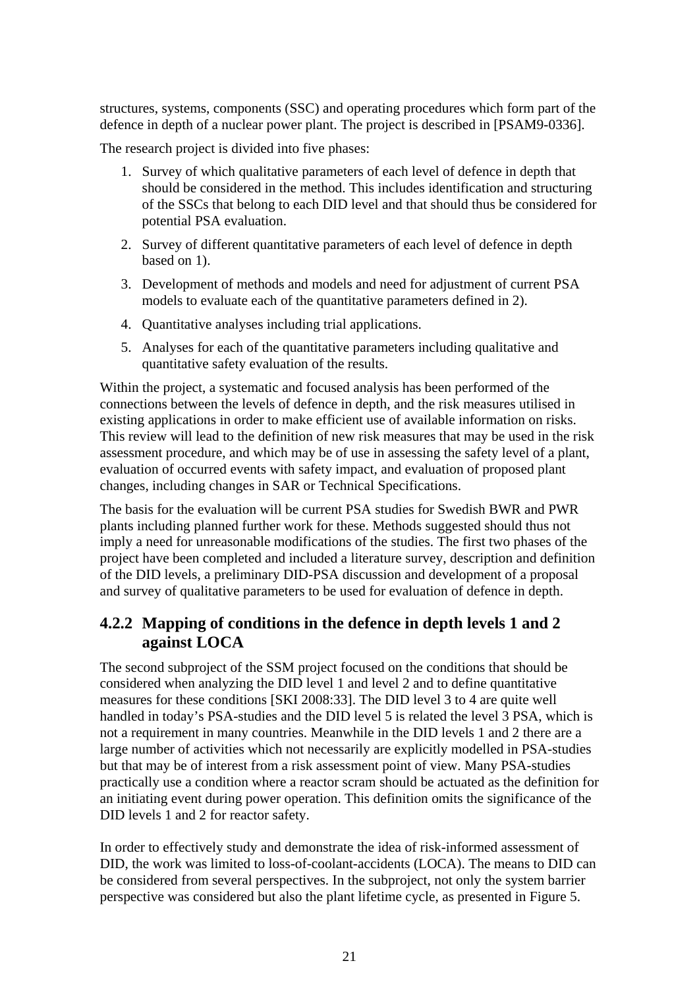<span id="page-25-0"></span>structures, systems, components (SSC) and operating procedures which form part of the defence in depth of a nuclear power plant. The project is described in [PSAM9-0336].

The research project is divided into five phases:

- 1. Survey of which qualitative parameters of each level of defence in depth that should be considered in the method. This includes identification and structuring of the SSCs that belong to each DID level and that should thus be considered for potential PSA evaluation.
- 2. Survey of different quantitative parameters of each level of defence in depth based on 1).
- 3. Development of methods and models and need for adjustment of current PSA models to evaluate each of the quantitative parameters defined in 2).
- 4. Quantitative analyses including trial applications.
- 5. Analyses for each of the quantitative parameters including qualitative and quantitative safety evaluation of the results.

Within the project, a systematic and focused analysis has been performed of the connections between the levels of defence in depth, and the risk measures utilised in existing applications in order to make efficient use of available information on risks. This review will lead to the definition of new risk measures that may be used in the risk assessment procedure, and which may be of use in assessing the safety level of a plant, evaluation of occurred events with safety impact, and evaluation of proposed plant changes, including changes in SAR or Technical Specifications.

The basis for the evaluation will be current PSA studies for Swedish BWR and PWR plants including planned further work for these. Methods suggested should thus not imply a need for unreasonable modifications of the studies. The first two phases of the project have been completed and included a literature survey, description and definition of the DID levels, a preliminary DID-PSA discussion and development of a proposal and survey of qualitative parameters to be used for evaluation of defence in depth.

### **4.2.2 Mapping of conditions in the defence in depth levels 1 and 2 against LOCA**

The second subproject of the SSM project focused on the conditions that should be considered when analyzing the DID level 1 and level 2 and to define quantitative measures for these conditions [SKI 2008:33]. The DID level 3 to 4 are quite well handled in today's PSA-studies and the DID level 5 is related the level 3 PSA, which is not a requirement in many countries. Meanwhile in the DID levels 1 and 2 there are a large number of activities which not necessarily are explicitly modelled in PSA-studies but that may be of interest from a risk assessment point of view. Many PSA-studies practically use a condition where a reactor scram should be actuated as the definition for an initiating event during power operation. This definition omits the significance of the DID levels 1 and 2 for reactor safety.

In order to effectively study and demonstrate the idea of risk-informed assessment of DID, the work was limited to loss-of-coolant-accidents (LOCA). The means to DID can be considered from several perspectives. In the subproject, not only the system barrier perspective was considered but also the plant lifetime cycle, as presented in [Figure 5.](#page-26-1)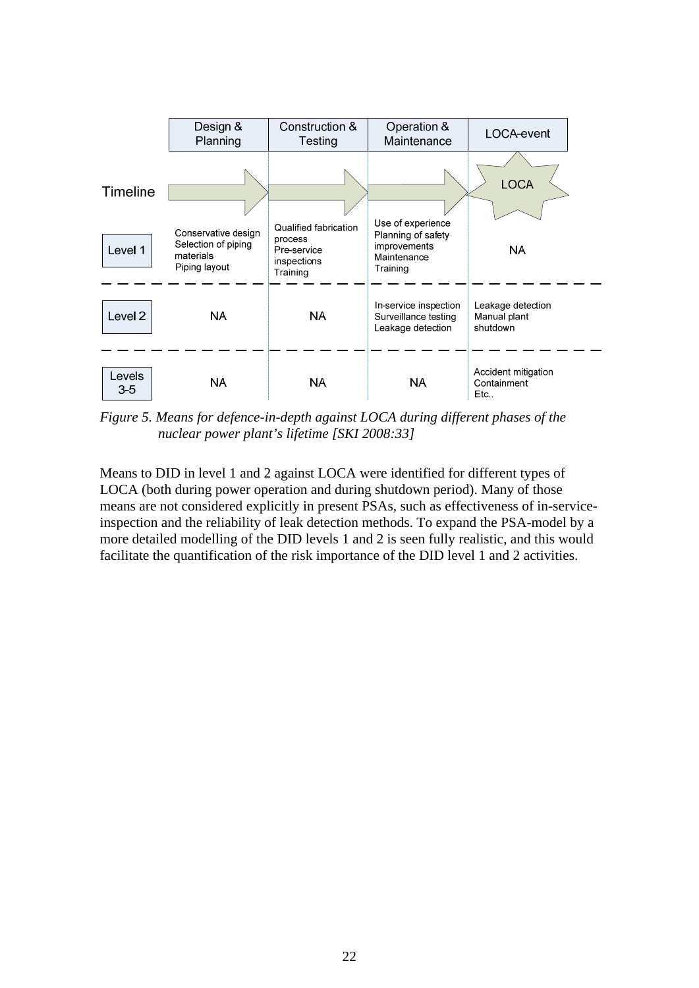<span id="page-26-0"></span>

<span id="page-26-1"></span>*Figure 5. Means for defence-in-depth against LOCA during different phases of the nuclear power plant's lifetime [SKI 2008:33]* 

Means to DID in level 1 and 2 against LOCA were identified for different types of LOCA (both during power operation and during shutdown period). Many of those means are not considered explicitly in present PSAs, such as effectiveness of in-serviceinspection and the reliability of leak detection methods. To expand the PSA-model by a more detailed modelling of the DID levels 1 and 2 is seen fully realistic, and this would facilitate the quantification of the risk importance of the DID level 1 and 2 activities.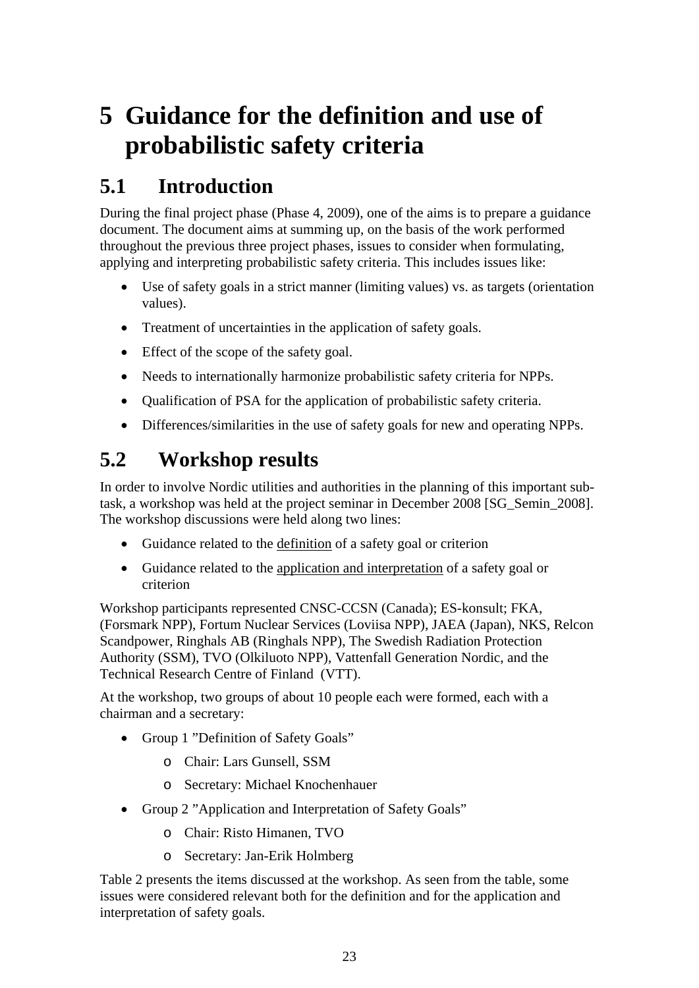# <span id="page-27-0"></span>**5 Guidance for the definition and use of probabilistic safety criteria**

## **5.1 Introduction**

During the final project phase (Phase 4, 2009), one of the aims is to prepare a guidance document. The document aims at summing up, on the basis of the work performed throughout the previous three project phases, issues to consider when formulating, applying and interpreting probabilistic safety criteria. This includes issues like:

- Use of safety goals in a strict manner (limiting values) vs. as targets (orientation values).
- Treatment of uncertainties in the application of safety goals.
- Effect of the scope of the safety goal.
- Needs to internationally harmonize probabilistic safety criteria for NPPs.
- Qualification of PSA for the application of probabilistic safety criteria.
- Differences/similarities in the use of safety goals for new and operating NPPs.

## **5.2 Workshop results**

In order to involve Nordic utilities and authorities in the planning of this important subtask, a workshop was held at the project seminar in December 2008 [SG\_Semin\_2008]. The workshop discussions were held along two lines:

- Guidance related to the definition of a safety goal or criterion
- Guidance related to the application and interpretation of a safety goal or criterion

Workshop participants represented CNSC-CCSN (Canada); ES-konsult; FKA, (Forsmark NPP), Fortum Nuclear Services (Loviisa NPP), JAEA (Japan), NKS, Relcon Scandpower, Ringhals AB (Ringhals NPP), The Swedish Radiation Protection Authority (SSM), TVO (Olkiluoto NPP), Vattenfall Generation Nordic, and the Technical Research Centre of Finland (VTT).

At the workshop, two groups of about 10 people each were formed, each with a chairman and a secretary:

- Group 1 "Definition of Safety Goals"
	- o Chair: Lars Gunsell, SSM
	- o Secretary: Michael Knochenhauer
- Group 2 "Application and Interpretation of Safety Goals"
	- o Chair: Risto Himanen, TVO
	- o Secretary: Jan-Erik Holmberg

[Table 2](#page-28-1) presents the items discussed at the workshop. As seen from the table, some issues were considered relevant both for the definition and for the application and interpretation of safety goals.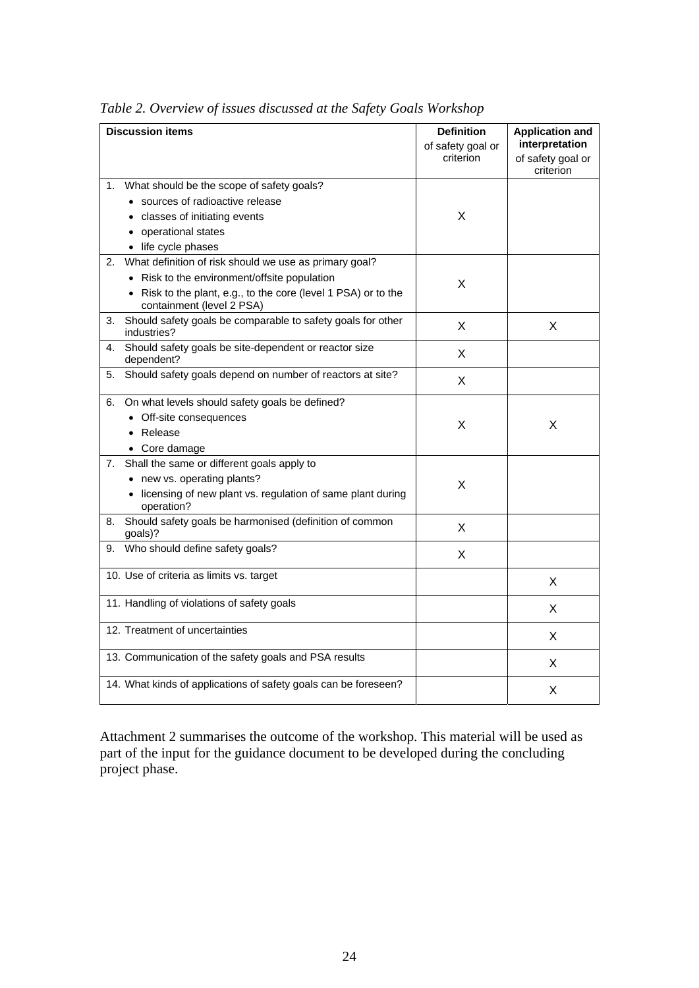<span id="page-28-1"></span>

|    | <b>Discussion items</b>                                                                     | <b>Definition</b><br>of safety goal or<br>criterion | <b>Application and</b><br>interpretation<br>of safety goal or<br>criterion |
|----|---------------------------------------------------------------------------------------------|-----------------------------------------------------|----------------------------------------------------------------------------|
|    | 1. What should be the scope of safety goals?                                                |                                                     |                                                                            |
|    | • sources of radioactive release                                                            |                                                     |                                                                            |
|    | • classes of initiating events                                                              | X                                                   |                                                                            |
|    | • operational states                                                                        |                                                     |                                                                            |
|    | • life cycle phases                                                                         |                                                     |                                                                            |
| 2. | What definition of risk should we use as primary goal?                                      |                                                     |                                                                            |
|    | • Risk to the environment/offsite population                                                | X                                                   |                                                                            |
|    | • Risk to the plant, e.g., to the core (level 1 PSA) or to the<br>containment (level 2 PSA) |                                                     |                                                                            |
| 3. | Should safety goals be comparable to safety goals for other<br>industries?                  | X                                                   | X                                                                          |
| 4. | Should safety goals be site-dependent or reactor size<br>dependent?                         | X                                                   |                                                                            |
| 5. | Should safety goals depend on number of reactors at site?                                   | X                                                   |                                                                            |
|    | 6. On what levels should safety goals be defined?                                           |                                                     |                                                                            |
|    | • Off-site consequences                                                                     | X                                                   | X                                                                          |
|    | • Release                                                                                   |                                                     |                                                                            |
|    | • Core damage                                                                               |                                                     |                                                                            |
| 7. | Shall the same or different goals apply to                                                  |                                                     |                                                                            |
|    | • new vs. operating plants?                                                                 | X                                                   |                                                                            |
|    | • licensing of new plant vs. regulation of same plant during<br>operation?                  |                                                     |                                                                            |
| 8. | Should safety goals be harmonised (definition of common<br>goals)?                          | X                                                   |                                                                            |
| 9. | Who should define safety goals?                                                             | X                                                   |                                                                            |
|    | 10. Use of criteria as limits vs. target                                                    |                                                     | X                                                                          |
|    | 11. Handling of violations of safety goals                                                  |                                                     | X                                                                          |
|    | 12. Treatment of uncertainties                                                              |                                                     | X                                                                          |
|    | 13. Communication of the safety goals and PSA results                                       |                                                     | X                                                                          |
|    | 14. What kinds of applications of safety goals can be foreseen?                             |                                                     | Χ                                                                          |

<span id="page-28-0"></span>*Table 2. Overview of issues discussed at the Safety Goals Workshop* 

Attachment 2 summarises the outcome of the workshop. This material will be used as part of the input for the guidance document to be developed during the concluding project phase.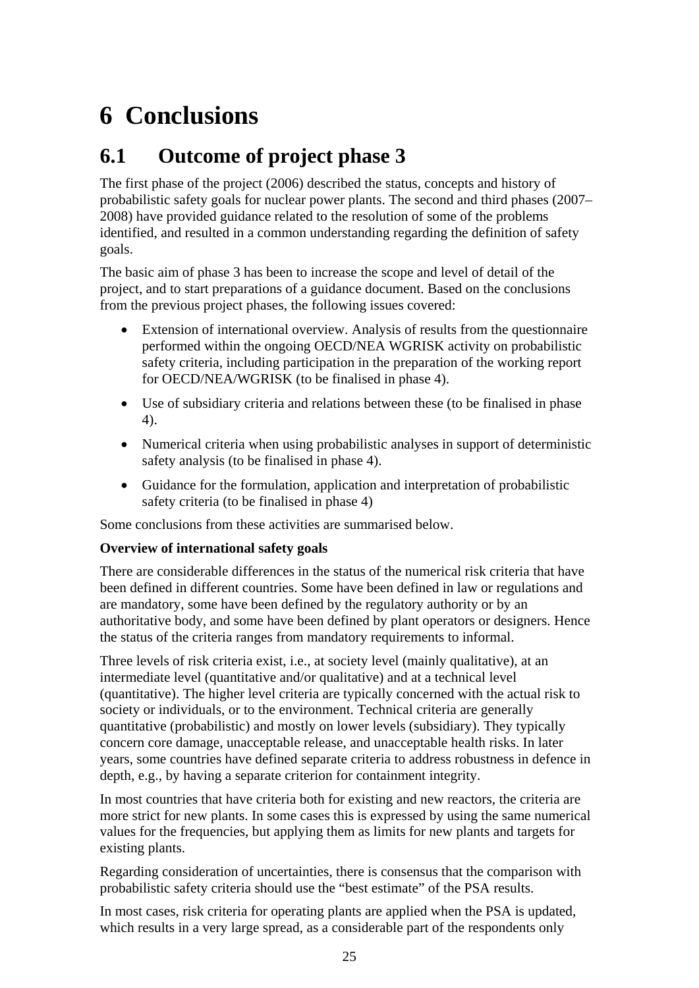# <span id="page-29-0"></span>**6 Conclusions**

## **6.1 Outcome of project phase 3**

The first phase of the project (2006) described the status, concepts and history of probabilistic safety goals for nuclear power plants. The second and third phases (2007– 2008) have provided guidance related to the resolution of some of the problems identified, and resulted in a common understanding regarding the definition of safety goals.

The basic aim of phase 3 has been to increase the scope and level of detail of the project, and to start preparations of a guidance document. Based on the conclusions from the previous project phases, the following issues covered:

- Extension of international overview. Analysis of results from the questionnaire performed within the ongoing OECD/NEA WGRISK activity on probabilistic safety criteria, including participation in the preparation of the working report for OECD/NEA/WGRISK (to be finalised in phase 4).
- Use of subsidiary criteria and relations between these (to be finalised in phase 4).
- Numerical criteria when using probabilistic analyses in support of deterministic safety analysis (to be finalised in phase 4).
- Guidance for the formulation, application and interpretation of probabilistic safety criteria (to be finalised in phase 4)

Some conclusions from these activities are summarised below.

#### **Overview of international safety goals**

There are considerable differences in the status of the numerical risk criteria that have been defined in different countries. Some have been defined in law or regulations and are mandatory, some have been defined by the regulatory authority or by an authoritative body, and some have been defined by plant operators or designers. Hence the status of the criteria ranges from mandatory requirements to informal.

Three levels of risk criteria exist, i.e., at society level (mainly qualitative), at an intermediate level (quantitative and/or qualitative) and at a technical level (quantitative). The higher level criteria are typically concerned with the actual risk to society or individuals, or to the environment. Technical criteria are generally quantitative (probabilistic) and mostly on lower levels (subsidiary). They typically concern core damage, unacceptable release, and unacceptable health risks. In later years, some countries have defined separate criteria to address robustness in defence in depth, e.g., by having a separate criterion for containment integrity.

In most countries that have criteria both for existing and new reactors, the criteria are more strict for new plants. In some cases this is expressed by using the same numerical values for the frequencies, but applying them as limits for new plants and targets for existing plants.

Regarding consideration of uncertainties, there is consensus that the comparison with probabilistic safety criteria should use the "best estimate" of the PSA results.

In most cases, risk criteria for operating plants are applied when the PSA is updated, which results in a very large spread, as a considerable part of the respondents only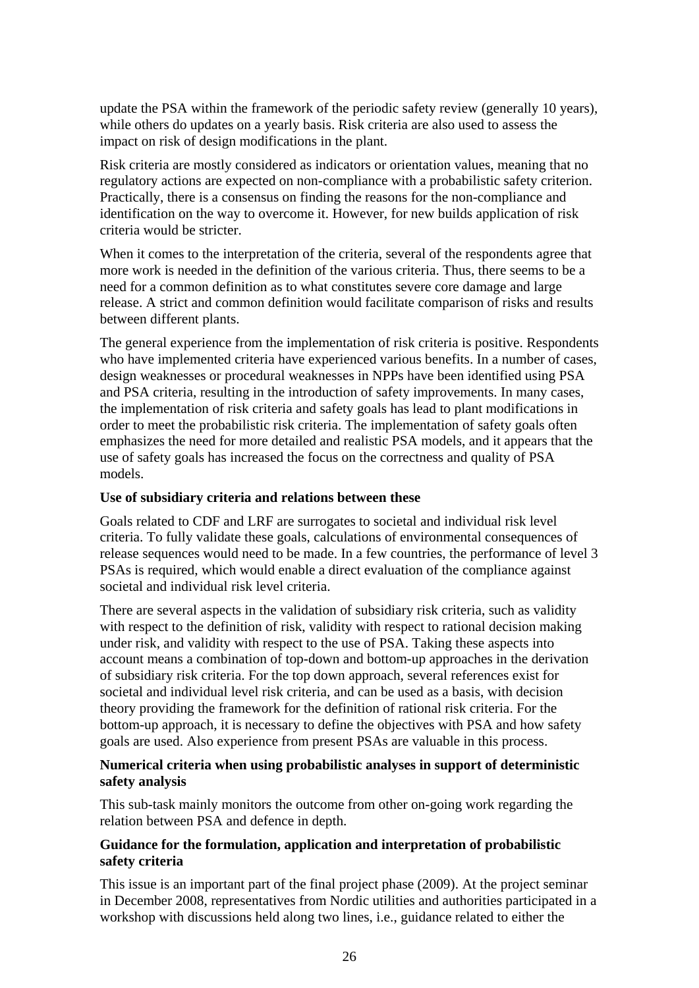update the PSA within the framework of the periodic safety review (generally 10 years), while others do updates on a yearly basis. Risk criteria are also used to assess the impact on risk of design modifications in the plant.

Risk criteria are mostly considered as indicators or orientation values, meaning that no regulatory actions are expected on non-compliance with a probabilistic safety criterion. Practically, there is a consensus on finding the reasons for the non-compliance and identification on the way to overcome it. However, for new builds application of risk criteria would be stricter.

When it comes to the interpretation of the criteria, several of the respondents agree that more work is needed in the definition of the various criteria. Thus, there seems to be a need for a common definition as to what constitutes severe core damage and large release. A strict and common definition would facilitate comparison of risks and results between different plants.

The general experience from the implementation of risk criteria is positive. Respondents who have implemented criteria have experienced various benefits. In a number of cases, design weaknesses or procedural weaknesses in NPPs have been identified using PSA and PSA criteria, resulting in the introduction of safety improvements. In many cases, the implementation of risk criteria and safety goals has lead to plant modifications in order to meet the probabilistic risk criteria. The implementation of safety goals often emphasizes the need for more detailed and realistic PSA models, and it appears that the use of safety goals has increased the focus on the correctness and quality of PSA models.

#### **Use of subsidiary criteria and relations between these**

Goals related to CDF and LRF are surrogates to societal and individual risk level criteria. To fully validate these goals, calculations of environmental consequences of release sequences would need to be made. In a few countries, the performance of level 3 PSAs is required, which would enable a direct evaluation of the compliance against societal and individual risk level criteria.

There are several aspects in the validation of subsidiary risk criteria, such as validity with respect to the definition of risk, validity with respect to rational decision making under risk, and validity with respect to the use of PSA. Taking these aspects into account means a combination of top-down and bottom-up approaches in the derivation of subsidiary risk criteria. For the top down approach, several references exist for societal and individual level risk criteria, and can be used as a basis, with decision theory providing the framework for the definition of rational risk criteria. For the bottom-up approach, it is necessary to define the objectives with PSA and how safety goals are used. Also experience from present PSAs are valuable in this process.

#### **Numerical criteria when using probabilistic analyses in support of deterministic safety analysis**

This sub-task mainly monitors the outcome from other on-going work regarding the relation between PSA and defence in depth.

#### **Guidance for the formulation, application and interpretation of probabilistic safety criteria**

This issue is an important part of the final project phase (2009). At the project seminar in December 2008, representatives from Nordic utilities and authorities participated in a workshop with discussions held along two lines, i.e., guidance related to either the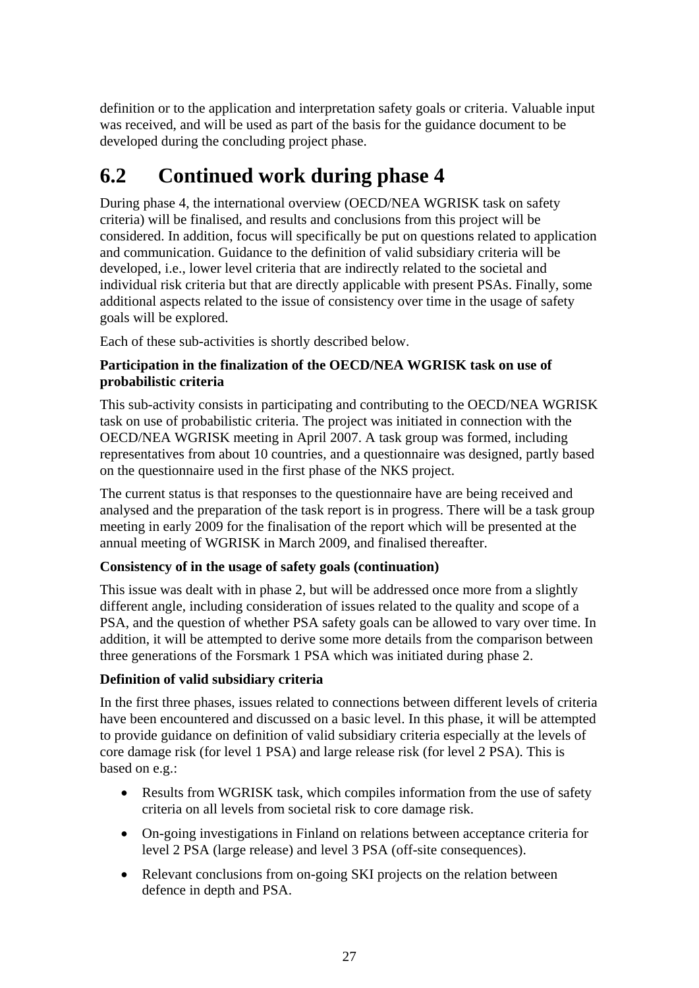<span id="page-31-0"></span>definition or to the application and interpretation safety goals or criteria. Valuable input was received, and will be used as part of the basis for the guidance document to be developed during the concluding project phase.

## **6.2 Continued work during phase 4**

During phase 4, the international overview (OECD/NEA WGRISK task on safety criteria) will be finalised, and results and conclusions from this project will be considered. In addition, focus will specifically be put on questions related to application and communication. Guidance to the definition of valid subsidiary criteria will be developed, i.e., lower level criteria that are indirectly related to the societal and individual risk criteria but that are directly applicable with present PSAs. Finally, some additional aspects related to the issue of consistency over time in the usage of safety goals will be explored.

Each of these sub-activities is shortly described below.

#### **Participation in the finalization of the OECD/NEA WGRISK task on use of probabilistic criteria**

This sub-activity consists in participating and contributing to the OECD/NEA WGRISK task on use of probabilistic criteria. The project was initiated in connection with the OECD/NEA WGRISK meeting in April 2007. A task group was formed, including representatives from about 10 countries, and a questionnaire was designed, partly based on the questionnaire used in the first phase of the NKS project.

The current status is that responses to the questionnaire have are being received and analysed and the preparation of the task report is in progress. There will be a task group meeting in early 2009 for the finalisation of the report which will be presented at the annual meeting of WGRISK in March 2009, and finalised thereafter.

#### **Consistency of in the usage of safety goals (continuation)**

This issue was dealt with in phase 2, but will be addressed once more from a slightly different angle, including consideration of issues related to the quality and scope of a PSA, and the question of whether PSA safety goals can be allowed to vary over time. In addition, it will be attempted to derive some more details from the comparison between three generations of the Forsmark 1 PSA which was initiated during phase 2.

#### **Definition of valid subsidiary criteria**

In the first three phases, issues related to connections between different levels of criteria have been encountered and discussed on a basic level. In this phase, it will be attempted to provide guidance on definition of valid subsidiary criteria especially at the levels of core damage risk (for level 1 PSA) and large release risk (for level 2 PSA). This is based on e.g.:

- Results from WGRISK task, which compiles information from the use of safety criteria on all levels from societal risk to core damage risk.
- On-going investigations in Finland on relations between acceptance criteria for level 2 PSA (large release) and level 3 PSA (off-site consequences).
- Relevant conclusions from on-going SKI projects on the relation between defence in depth and PSA.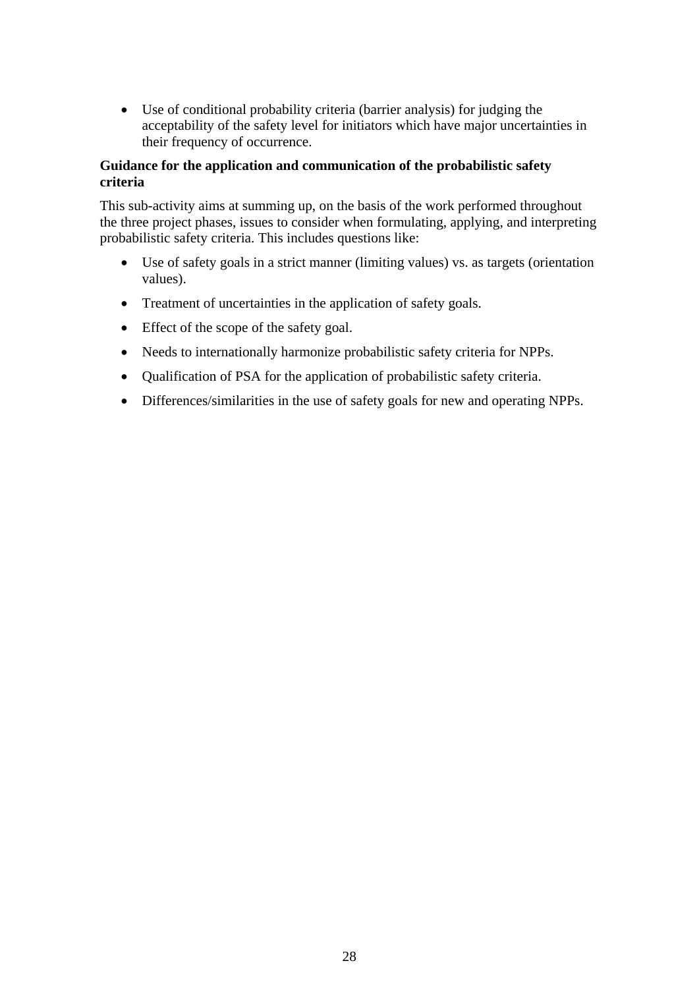• Use of conditional probability criteria (barrier analysis) for judging the acceptability of the safety level for initiators which have major uncertainties in their frequency of occurrence.

#### **Guidance for the application and communication of the probabilistic safety criteria**

This sub-activity aims at summing up, on the basis of the work performed throughout the three project phases, issues to consider when formulating, applying, and interpreting probabilistic safety criteria. This includes questions like:

- Use of safety goals in a strict manner (limiting values) vs. as targets (orientation values).
- Treatment of uncertainties in the application of safety goals.
- Effect of the scope of the safety goal.
- Needs to internationally harmonize probabilistic safety criteria for NPPs.
- Qualification of PSA for the application of probabilistic safety criteria.
- Differences/similarities in the use of safety goals for new and operating NPPs.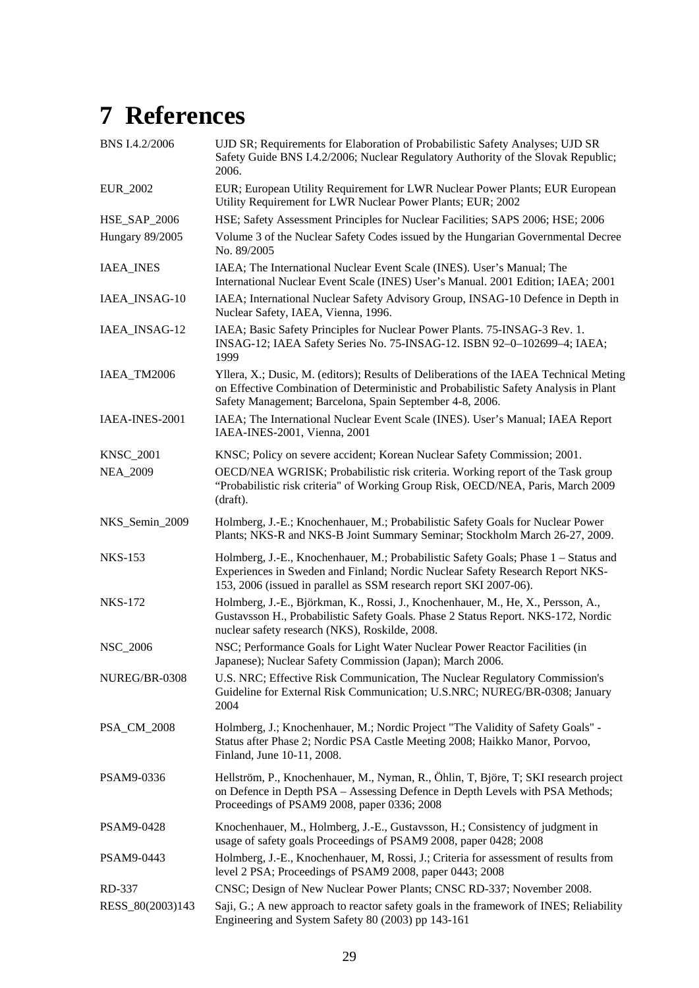## <span id="page-33-0"></span>**7 References**

| BNS I.4.2/2006         | UJD SR; Requirements for Elaboration of Probabilistic Safety Analyses; UJD SR<br>Safety Guide BNS I.4.2/2006; Nuclear Regulatory Authority of the Slovak Republic;<br>2006.                                                                |
|------------------------|--------------------------------------------------------------------------------------------------------------------------------------------------------------------------------------------------------------------------------------------|
| <b>EUR_2002</b>        | EUR; European Utility Requirement for LWR Nuclear Power Plants; EUR European<br>Utility Requirement for LWR Nuclear Power Plants; EUR; 2002                                                                                                |
| <b>HSE_SAP_2006</b>    | HSE; Safety Assessment Principles for Nuclear Facilities; SAPS 2006; HSE; 2006                                                                                                                                                             |
| <b>Hungary 89/2005</b> | Volume 3 of the Nuclear Safety Codes issued by the Hungarian Governmental Decree<br>No. 89/2005                                                                                                                                            |
| <b>IAEA_INES</b>       | IAEA; The International Nuclear Event Scale (INES). User's Manual; The<br>International Nuclear Event Scale (INES) User's Manual. 2001 Edition; IAEA; 2001                                                                                 |
| IAEA_INSAG-10          | IAEA; International Nuclear Safety Advisory Group, INSAG-10 Defence in Depth in<br>Nuclear Safety, IAEA, Vienna, 1996.                                                                                                                     |
| IAEA_INSAG-12          | IAEA; Basic Safety Principles for Nuclear Power Plants. 75-INSAG-3 Rev. 1.<br>INSAG-12; IAEA Safety Series No. 75-INSAG-12. ISBN 92-0-102699-4; IAEA;<br>1999                                                                              |
| IAEA_TM2006            | Yllera, X.; Dusic, M. (editors); Results of Deliberations of the IAEA Technical Meting<br>on Effective Combination of Deterministic and Probabilistic Safety Analysis in Plant<br>Safety Management; Barcelona, Spain September 4-8, 2006. |
| IAEA-INES-2001         | IAEA; The International Nuclear Event Scale (INES). User's Manual; IAEA Report<br>IAEA-INES-2001, Vienna, 2001                                                                                                                             |
| <b>KNSC_2001</b>       | KNSC; Policy on severe accident; Korean Nuclear Safety Commission; 2001.                                                                                                                                                                   |
| <b>NEA_2009</b>        | OECD/NEA WGRISK; Probabilistic risk criteria. Working report of the Task group<br>"Probabilistic risk criteria" of Working Group Risk, OECD/NEA, Paris, March 2009<br>(draft).                                                             |
| NKS_Semin_2009         | Holmberg, J.-E.; Knochenhauer, M.; Probabilistic Safety Goals for Nuclear Power<br>Plants; NKS-R and NKS-B Joint Summary Seminar; Stockholm March 26-27, 2009.                                                                             |
| <b>NKS-153</b>         | Holmberg, J.-E., Knochenhauer, M.; Probabilistic Safety Goals; Phase 1 - Status and<br>Experiences in Sweden and Finland; Nordic Nuclear Safety Research Report NKS-<br>153, 2006 (issued in parallel as SSM research report SKI 2007-06). |
| <b>NKS-172</b>         | Holmberg, J.-E., Björkman, K., Rossi, J., Knochenhauer, M., He, X., Persson, A.,<br>Gustavsson H., Probabilistic Safety Goals. Phase 2 Status Report. NKS-172, Nordic<br>nuclear safety research (NKS), Roskilde, 2008.                    |
| <b>NSC_2006</b>        | NSC; Performance Goals for Light Water Nuclear Power Reactor Facilities (in<br>Japanese); Nuclear Safety Commission (Japan); March 2006.                                                                                                   |
| NUREG/BR-0308          | U.S. NRC; Effective Risk Communication, The Nuclear Regulatory Commission's<br>Guideline for External Risk Communication; U.S.NRC; NUREG/BR-0308; January<br>2004                                                                          |
| PSA_CM_2008            | Holmberg, J.; Knochenhauer, M.; Nordic Project "The Validity of Safety Goals" -<br>Status after Phase 2; Nordic PSA Castle Meeting 2008; Haikko Manor, Porvoo,<br>Finland, June 10-11, 2008.                                               |
| PSAM9-0336             | Hellström, P., Knochenhauer, M., Nyman, R., Öhlin, T., Björe, T; SKI research project<br>on Defence in Depth PSA - Assessing Defence in Depth Levels with PSA Methods;<br>Proceedings of PSAM9 2008, paper 0336; 2008                      |
| PSAM9-0428             | Knochenhauer, M., Holmberg, J.-E., Gustavsson, H.; Consistency of judgment in<br>usage of safety goals Proceedings of PSAM9 2008, paper 0428; 2008                                                                                         |
| PSAM9-0443             | Holmberg, J.-E., Knochenhauer, M, Rossi, J.; Criteria for assessment of results from<br>level 2 PSA; Proceedings of PSAM9 2008, paper 0443; 2008                                                                                           |
| RD-337                 | CNSC; Design of New Nuclear Power Plants; CNSC RD-337; November 2008.                                                                                                                                                                      |
| RESS_80(2003)143       | Saji, G.; A new approach to reactor safety goals in the framework of INES; Reliability<br>Engineering and System Safety 80 (2003) pp 143-161                                                                                               |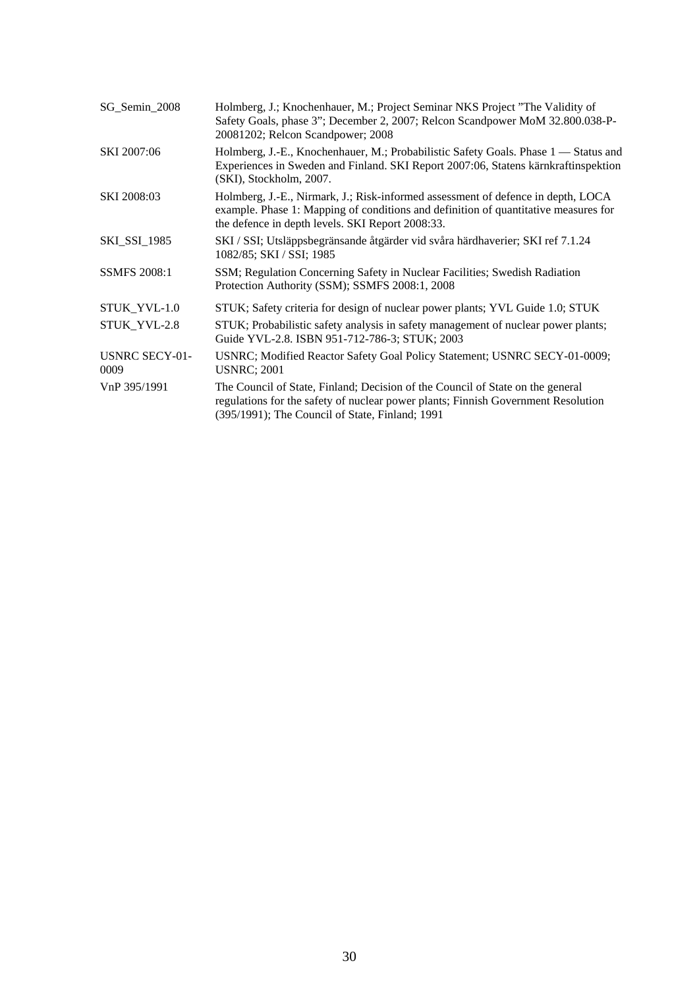| SG_Semin_2008                 | Holmberg, J.; Knochenhauer, M.; Project Seminar NKS Project "The Validity of<br>Safety Goals, phase 3"; December 2, 2007; Relcon Scandpower MoM 32.800.038-P-<br>20081202; Relcon Scandpower; 2008                          |
|-------------------------------|-----------------------------------------------------------------------------------------------------------------------------------------------------------------------------------------------------------------------------|
| SKI 2007:06                   | Holmberg, J.-E., Knochenhauer, M.; Probabilistic Safety Goals. Phase 1 — Status and<br>Experiences in Sweden and Finland. SKI Report 2007:06, Statens kärnkraftinspektion<br>(SKI), Stockholm, 2007.                        |
| SKI 2008:03                   | Holmberg, J.-E., Nirmark, J.; Risk-informed assessment of defence in depth, LOCA<br>example. Phase 1: Mapping of conditions and definition of quantitative measures for<br>the defence in depth levels. SKI Report 2008:33. |
| <b>SKI_SSI_1985</b>           | SKI / SSI; Utsläppsbegränsande åtgärder vid svåra härdhaverier; SKI ref 7.1.24<br>1082/85; SKI / SSI; 1985                                                                                                                  |
| <b>SSMFS 2008:1</b>           | SSM; Regulation Concerning Safety in Nuclear Facilities; Swedish Radiation<br>Protection Authority (SSM); SSMFS 2008:1, 2008                                                                                                |
| STUK_YVL-1.0                  | STUK; Safety criteria for design of nuclear power plants; YVL Guide 1.0; STUK                                                                                                                                               |
| STUK_YVL-2.8                  | STUK; Probabilistic safety analysis in safety management of nuclear power plants;<br>Guide YVL-2.8. ISBN 951-712-786-3; STUK; 2003                                                                                          |
| <b>USNRC SECY-01-</b><br>0009 | USNRC; Modified Reactor Safety Goal Policy Statement; USNRC SECY-01-0009;<br><b>USNRC</b> ; 2001                                                                                                                            |
| VnP 395/1991                  | The Council of State, Finland; Decision of the Council of State on the general<br>regulations for the safety of nuclear power plants; Finnish Government Resolution<br>(395/1991); The Council of State, Finland; 1991      |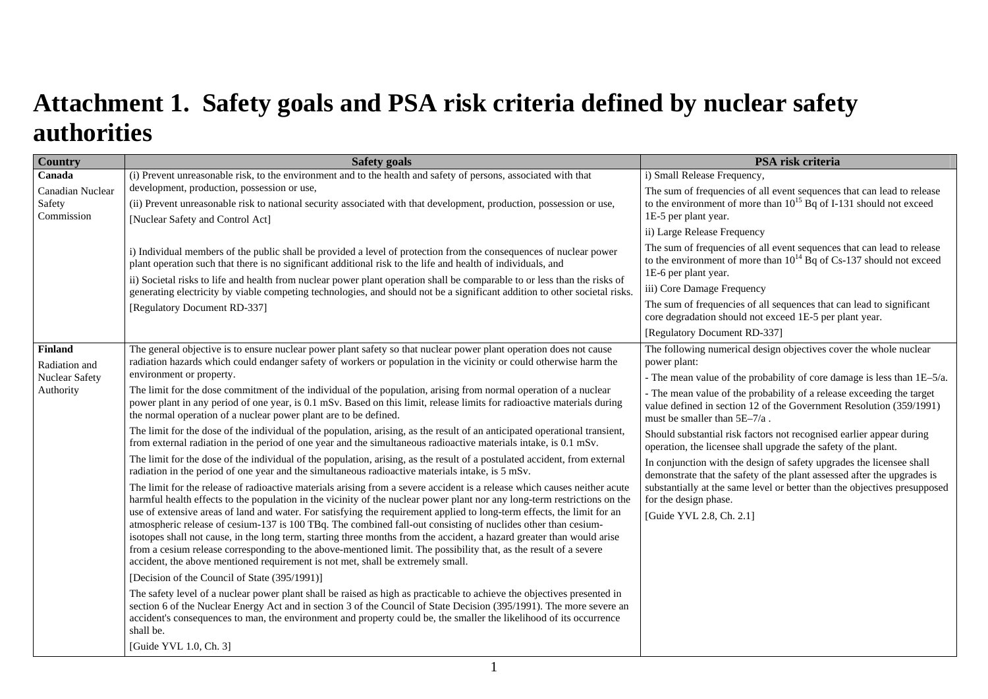## **Attachment 1. Safety goals and PSA risk criteria defined by nuclear safety authorities**

<span id="page-35-0"></span>

| <b>Country</b>              | <b>Safety goals</b>                                                                                                                                                                                                                                                                                                                                                     | PSA risk criteria                                                                                                                                  |
|-----------------------------|-------------------------------------------------------------------------------------------------------------------------------------------------------------------------------------------------------------------------------------------------------------------------------------------------------------------------------------------------------------------------|----------------------------------------------------------------------------------------------------------------------------------------------------|
| Canada                      | (i) Prevent unreasonable risk, to the environment and to the health and safety of persons, associated with that                                                                                                                                                                                                                                                         | i) Small Release Frequency,                                                                                                                        |
| Canadian Nuclear            | development, production, possession or use,                                                                                                                                                                                                                                                                                                                             | The sum of frequencies of all event sequences that can lead to release                                                                             |
| Safety                      | (ii) Prevent unreasonable risk to national security associated with that development, production, possession or use,                                                                                                                                                                                                                                                    | to the environment of more than $10^{15}$ Bq of I-131 should not exceed                                                                            |
| Commission                  | [Nuclear Safety and Control Act]                                                                                                                                                                                                                                                                                                                                        | 1E-5 per plant year.<br>ii) Large Release Frequency                                                                                                |
|                             |                                                                                                                                                                                                                                                                                                                                                                         |                                                                                                                                                    |
|                             | i) Individual members of the public shall be provided a level of protection from the consequences of nuclear power                                                                                                                                                                                                                                                      | The sum of frequencies of all event sequences that can lead to release<br>to the environment of more than $10^{14}$ Bq of Cs-137 should not exceed |
|                             | plant operation such that there is no significant additional risk to the life and health of individuals, and<br>ii) Societal risks to life and health from nuclear power plant operation shall be comparable to or less than the risks of<br>generating electricity by viable competing technologies, and should not be a significant addition to other societal risks. | 1E-6 per plant year.                                                                                                                               |
|                             |                                                                                                                                                                                                                                                                                                                                                                         | iii) Core Damage Frequency                                                                                                                         |
|                             | [Regulatory Document RD-337]                                                                                                                                                                                                                                                                                                                                            | The sum of frequencies of all sequences that can lead to significant                                                                               |
|                             |                                                                                                                                                                                                                                                                                                                                                                         | core degradation should not exceed 1E-5 per plant year.                                                                                            |
|                             |                                                                                                                                                                                                                                                                                                                                                                         | [Regulatory Document RD-337]                                                                                                                       |
| <b>Finland</b>              | The general objective is to ensure nuclear power plant safety so that nuclear power plant operation does not cause                                                                                                                                                                                                                                                      | The following numerical design objectives cover the whole nuclear                                                                                  |
| Radiation and               | radiation hazards which could endanger safety of workers or population in the vicinity or could otherwise harm the<br>environment or property.                                                                                                                                                                                                                          | power plant:                                                                                                                                       |
| Nuclear Safety<br>Authority |                                                                                                                                                                                                                                                                                                                                                                         | - The mean value of the probability of core damage is less than 1E-5/a.                                                                            |
|                             | The limit for the dose commitment of the individual of the population, arising from normal operation of a nuclear<br>power plant in any period of one year, is 0.1 mSv. Based on this limit, release limits for radioactive materials during                                                                                                                            | - The mean value of the probability of a release exceeding the target<br>value defined in section 12 of the Government Resolution (359/1991)       |
|                             | the normal operation of a nuclear power plant are to be defined.                                                                                                                                                                                                                                                                                                        | must be smaller than $5E-7/a$ .                                                                                                                    |
|                             | The limit for the dose of the individual of the population, arising, as the result of an anticipated operational transient,                                                                                                                                                                                                                                             | Should substantial risk factors not recognised earlier appear during                                                                               |
|                             | from external radiation in the period of one year and the simultaneous radioactive materials intake, is 0.1 mSv.                                                                                                                                                                                                                                                        | operation, the licensee shall upgrade the safety of the plant.                                                                                     |
|                             | The limit for the dose of the individual of the population, arising, as the result of a postulated accident, from external<br>radiation in the period of one year and the simultaneous radioactive materials intake, is 5 mSv.                                                                                                                                          | In conjunction with the design of safety upgrades the licensee shall<br>demonstrate that the safety of the plant assessed after the upgrades is    |
|                             | The limit for the release of radioactive materials arising from a severe accident is a release which causes neither acute                                                                                                                                                                                                                                               | substantially at the same level or better than the objectives presupposed                                                                          |
|                             | harmful health effects to the population in the vicinity of the nuclear power plant nor any long-term restrictions on the                                                                                                                                                                                                                                               | for the design phase.                                                                                                                              |
|                             | use of extensive areas of land and water. For satisfying the requirement applied to long-term effects, the limit for an<br>atmospheric release of cesium-137 is 100 TBq. The combined fall-out consisting of nuclides other than cesium-                                                                                                                                | [Guide YVL 2.8, Ch. 2.1]                                                                                                                           |
|                             | isotopes shall not cause, in the long term, starting three months from the accident, a hazard greater than would arise                                                                                                                                                                                                                                                  |                                                                                                                                                    |
|                             | from a cesium release corresponding to the above-mentioned limit. The possibility that, as the result of a severe                                                                                                                                                                                                                                                       |                                                                                                                                                    |
|                             | accident, the above mentioned requirement is not met, shall be extremely small.                                                                                                                                                                                                                                                                                         |                                                                                                                                                    |
|                             | [Decision of the Council of State (395/1991)]                                                                                                                                                                                                                                                                                                                           |                                                                                                                                                    |
|                             | The safety level of a nuclear power plant shall be raised as high as practicable to achieve the objectives presented in<br>section 6 of the Nuclear Energy Act and in section 3 of the Council of State Decision (395/1991). The more severe an                                                                                                                         |                                                                                                                                                    |
|                             | accident's consequences to man, the environment and property could be, the smaller the likelihood of its occurrence                                                                                                                                                                                                                                                     |                                                                                                                                                    |
|                             | shall be.                                                                                                                                                                                                                                                                                                                                                               |                                                                                                                                                    |
|                             | [Guide YVL 1.0, Ch. 3]                                                                                                                                                                                                                                                                                                                                                  |                                                                                                                                                    |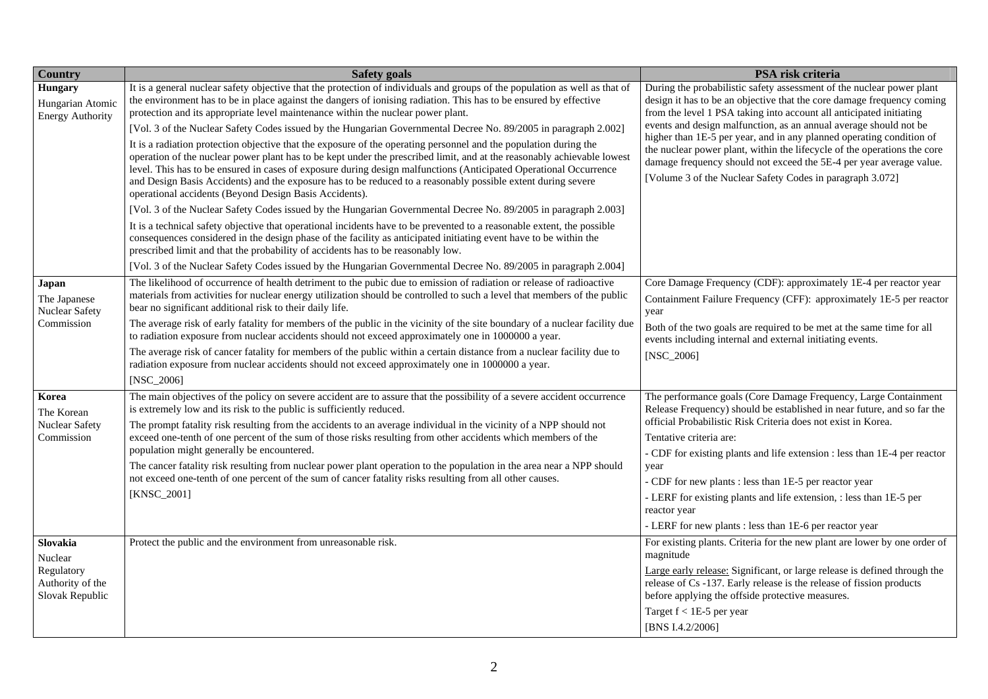| Country                                                | <b>Safety goals</b>                                                                                                                                                                                                                                                                                                                                                                                                                                                                                                                         | PSA risk criteria                                                                                                                                                                                                                                                                                                                                                   |
|--------------------------------------------------------|---------------------------------------------------------------------------------------------------------------------------------------------------------------------------------------------------------------------------------------------------------------------------------------------------------------------------------------------------------------------------------------------------------------------------------------------------------------------------------------------------------------------------------------------|---------------------------------------------------------------------------------------------------------------------------------------------------------------------------------------------------------------------------------------------------------------------------------------------------------------------------------------------------------------------|
| Hungary<br>Hungarian Atomic<br><b>Energy Authority</b> | It is a general nuclear safety objective that the protection of individuals and groups of the population as well as that of<br>the environment has to be in place against the dangers of ionising radiation. This has to be ensured by effective<br>protection and its appropriate level maintenance within the nuclear power plant.<br>[Vol. 3 of the Nuclear Safety Codes issued by the Hungarian Governmental Decree No. 89/2005 in paragraph 2.002]                                                                                     | During the probabilistic safety assessment of the nuclear power plant<br>design it has to be an objective that the core damage frequency coming<br>from the level 1 PSA taking into account all anticipated initiating<br>events and design malfunction, as an annual average should not be<br>higher than 1E-5 per year, and in any planned operating condition of |
|                                                        | It is a radiation protection objective that the exposure of the operating personnel and the population during the<br>operation of the nuclear power plant has to be kept under the prescribed limit, and at the reasonably achievable lowest<br>level. This has to be ensured in cases of exposure during design malfunctions (Anticipated Operational Occurrence<br>and Design Basis Accidents) and the exposure has to be reduced to a reasonably possible extent during severe<br>operational accidents (Beyond Design Basis Accidents). | the nuclear power plant, within the lifecycle of the operations the core<br>damage frequency should not exceed the 5E-4 per year average value.<br>[Volume 3 of the Nuclear Safety Codes in paragraph 3.072]                                                                                                                                                        |
|                                                        | [Vol. 3 of the Nuclear Safety Codes issued by the Hungarian Governmental Decree No. 89/2005 in paragraph 2.003]                                                                                                                                                                                                                                                                                                                                                                                                                             |                                                                                                                                                                                                                                                                                                                                                                     |
|                                                        | It is a technical safety objective that operational incidents have to be prevented to a reasonable extent, the possible<br>consequences considered in the design phase of the facility as anticipated initiating event have to be within the<br>prescribed limit and that the probability of accidents has to be reasonably low.                                                                                                                                                                                                            |                                                                                                                                                                                                                                                                                                                                                                     |
|                                                        | [Vol. 3 of the Nuclear Safety Codes issued by the Hungarian Governmental Decree No. 89/2005 in paragraph 2.004]                                                                                                                                                                                                                                                                                                                                                                                                                             |                                                                                                                                                                                                                                                                                                                                                                     |
| <b>Japan</b><br>The Japanese<br>Nuclear Safety         | The likelihood of occurrence of health detriment to the pubic due to emission of radiation or release of radioactive<br>materials from activities for nuclear energy utilization should be controlled to such a level that members of the public<br>bear no significant additional risk to their daily life.                                                                                                                                                                                                                                | Core Damage Frequency (CDF): approximately 1E-4 per reactor year<br>Containment Failure Frequency (CFF): approximately 1E-5 per reactor<br>year                                                                                                                                                                                                                     |
| Commission                                             | The average risk of early fatality for members of the public in the vicinity of the site boundary of a nuclear facility due<br>to radiation exposure from nuclear accidents should not exceed approximately one in 1000000 a year.                                                                                                                                                                                                                                                                                                          | Both of the two goals are required to be met at the same time for all<br>events including internal and external initiating events.                                                                                                                                                                                                                                  |
|                                                        | The average risk of cancer fatality for members of the public within a certain distance from a nuclear facility due to<br>radiation exposure from nuclear accidents should not exceed approximately one in 1000000 a year.                                                                                                                                                                                                                                                                                                                  | $[NSC_2006]$                                                                                                                                                                                                                                                                                                                                                        |
|                                                        | $[NSC_2006]$                                                                                                                                                                                                                                                                                                                                                                                                                                                                                                                                |                                                                                                                                                                                                                                                                                                                                                                     |
| Korea<br>The Korean                                    | The main objectives of the policy on severe accident are to assure that the possibility of a severe accident occurrence<br>is extremely low and its risk to the public is sufficiently reduced.                                                                                                                                                                                                                                                                                                                                             | The performance goals (Core Damage Frequency, Large Containment<br>Release Frequency) should be established in near future, and so far the<br>official Probabilistic Risk Criteria does not exist in Korea.                                                                                                                                                         |
| <b>Nuclear Safety</b><br>Commission                    | The prompt fatality risk resulting from the accidents to an average individual in the vicinity of a NPP should not<br>exceed one-tenth of one percent of the sum of those risks resulting from other accidents which members of the                                                                                                                                                                                                                                                                                                         | Tentative criteria are:                                                                                                                                                                                                                                                                                                                                             |
|                                                        | population might generally be encountered.                                                                                                                                                                                                                                                                                                                                                                                                                                                                                                  | - CDF for existing plants and life extension : less than 1E-4 per reactor                                                                                                                                                                                                                                                                                           |
|                                                        | The cancer fatality risk resulting from nuclear power plant operation to the population in the area near a NPP should                                                                                                                                                                                                                                                                                                                                                                                                                       | year                                                                                                                                                                                                                                                                                                                                                                |
|                                                        | not exceed one-tenth of one percent of the sum of cancer fatality risks resulting from all other causes.                                                                                                                                                                                                                                                                                                                                                                                                                                    | - CDF for new plants : less than 1E-5 per reactor year                                                                                                                                                                                                                                                                                                              |
|                                                        | [KNSC_2001]                                                                                                                                                                                                                                                                                                                                                                                                                                                                                                                                 | - LERF for existing plants and life extension, : less than 1E-5 per<br>reactor year                                                                                                                                                                                                                                                                                 |
|                                                        |                                                                                                                                                                                                                                                                                                                                                                                                                                                                                                                                             | - LERF for new plants : less than 1E-6 per reactor year                                                                                                                                                                                                                                                                                                             |
| Slovakia<br>Nuclear                                    | Protect the public and the environment from unreasonable risk.                                                                                                                                                                                                                                                                                                                                                                                                                                                                              | For existing plants. Criteria for the new plant are lower by one order of<br>magnitude                                                                                                                                                                                                                                                                              |
| Regulatory<br>Authority of the<br>Slovak Republic      |                                                                                                                                                                                                                                                                                                                                                                                                                                                                                                                                             | Large early release: Significant, or large release is defined through the<br>release of Cs -137. Early release is the release of fission products<br>before applying the offside protective measures.                                                                                                                                                               |
|                                                        |                                                                                                                                                                                                                                                                                                                                                                                                                                                                                                                                             | Target $f < 1E-5$ per year<br>[BNS I.4.2/2006]                                                                                                                                                                                                                                                                                                                      |
|                                                        |                                                                                                                                                                                                                                                                                                                                                                                                                                                                                                                                             |                                                                                                                                                                                                                                                                                                                                                                     |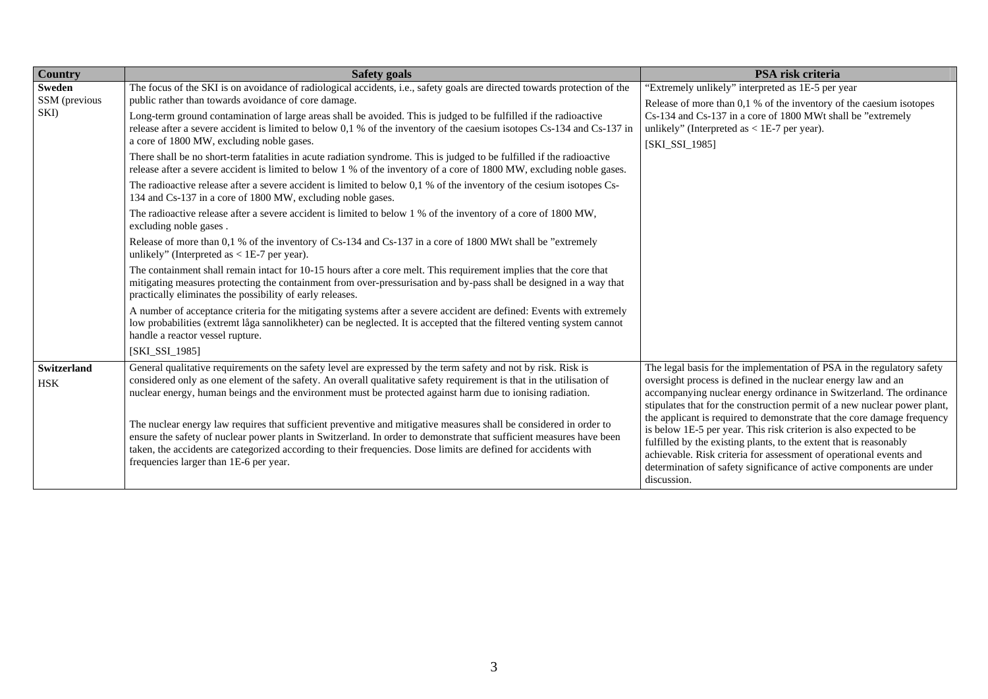| Country                   | <b>Safety goals</b>                                                                                                                                                                                                                                                                                                                                                                                     | PSA risk criteria                                                                                                                                                                                                                                                                                                                                                               |  |
|---------------------------|---------------------------------------------------------------------------------------------------------------------------------------------------------------------------------------------------------------------------------------------------------------------------------------------------------------------------------------------------------------------------------------------------------|---------------------------------------------------------------------------------------------------------------------------------------------------------------------------------------------------------------------------------------------------------------------------------------------------------------------------------------------------------------------------------|--|
| Sweden                    | The focus of the SKI is on avoidance of radiological accidents, i.e., safety goals are directed towards protection of the                                                                                                                                                                                                                                                                               | "Extremely unlikely" interpreted as 1E-5 per year                                                                                                                                                                                                                                                                                                                               |  |
| SSM (previous<br>SKI)     | public rather than towards avoidance of core damage.                                                                                                                                                                                                                                                                                                                                                    | Release of more than 0,1 % of the inventory of the caesium isotopes                                                                                                                                                                                                                                                                                                             |  |
|                           | Long-term ground contamination of large areas shall be avoided. This is judged to be fulfilled if the radioactive<br>release after a severe accident is limited to below 0,1 % of the inventory of the caesium isotopes Cs-134 and Cs-137 in<br>a core of 1800 MW, excluding noble gases.                                                                                                               | Cs-134 and Cs-137 in a core of 1800 MWt shall be "extremely<br>unlikely" (Interpreted as $<$ 1E-7 per year).<br>[SKI_SSI_1985]                                                                                                                                                                                                                                                  |  |
|                           | There shall be no short-term fatalities in acute radiation syndrome. This is judged to be fulfilled if the radioactive<br>release after a severe accident is limited to below 1 % of the inventory of a core of 1800 MW, excluding noble gases.                                                                                                                                                         |                                                                                                                                                                                                                                                                                                                                                                                 |  |
|                           | The radioactive release after a severe accident is limited to below 0,1 % of the inventory of the cesium isotopes Cs-<br>134 and Cs-137 in a core of 1800 MW, excluding noble gases.                                                                                                                                                                                                                    |                                                                                                                                                                                                                                                                                                                                                                                 |  |
|                           | The radioactive release after a severe accident is limited to below 1 % of the inventory of a core of 1800 MW,<br>excluding noble gases.                                                                                                                                                                                                                                                                |                                                                                                                                                                                                                                                                                                                                                                                 |  |
|                           | Release of more than 0,1 % of the inventory of Cs-134 and Cs-137 in a core of 1800 MWt shall be "extremely<br>unlikely" (Interpreted as $<$ 1E-7 per year).                                                                                                                                                                                                                                             |                                                                                                                                                                                                                                                                                                                                                                                 |  |
|                           | The containment shall remain intact for 10-15 hours after a core melt. This requirement implies that the core that<br>mitigating measures protecting the containment from over-pressurisation and by-pass shall be designed in a way that<br>practically eliminates the possibility of early releases.                                                                                                  |                                                                                                                                                                                                                                                                                                                                                                                 |  |
|                           | A number of acceptance criteria for the mitigating systems after a severe accident are defined: Events with extremely<br>low probabilities (extremt låga sannolikheter) can be neglected. It is accepted that the filtered venting system cannot<br>handle a reactor vessel rupture.                                                                                                                    |                                                                                                                                                                                                                                                                                                                                                                                 |  |
|                           | [SKI_SSI_1985]                                                                                                                                                                                                                                                                                                                                                                                          |                                                                                                                                                                                                                                                                                                                                                                                 |  |
| Switzerland<br><b>HSK</b> | General qualitative requirements on the safety level are expressed by the term safety and not by risk. Risk is<br>considered only as one element of the safety. An overall qualitative safety requirement is that in the utilisation of<br>nuclear energy, human beings and the environment must be protected against harm due to ionising radiation.                                                   | The legal basis for the implementation of PSA in the regulatory safety<br>oversight process is defined in the nuclear energy law and an<br>accompanying nuclear energy ordinance in Switzerland. The ordinance<br>stipulates that for the construction permit of a new nuclear power plant,                                                                                     |  |
|                           | The nuclear energy law requires that sufficient preventive and mitigative measures shall be considered in order to<br>ensure the safety of nuclear power plants in Switzerland. In order to demonstrate that sufficient measures have been<br>taken, the accidents are categorized according to their frequencies. Dose limits are defined for accidents with<br>frequencies larger than 1E-6 per year. | the applicant is required to demonstrate that the core damage frequency<br>is below 1E-5 per year. This risk criterion is also expected to be<br>fulfilled by the existing plants, to the extent that is reasonably<br>achievable. Risk criteria for assessment of operational events and<br>determination of safety significance of active components are under<br>discussion. |  |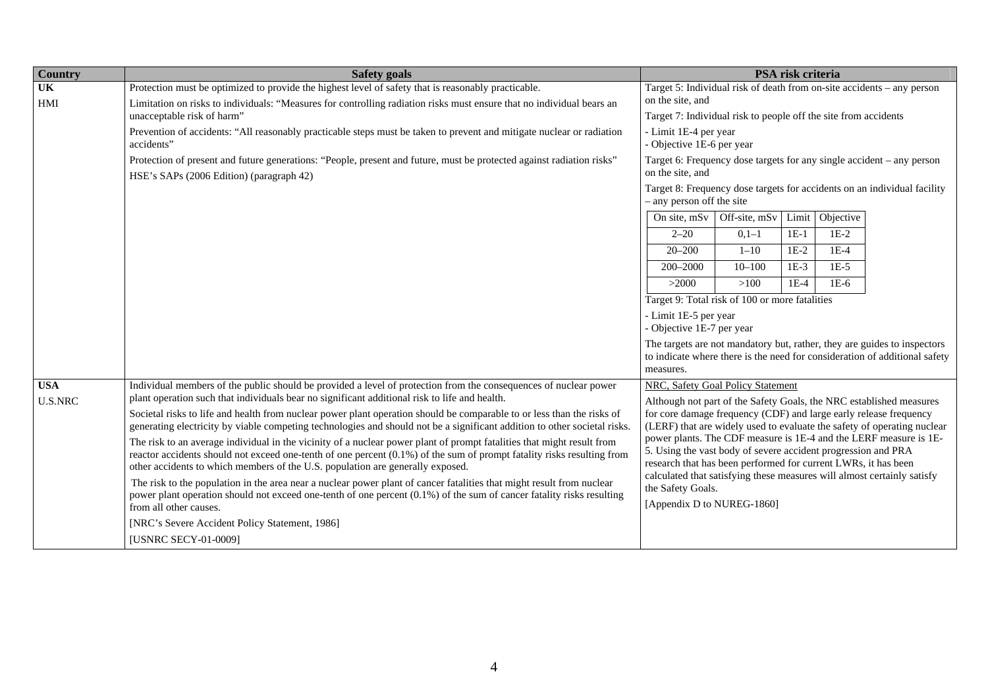| <b>Country</b>         | PSA risk criteria<br><b>Safety goals</b>                                                                                                                                                                                                                                                                                           |                                                                                                                                                                                                                                                                                 |  |  |  |
|------------------------|------------------------------------------------------------------------------------------------------------------------------------------------------------------------------------------------------------------------------------------------------------------------------------------------------------------------------------|---------------------------------------------------------------------------------------------------------------------------------------------------------------------------------------------------------------------------------------------------------------------------------|--|--|--|
| $\overline{\text{UK}}$ | Protection must be optimized to provide the highest level of safety that is reasonably practicable.                                                                                                                                                                                                                                | Target 5: Individual risk of death from on-site accidents - any person                                                                                                                                                                                                          |  |  |  |
| HMI                    | Limitation on risks to individuals: "Measures for controlling radiation risks must ensure that no individual bears an                                                                                                                                                                                                              | on the site, and                                                                                                                                                                                                                                                                |  |  |  |
|                        | unacceptable risk of harm"                                                                                                                                                                                                                                                                                                         | Target 7: Individual risk to people off the site from accidents                                                                                                                                                                                                                 |  |  |  |
|                        | Prevention of accidents: "All reasonably practicable steps must be taken to prevent and mitigate nuclear or radiation<br>accidents"                                                                                                                                                                                                | - Limit 1E-4 per year<br>- Objective 1E-6 per year                                                                                                                                                                                                                              |  |  |  |
|                        | Protection of present and future generations: "People, present and future, must be protected against radiation risks"<br>HSE's SAPs (2006 Edition) (paragraph 42)                                                                                                                                                                  | Target 6: Frequency dose targets for any single accident – any person<br>on the site, and                                                                                                                                                                                       |  |  |  |
|                        |                                                                                                                                                                                                                                                                                                                                    | Target 8: Frequency dose targets for accidents on an individual facility<br>- any person off the site                                                                                                                                                                           |  |  |  |
|                        |                                                                                                                                                                                                                                                                                                                                    | Limit Objective<br>On site, $mSv$ Off-site, $mSv$                                                                                                                                                                                                                               |  |  |  |
|                        |                                                                                                                                                                                                                                                                                                                                    | $1E-2$<br>$2 - 20$<br>$0,1-1$<br>$1E-1$                                                                                                                                                                                                                                         |  |  |  |
|                        |                                                                                                                                                                                                                                                                                                                                    | $1E-4$<br>$20 - 200$<br>$1 - 10$<br>$1E-2$                                                                                                                                                                                                                                      |  |  |  |
|                        |                                                                                                                                                                                                                                                                                                                                    | $1E-5$<br>$200 - 2000$<br>$10 - 100$<br>$1E-3$                                                                                                                                                                                                                                  |  |  |  |
|                        |                                                                                                                                                                                                                                                                                                                                    | >100<br>>2000<br>$1E-4$<br>$1E-6$                                                                                                                                                                                                                                               |  |  |  |
|                        |                                                                                                                                                                                                                                                                                                                                    | Target 9: Total risk of 100 or more fatalities                                                                                                                                                                                                                                  |  |  |  |
|                        |                                                                                                                                                                                                                                                                                                                                    | - Limit 1E-5 per year                                                                                                                                                                                                                                                           |  |  |  |
|                        |                                                                                                                                                                                                                                                                                                                                    | - Objective 1E-7 per year                                                                                                                                                                                                                                                       |  |  |  |
|                        |                                                                                                                                                                                                                                                                                                                                    | The targets are not mandatory but, rather, they are guides to inspectors                                                                                                                                                                                                        |  |  |  |
|                        |                                                                                                                                                                                                                                                                                                                                    | to indicate where there is the need for consideration of additional safety<br>measures.                                                                                                                                                                                         |  |  |  |
| <b>USA</b>             | Individual members of the public should be provided a level of protection from the consequences of nuclear power                                                                                                                                                                                                                   | NRC, Safety Goal Policy Statement                                                                                                                                                                                                                                               |  |  |  |
| <b>U.S.NRC</b>         | plant operation such that individuals bear no significant additional risk to life and health.                                                                                                                                                                                                                                      | Although not part of the Safety Goals, the NRC established measures                                                                                                                                                                                                             |  |  |  |
|                        | Societal risks to life and health from nuclear power plant operation should be comparable to or less than the risks of<br>generating electricity by viable competing technologies and should not be a significant addition to other societal risks.                                                                                | for core damage frequency (CDF) and large early release frequency<br>(LERF) that are widely used to evaluate the safety of operating nuclear                                                                                                                                    |  |  |  |
|                        | The risk to an average individual in the vicinity of a nuclear power plant of prompt fatalities that might result from<br>reactor accidents should not exceed one-tenth of one percent (0.1%) of the sum of prompt fatality risks resulting from<br>other accidents to which members of the U.S. population are generally exposed. | power plants. The CDF measure is 1E-4 and the LERF measure is 1E-<br>5. Using the vast body of severe accident progression and PRA<br>research that has been performed for current LWRs, it has been<br>calculated that satisfying these measures will almost certainly satisfy |  |  |  |
|                        | The risk to the population in the area near a nuclear power plant of cancer fatalities that might result from nuclear<br>power plant operation should not exceed one-tenth of one percent (0.1%) of the sum of cancer fatality risks resulting<br>from all other causes.                                                           | the Safety Goals.<br>[Appendix D to NUREG-1860]                                                                                                                                                                                                                                 |  |  |  |
|                        | [NRC's Severe Accident Policy Statement, 1986]                                                                                                                                                                                                                                                                                     |                                                                                                                                                                                                                                                                                 |  |  |  |
|                        | [USNRC SECY-01-0009]                                                                                                                                                                                                                                                                                                               |                                                                                                                                                                                                                                                                                 |  |  |  |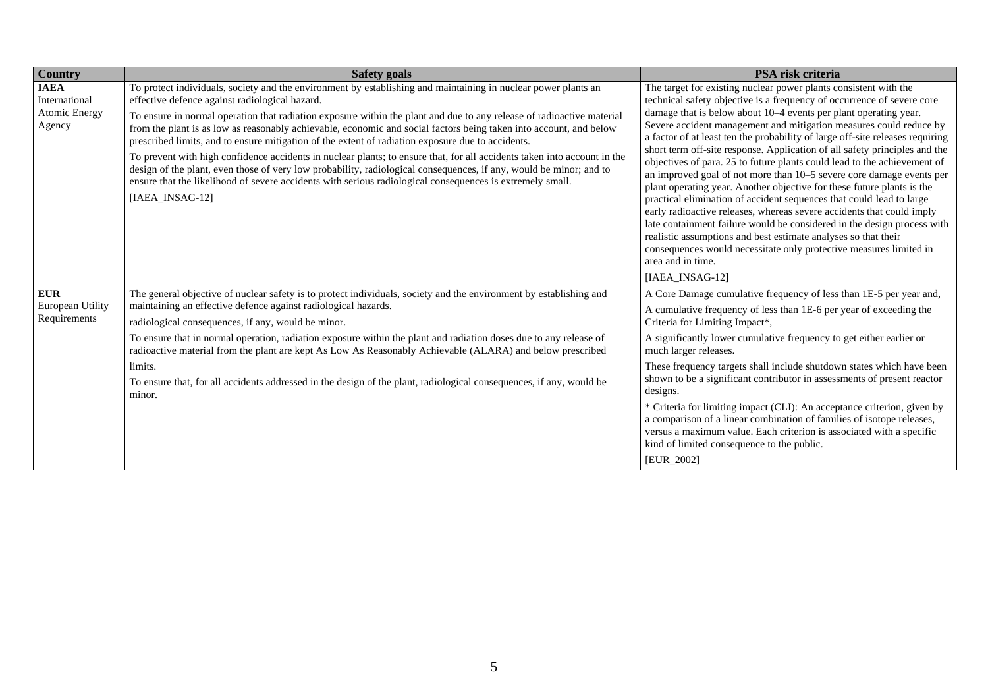| Country                                                 | <b>Safety goals</b>                                                                                                                                                                                                                                                                                                                                                                                                                                                                                                                                                                                                                                                                                                                                                                                                                                                                                    | PSA risk criteria                                                                                                                                                                                                                                                                                                                                                                                                                                                                                                                                                                                                                                                                                                                                                                                                                                                                                                                                                                                                                                                                             |
|---------------------------------------------------------|--------------------------------------------------------------------------------------------------------------------------------------------------------------------------------------------------------------------------------------------------------------------------------------------------------------------------------------------------------------------------------------------------------------------------------------------------------------------------------------------------------------------------------------------------------------------------------------------------------------------------------------------------------------------------------------------------------------------------------------------------------------------------------------------------------------------------------------------------------------------------------------------------------|-----------------------------------------------------------------------------------------------------------------------------------------------------------------------------------------------------------------------------------------------------------------------------------------------------------------------------------------------------------------------------------------------------------------------------------------------------------------------------------------------------------------------------------------------------------------------------------------------------------------------------------------------------------------------------------------------------------------------------------------------------------------------------------------------------------------------------------------------------------------------------------------------------------------------------------------------------------------------------------------------------------------------------------------------------------------------------------------------|
| <b>IAEA</b><br>International<br>Atomic Energy<br>Agency | To protect individuals, society and the environment by establishing and maintaining in nuclear power plants an<br>effective defence against radiological hazard.<br>To ensure in normal operation that radiation exposure within the plant and due to any release of radioactive material<br>from the plant is as low as reasonably achievable, economic and social factors being taken into account, and below<br>prescribed limits, and to ensure mitigation of the extent of radiation exposure due to accidents.<br>To prevent with high confidence accidents in nuclear plants; to ensure that, for all accidents taken into account in the<br>design of the plant, even those of very low probability, radiological consequences, if any, would be minor; and to<br>ensure that the likelihood of severe accidents with serious radiological consequences is extremely small.<br>[IAEA_INSAG-12] | The target for existing nuclear power plants consistent with the<br>technical safety objective is a frequency of occurrence of severe core<br>damage that is below about 10–4 events per plant operating year.<br>Severe accident management and mitigation measures could reduce by<br>a factor of at least ten the probability of large off-site releases requiring<br>short term off-site response. Application of all safety principles and the<br>objectives of para. 25 to future plants could lead to the achievement of<br>an improved goal of not more than 10-5 severe core damage events per<br>plant operating year. Another objective for these future plants is the<br>practical elimination of accident sequences that could lead to large<br>early radioactive releases, whereas severe accidents that could imply<br>late containment failure would be considered in the design process with<br>realistic assumptions and best estimate analyses so that their<br>consequences would necessitate only protective measures limited in<br>area and in time.<br>[IAEA_INSAG-12] |
| <b>EUR</b><br>European Utility<br>Requirements          | The general objective of nuclear safety is to protect individuals, society and the environment by establishing and<br>maintaining an effective defence against radiological hazards.<br>radiological consequences, if any, would be minor.<br>To ensure that in normal operation, radiation exposure within the plant and radiation doses due to any release of<br>radioactive material from the plant are kept As Low As Reasonably Achievable (ALARA) and below prescribed<br>limits.<br>To ensure that, for all accidents addressed in the design of the plant, radiological consequences, if any, would be<br>minor.                                                                                                                                                                                                                                                                               | A Core Damage cumulative frequency of less than 1E-5 per year and,<br>A cumulative frequency of less than 1E-6 per year of exceeding the<br>Criteria for Limiting Impact*,<br>A significantly lower cumulative frequency to get either earlier or<br>much larger releases.<br>These frequency targets shall include shutdown states which have been<br>shown to be a significant contributor in assessments of present reactor<br>designs.<br>* Criteria for limiting impact (CLI): An acceptance criterion, given by<br>a comparison of a linear combination of families of isotope releases,<br>versus a maximum value. Each criterion is associated with a specific<br>kind of limited consequence to the public.<br>[EUR_2002]                                                                                                                                                                                                                                                                                                                                                            |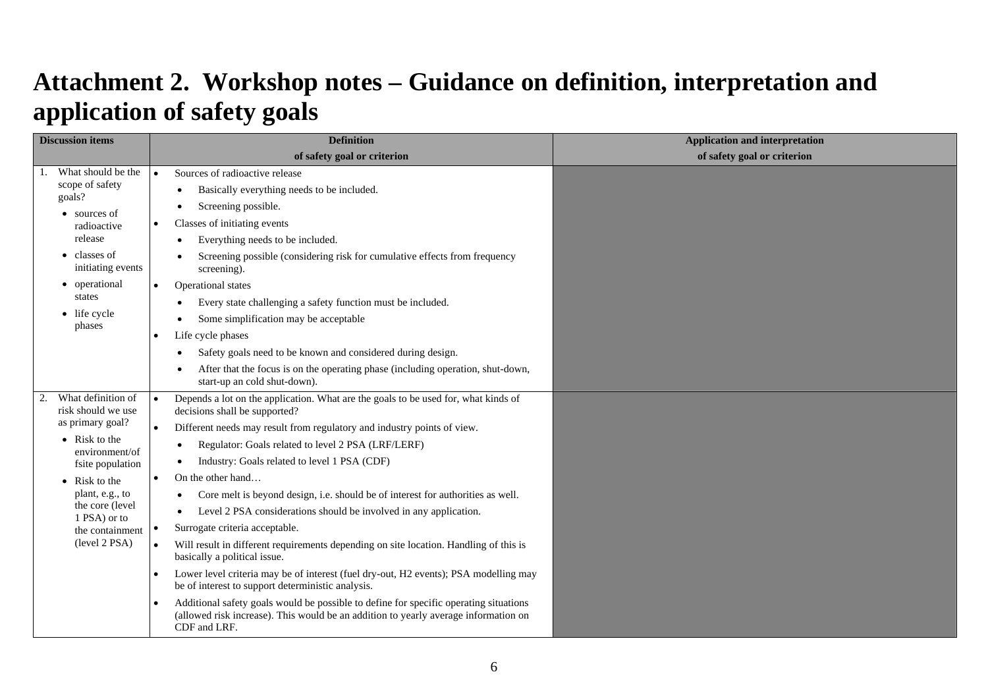## **Attachment 2. Workshop notes – Guidance on definition, interpretation and application of safety goals**

<span id="page-40-0"></span>

| <b>Discussion items</b>                   |           | <b>Definition</b>                                                                                                                                                                            | <b>Application and interpretation</b> |
|-------------------------------------------|-----------|----------------------------------------------------------------------------------------------------------------------------------------------------------------------------------------------|---------------------------------------|
|                                           |           | of safety goal or criterion                                                                                                                                                                  | of safety goal or criterion           |
| What should be the                        | $\bullet$ | Sources of radioactive release                                                                                                                                                               |                                       |
| scope of safety<br>goals?                 |           | Basically everything needs to be included.                                                                                                                                                   |                                       |
| • sources of                              |           | Screening possible.                                                                                                                                                                          |                                       |
| radioactive                               | $\bullet$ | Classes of initiating events                                                                                                                                                                 |                                       |
| release                                   |           | Everything needs to be included.                                                                                                                                                             |                                       |
| $\bullet$ classes of<br>initiating events |           | Screening possible (considering risk for cumulative effects from frequency<br>screening).                                                                                                    |                                       |
| • operational                             | $\bullet$ | Operational states                                                                                                                                                                           |                                       |
| states                                    |           | Every state challenging a safety function must be included.                                                                                                                                  |                                       |
| • life cycle<br>phases                    |           | Some simplification may be acceptable                                                                                                                                                        |                                       |
|                                           |           | Life cycle phases                                                                                                                                                                            |                                       |
|                                           |           | Safety goals need to be known and considered during design.                                                                                                                                  |                                       |
|                                           |           | After that the focus is on the operating phase (including operation, shut-down,<br>start-up an cold shut-down).                                                                              |                                       |
| What definition of<br>risk should we use  | $\bullet$ | Depends a lot on the application. What are the goals to be used for, what kinds of<br>decisions shall be supported?                                                                          |                                       |
| as primary goal?                          | $\bullet$ | Different needs may result from regulatory and industry points of view.                                                                                                                      |                                       |
| $\bullet$ Risk to the<br>environment/of   |           | Regulator: Goals related to level 2 PSA (LRF/LERF)<br>$\bullet$                                                                                                                              |                                       |
| fsite population                          |           | Industry: Goals related to level 1 PSA (CDF)<br>٠                                                                                                                                            |                                       |
| • Risk to the                             | $\bullet$ | On the other hand                                                                                                                                                                            |                                       |
| plant, e.g., to                           |           | Core melt is beyond design, i.e. should be of interest for authorities as well.<br>$\bullet$                                                                                                 |                                       |
| the core (level<br>1 PSA) or to           |           | Level 2 PSA considerations should be involved in any application.                                                                                                                            |                                       |
| the containment                           | $\bullet$ | Surrogate criteria acceptable.                                                                                                                                                               |                                       |
| (level 2 PSA)                             | $\bullet$ | Will result in different requirements depending on site location. Handling of this is<br>basically a political issue.                                                                        |                                       |
|                                           |           | Lower level criteria may be of interest (fuel dry-out, H2 events); PSA modelling may<br>be of interest to support deterministic analysis.                                                    |                                       |
|                                           | $\bullet$ | Additional safety goals would be possible to define for specific operating situations<br>(allowed risk increase). This would be an addition to yearly average information on<br>CDF and LRF. |                                       |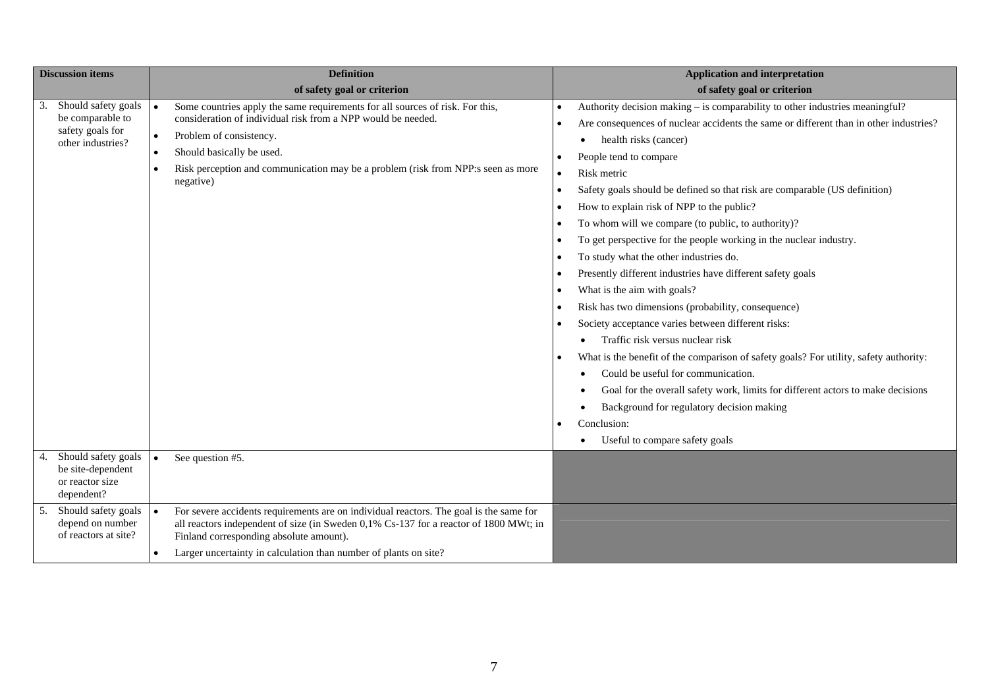| <b>Discussion items</b>                                                          |           | <b>Definition</b>                                                                                                                                                                                                                                                                                      | <b>Application and interpretation</b>                                                                                                                                                                                                                                                                                                                                                                                                                                                                                                                                                                                                                                                                                                                                                                                                                                                                                                                                                                                                                                                                              |
|----------------------------------------------------------------------------------|-----------|--------------------------------------------------------------------------------------------------------------------------------------------------------------------------------------------------------------------------------------------------------------------------------------------------------|--------------------------------------------------------------------------------------------------------------------------------------------------------------------------------------------------------------------------------------------------------------------------------------------------------------------------------------------------------------------------------------------------------------------------------------------------------------------------------------------------------------------------------------------------------------------------------------------------------------------------------------------------------------------------------------------------------------------------------------------------------------------------------------------------------------------------------------------------------------------------------------------------------------------------------------------------------------------------------------------------------------------------------------------------------------------------------------------------------------------|
|                                                                                  |           | of safety goal or criterion                                                                                                                                                                                                                                                                            | of safety goal or criterion                                                                                                                                                                                                                                                                                                                                                                                                                                                                                                                                                                                                                                                                                                                                                                                                                                                                                                                                                                                                                                                                                        |
| Should safety goals<br>be comparable to<br>safety goals for<br>other industries? | $\bullet$ | Some countries apply the same requirements for all sources of risk. For this,<br>consideration of individual risk from a NPP would be needed.<br>Problem of consistency.<br>Should basically be used.<br>Risk perception and communication may be a problem (risk from NPP:s seen as more<br>negative) | Authority decision making - is comparability to other industries meaningful?<br>Are consequences of nuclear accidents the same or different than in other industries?<br>health risks (cancer)<br>People tend to compare<br>Risk metric<br>Safety goals should be defined so that risk are comparable (US definition)<br>$\bullet$<br>How to explain risk of NPP to the public?<br>To whom will we compare (to public, to authority)?<br>To get perspective for the people working in the nuclear industry.<br>To study what the other industries do.<br>Presently different industries have different safety goals<br>What is the aim with goals?<br>Risk has two dimensions (probability, consequence)<br>Society acceptance varies between different risks:<br>Traffic risk versus nuclear risk<br>What is the benefit of the comparison of safety goals? For utility, safety authority:<br>Could be useful for communication.<br>Goal for the overall safety work, limits for different actors to make decisions<br>Background for regulatory decision making<br>Conclusion:<br>Useful to compare safety goals |
| Should safety goals<br>be site-dependent<br>or reactor size<br>dependent?        | $\bullet$ | See question #5.                                                                                                                                                                                                                                                                                       |                                                                                                                                                                                                                                                                                                                                                                                                                                                                                                                                                                                                                                                                                                                                                                                                                                                                                                                                                                                                                                                                                                                    |
| Should safety goals<br>depend on number<br>of reactors at site?                  | $\bullet$ | For severe accidents requirements are on individual reactors. The goal is the same for<br>all reactors independent of size (in Sweden 0,1% Cs-137 for a reactor of 1800 MWt; in<br>Finland corresponding absolute amount).                                                                             |                                                                                                                                                                                                                                                                                                                                                                                                                                                                                                                                                                                                                                                                                                                                                                                                                                                                                                                                                                                                                                                                                                                    |
|                                                                                  |           | Larger uncertainty in calculation than number of plants on site?                                                                                                                                                                                                                                       |                                                                                                                                                                                                                                                                                                                                                                                                                                                                                                                                                                                                                                                                                                                                                                                                                                                                                                                                                                                                                                                                                                                    |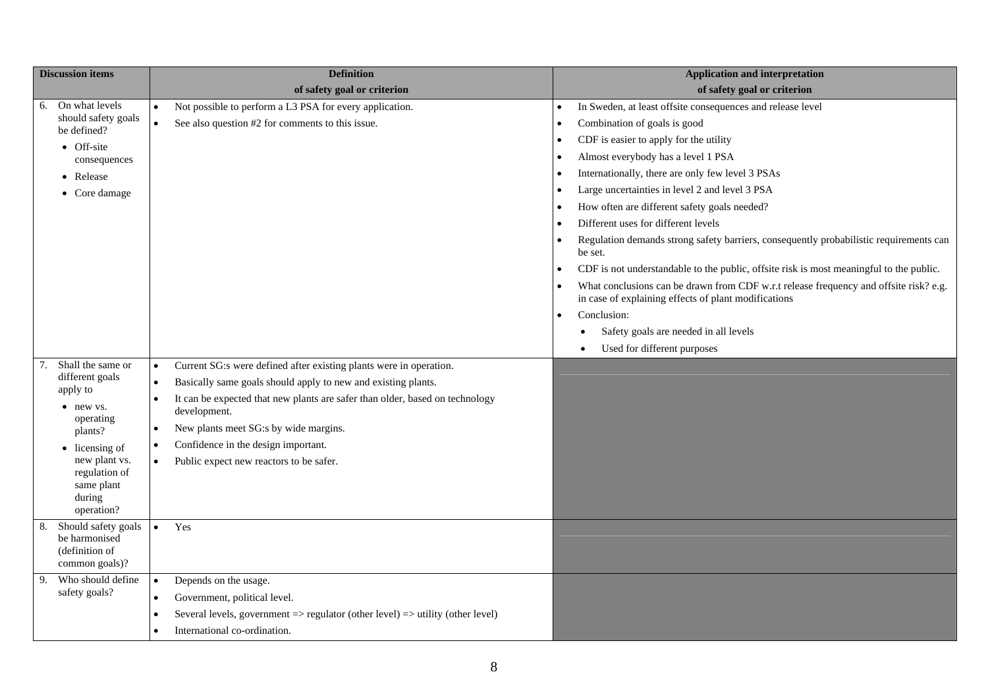|    | <b>Discussion items</b>                                                  |           | <b>Definition</b>                                                                                    |           | <b>Application and interpretation</b>                                                                                                         |
|----|--------------------------------------------------------------------------|-----------|------------------------------------------------------------------------------------------------------|-----------|-----------------------------------------------------------------------------------------------------------------------------------------------|
|    |                                                                          |           | of safety goal or criterion                                                                          |           | of safety goal or criterion                                                                                                                   |
| 6. | On what levels                                                           | $\bullet$ | Not possible to perform a L3 PSA for every application.                                              |           | In Sweden, at least offsite consequences and release level                                                                                    |
|    | should safety goals<br>be defined?                                       | $\bullet$ | See also question #2 for comments to this issue.                                                     | $\bullet$ | Combination of goals is good                                                                                                                  |
|    | • Off-site                                                               |           |                                                                                                      | $\bullet$ | CDF is easier to apply for the utility                                                                                                        |
|    | consequences                                                             |           |                                                                                                      | $\bullet$ | Almost everybody has a level 1 PSA                                                                                                            |
|    | • Release                                                                |           |                                                                                                      | $\bullet$ | Internationally, there are only few level 3 PSAs                                                                                              |
|    | • Core damage                                                            |           |                                                                                                      | $\bullet$ | Large uncertainties in level 2 and level 3 PSA                                                                                                |
|    |                                                                          |           |                                                                                                      | $\bullet$ | How often are different safety goals needed?                                                                                                  |
|    |                                                                          |           |                                                                                                      | $\bullet$ | Different uses for different levels                                                                                                           |
|    |                                                                          |           |                                                                                                      | $\bullet$ | Regulation demands strong safety barriers, consequently probabilistic requirements can<br>be set.                                             |
|    |                                                                          |           |                                                                                                      | $\bullet$ | CDF is not understandable to the public, offsite risk is most meaningful to the public.                                                       |
|    |                                                                          |           |                                                                                                      | $\bullet$ | What conclusions can be drawn from CDF w.r.t release frequency and offsite risk? e.g.<br>in case of explaining effects of plant modifications |
|    |                                                                          |           |                                                                                                      | $\bullet$ | Conclusion:                                                                                                                                   |
|    |                                                                          |           |                                                                                                      |           | Safety goals are needed in all levels<br>٠                                                                                                    |
|    |                                                                          |           |                                                                                                      |           | Used for different purposes<br>$\bullet$                                                                                                      |
|    | Shall the same or                                                        | $\bullet$ | Current SG:s were defined after existing plants were in operation.                                   |           |                                                                                                                                               |
|    | different goals                                                          | $\bullet$ | Basically same goals should apply to new and existing plants.                                        |           |                                                                                                                                               |
|    | apply to<br>• new vs.                                                    | $\bullet$ | It can be expected that new plants are safer than older, based on technology<br>development.         |           |                                                                                                                                               |
|    | operating<br>plants?                                                     | $\bullet$ | New plants meet SG:s by wide margins.                                                                |           |                                                                                                                                               |
|    | $\bullet$ licensing of                                                   | $\bullet$ | Confidence in the design important.                                                                  |           |                                                                                                                                               |
|    | new plant vs.<br>regulation of<br>same plant<br>during<br>operation?     | $\bullet$ | Public expect new reactors to be safer.                                                              |           |                                                                                                                                               |
| 8. | Should safety goals<br>be harmonised<br>(definition of<br>common goals)? | $\bullet$ | Yes                                                                                                  |           |                                                                                                                                               |
| 9. | Who should define                                                        | $\bullet$ | Depends on the usage.                                                                                |           |                                                                                                                                               |
|    | safety goals?                                                            | $\bullet$ | Government, political level.                                                                         |           |                                                                                                                                               |
|    |                                                                          |           | Several levels, government $\Rightarrow$ regulator (other level) $\Rightarrow$ utility (other level) |           |                                                                                                                                               |
|    |                                                                          |           | International co-ordination.                                                                         |           |                                                                                                                                               |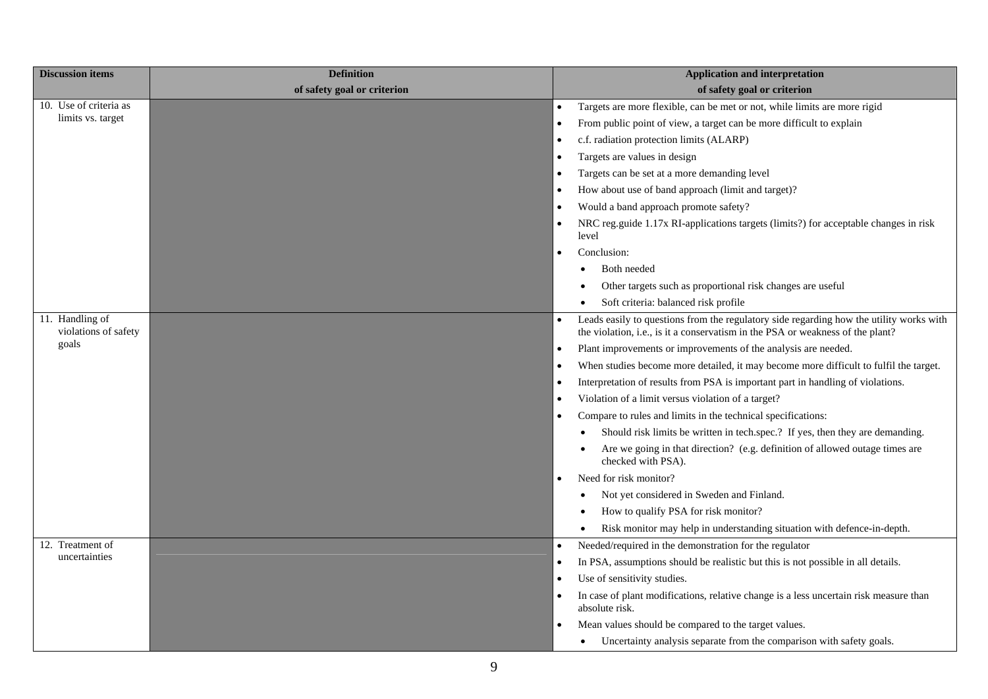| <b>Discussion items</b>                 | <b>Definition</b>           | <b>Application and interpretation</b>                                                                                                                                     |
|-----------------------------------------|-----------------------------|---------------------------------------------------------------------------------------------------------------------------------------------------------------------------|
|                                         | of safety goal or criterion | of safety goal or criterion                                                                                                                                               |
| 10. Use of criteria as                  |                             | Targets are more flexible, can be met or not, while limits are more rigid<br>$\bullet$                                                                                    |
| limits vs. target                       |                             | From public point of view, a target can be more difficult to explain                                                                                                      |
|                                         |                             | c.f. radiation protection limits (ALARP)                                                                                                                                  |
|                                         |                             | Targets are values in design                                                                                                                                              |
|                                         |                             | Targets can be set at a more demanding level                                                                                                                              |
|                                         |                             | How about use of band approach (limit and target)?                                                                                                                        |
|                                         |                             | Would a band approach promote safety?<br>$\bullet$                                                                                                                        |
|                                         |                             | NRC reg.guide 1.17x RI-applications targets (limits?) for acceptable changes in risk<br>level                                                                             |
|                                         |                             | Conclusion:                                                                                                                                                               |
|                                         |                             | Both needed                                                                                                                                                               |
|                                         |                             | Other targets such as proportional risk changes are useful                                                                                                                |
|                                         |                             | Soft criteria: balanced risk profile                                                                                                                                      |
| 11. Handling of<br>violations of safety |                             | Leads easily to questions from the regulatory side regarding how the utility works with<br>the violation, i.e., is it a conservatism in the PSA or weakness of the plant? |
| goals                                   |                             | Plant improvements or improvements of the analysis are needed.<br>$\bullet$                                                                                               |
|                                         |                             | When studies become more detailed, it may become more difficult to fulfil the target.                                                                                     |
|                                         |                             | Interpretation of results from PSA is important part in handling of violations.                                                                                           |
|                                         |                             | Violation of a limit versus violation of a target?                                                                                                                        |
|                                         |                             | Compare to rules and limits in the technical specifications:                                                                                                              |
|                                         |                             | Should risk limits be written in tech.spec.? If yes, then they are demanding.                                                                                             |
|                                         |                             | Are we going in that direction? (e.g. definition of allowed outage times are<br>checked with PSA).                                                                        |
|                                         |                             | Need for risk monitor?                                                                                                                                                    |
|                                         |                             | Not yet considered in Sweden and Finland.                                                                                                                                 |
|                                         |                             | How to qualify PSA for risk monitor?                                                                                                                                      |
|                                         |                             | Risk monitor may help in understanding situation with defence-in-depth.                                                                                                   |
| 12. Treatment of                        |                             | Needed/required in the demonstration for the regulator<br>$\bullet$                                                                                                       |
| uncertainties                           |                             | In PSA, assumptions should be realistic but this is not possible in all details.                                                                                          |
|                                         |                             | Use of sensitivity studies.                                                                                                                                               |
|                                         |                             | In case of plant modifications, relative change is a less uncertain risk measure than<br>absolute risk.                                                                   |
|                                         |                             | Mean values should be compared to the target values.                                                                                                                      |
|                                         |                             | Uncertainty analysis separate from the comparison with safety goals.                                                                                                      |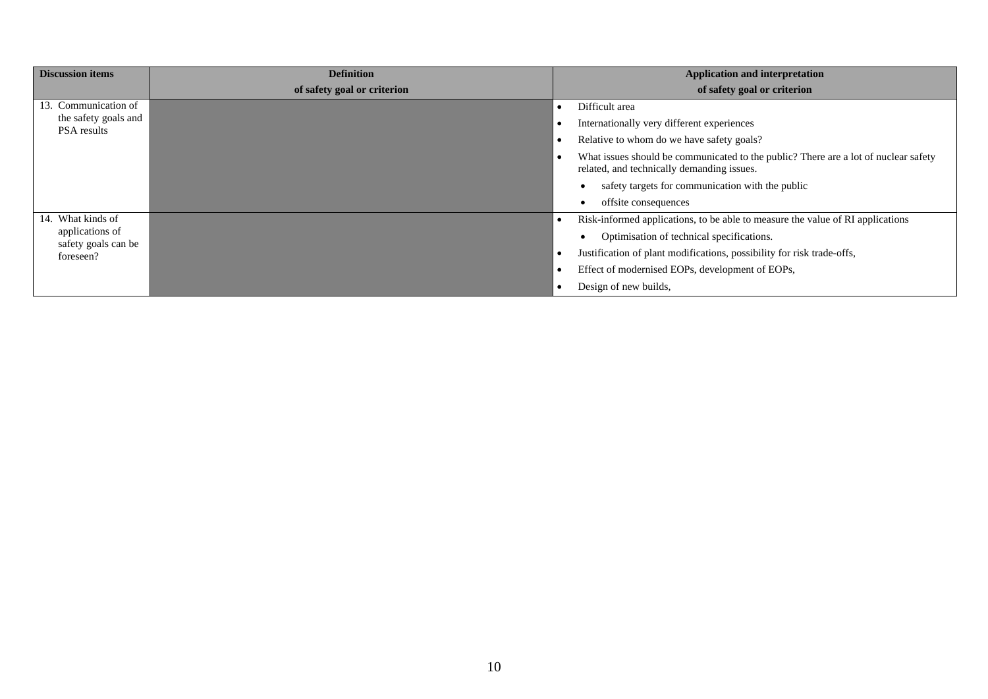| <b>Discussion items</b>                | <b>Definition</b>           | <b>Application and interpretation</b>                                                                                             |
|----------------------------------------|-----------------------------|-----------------------------------------------------------------------------------------------------------------------------------|
|                                        | of safety goal or criterion | of safety goal or criterion                                                                                                       |
| 13. Communication of                   |                             | Difficult area                                                                                                                    |
| the safety goals and<br>PSA results    |                             | Internationally very different experiences                                                                                        |
|                                        |                             | Relative to whom do we have safety goals?                                                                                         |
|                                        |                             | What issues should be communicated to the public? There are a lot of nuclear safety<br>related, and technically demanding issues. |
|                                        |                             | safety targets for communication with the public                                                                                  |
|                                        |                             | offsite consequences                                                                                                              |
| 14. What kinds of                      |                             | Risk-informed applications, to be able to measure the value of RI applications                                                    |
| applications of<br>safety goals can be |                             | Optimisation of technical specifications.                                                                                         |
| foreseen?                              |                             | Justification of plant modifications, possibility for risk trade-offs,                                                            |
|                                        |                             | Effect of modernised EOPs, development of EOPs,                                                                                   |
|                                        |                             | Design of new builds,                                                                                                             |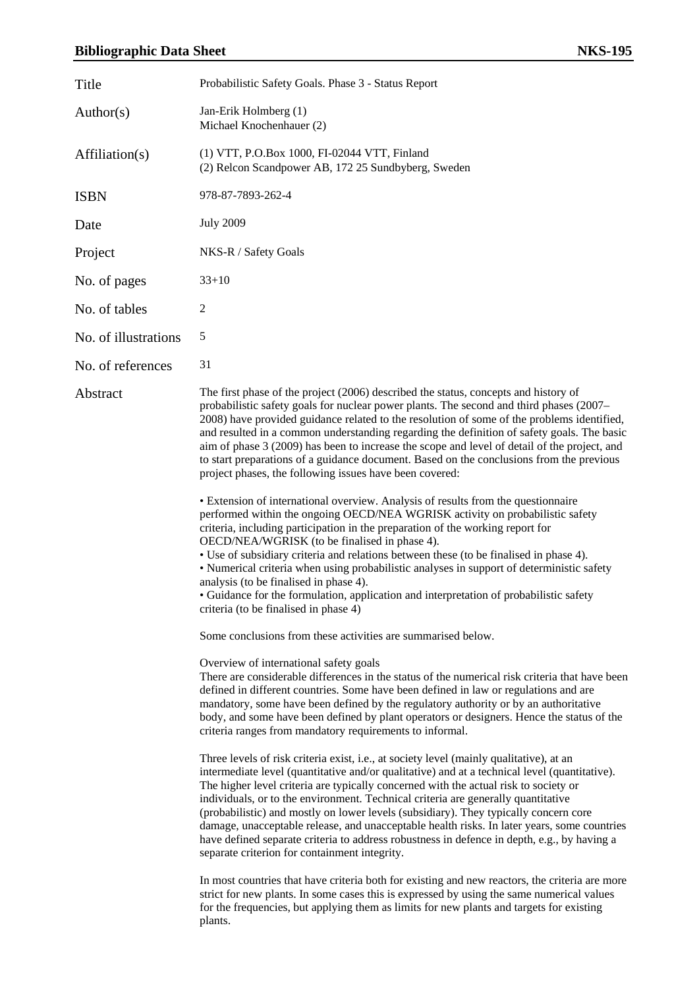#### **Bibliographic Data Sheet NKS-195**

| Title                | Probabilistic Safety Goals. Phase 3 - Status Report                                                                                                                                                                                                                                                                                                                                                                                                                                                                                                                                                                                                                                                                                                                                                                                                                                                                                                                                                                                                                                                                                                                                                                                                                                                                                                                                                                                                                                                     |
|----------------------|---------------------------------------------------------------------------------------------------------------------------------------------------------------------------------------------------------------------------------------------------------------------------------------------------------------------------------------------------------------------------------------------------------------------------------------------------------------------------------------------------------------------------------------------------------------------------------------------------------------------------------------------------------------------------------------------------------------------------------------------------------------------------------------------------------------------------------------------------------------------------------------------------------------------------------------------------------------------------------------------------------------------------------------------------------------------------------------------------------------------------------------------------------------------------------------------------------------------------------------------------------------------------------------------------------------------------------------------------------------------------------------------------------------------------------------------------------------------------------------------------------|
| Author(s)            | Jan-Erik Holmberg (1)<br>Michael Knochenhauer (2)                                                                                                                                                                                                                                                                                                                                                                                                                                                                                                                                                                                                                                                                                                                                                                                                                                                                                                                                                                                                                                                                                                                                                                                                                                                                                                                                                                                                                                                       |
| Affiliation(s)       | (1) VTT, P.O.Box 1000, FI-02044 VTT, Finland<br>(2) Relcon Scandpower AB, 172 25 Sundbyberg, Sweden                                                                                                                                                                                                                                                                                                                                                                                                                                                                                                                                                                                                                                                                                                                                                                                                                                                                                                                                                                                                                                                                                                                                                                                                                                                                                                                                                                                                     |
| <b>ISBN</b>          | 978-87-7893-262-4                                                                                                                                                                                                                                                                                                                                                                                                                                                                                                                                                                                                                                                                                                                                                                                                                                                                                                                                                                                                                                                                                                                                                                                                                                                                                                                                                                                                                                                                                       |
| Date                 | <b>July 2009</b>                                                                                                                                                                                                                                                                                                                                                                                                                                                                                                                                                                                                                                                                                                                                                                                                                                                                                                                                                                                                                                                                                                                                                                                                                                                                                                                                                                                                                                                                                        |
| Project              | NKS-R / Safety Goals                                                                                                                                                                                                                                                                                                                                                                                                                                                                                                                                                                                                                                                                                                                                                                                                                                                                                                                                                                                                                                                                                                                                                                                                                                                                                                                                                                                                                                                                                    |
| No. of pages         | $33+10$                                                                                                                                                                                                                                                                                                                                                                                                                                                                                                                                                                                                                                                                                                                                                                                                                                                                                                                                                                                                                                                                                                                                                                                                                                                                                                                                                                                                                                                                                                 |
| No. of tables        | $\overline{c}$                                                                                                                                                                                                                                                                                                                                                                                                                                                                                                                                                                                                                                                                                                                                                                                                                                                                                                                                                                                                                                                                                                                                                                                                                                                                                                                                                                                                                                                                                          |
| No. of illustrations | 5                                                                                                                                                                                                                                                                                                                                                                                                                                                                                                                                                                                                                                                                                                                                                                                                                                                                                                                                                                                                                                                                                                                                                                                                                                                                                                                                                                                                                                                                                                       |
| No. of references    | 31                                                                                                                                                                                                                                                                                                                                                                                                                                                                                                                                                                                                                                                                                                                                                                                                                                                                                                                                                                                                                                                                                                                                                                                                                                                                                                                                                                                                                                                                                                      |
| Abstract             | The first phase of the project (2006) described the status, concepts and history of<br>probabilistic safety goals for nuclear power plants. The second and third phases (2007–<br>2008) have provided guidance related to the resolution of some of the problems identified,<br>and resulted in a common understanding regarding the definition of safety goals. The basic<br>aim of phase 3 (2009) has been to increase the scope and level of detail of the project, and<br>to start preparations of a guidance document. Based on the conclusions from the previous<br>project phases, the following issues have been covered:<br>• Extension of international overview. Analysis of results from the questionnaire<br>performed within the ongoing OECD/NEA WGRISK activity on probabilistic safety<br>criteria, including participation in the preparation of the working report for<br>OECD/NEA/WGRISK (to be finalised in phase 4).<br>• Use of subsidiary criteria and relations between these (to be finalised in phase 4).<br>• Numerical criteria when using probabilistic analyses in support of deterministic safety<br>analysis (to be finalised in phase 4).<br>• Guidance for the formulation, application and interpretation of probabilistic safety<br>criteria (to be finalised in phase 4)<br>Some conclusions from these activities are summarised below.                                                                                                                          |
|                      | Overview of international safety goals<br>There are considerable differences in the status of the numerical risk criteria that have been<br>defined in different countries. Some have been defined in law or regulations and are<br>mandatory, some have been defined by the regulatory authority or by an authoritative<br>body, and some have been defined by plant operators or designers. Hence the status of the<br>criteria ranges from mandatory requirements to informal.<br>Three levels of risk criteria exist, i.e., at society level (mainly qualitative), at an<br>intermediate level (quantitative and/or qualitative) and at a technical level (quantitative).<br>The higher level criteria are typically concerned with the actual risk to society or<br>individuals, or to the environment. Technical criteria are generally quantitative<br>(probabilistic) and mostly on lower levels (subsidiary). They typically concern core<br>damage, unacceptable release, and unacceptable health risks. In later years, some countries<br>have defined separate criteria to address robustness in defence in depth, e.g., by having a<br>separate criterion for containment integrity.<br>In most countries that have criteria both for existing and new reactors, the criteria are more<br>strict for new plants. In some cases this is expressed by using the same numerical values<br>for the frequencies, but applying them as limits for new plants and targets for existing<br>plants. |
|                      |                                                                                                                                                                                                                                                                                                                                                                                                                                                                                                                                                                                                                                                                                                                                                                                                                                                                                                                                                                                                                                                                                                                                                                                                                                                                                                                                                                                                                                                                                                         |